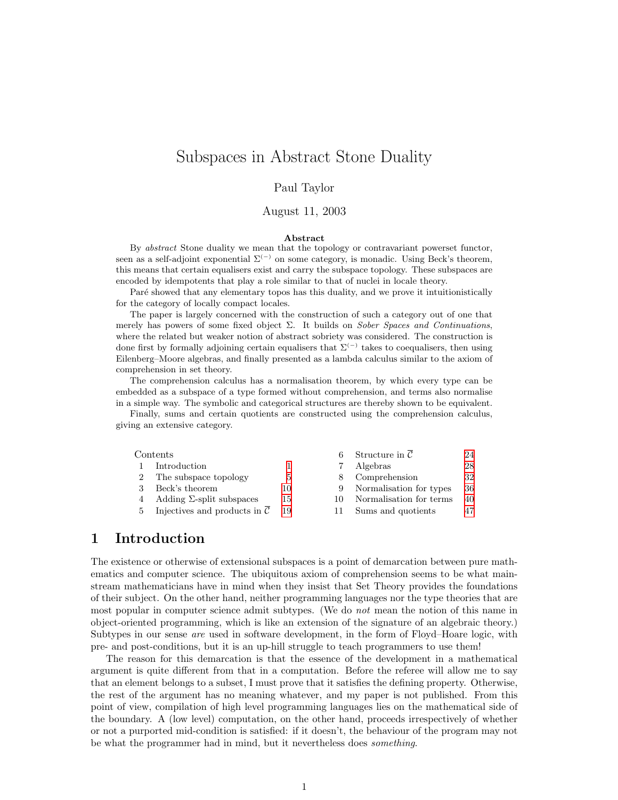# <span id="page-0-0"></span>Subspaces in Abstract Stone Duality

### Paul Taylor

#### August 11, 2003

#### Abstract

By abstract Stone duality we mean that the topology or contravariant powerset functor, seen as a self-adjoint exponential  $\Sigma^{(-)}$  on some category, is monadic. Using Beck's theorem, this means that certain equalisers exist and carry the subspace topology. These subspaces are encoded by idempotents that play a role similar to that of nuclei in locale theory.

Paré showed that any elementary topos has this duality, and we prove it intuitionistically for the category of locally compact locales.

The paper is largely concerned with the construction of such a category out of one that merely has powers of some fixed object  $\Sigma$ . It builds on *Sober Spaces and Continuations*, where the related but weaker notion of abstract sobriety was considered. The construction is done first by formally adjoining certain equalisers that  $\Sigma^{(-)}$  takes to coequalisers, then using Eilenberg–Moore algebras, and finally presented as a lambda calculus similar to the axiom of comprehension in set theory.

The comprehension calculus has a normalisation theorem, by which every type can be embedded as a subspace of a type formed without comprehension, and terms also normalise in a simple way. The symbolic and categorical structures are thereby shown to be equivalent.

Finally, sums and certain quotients are constructed using the comprehension calculus, giving an extensive category.

| Contents |                                                     |    |    | Structure in $\mathcal C$ | 24 |
|----------|-----------------------------------------------------|----|----|---------------------------|----|
|          | Introduction                                        |    |    | Algebras                  | 28 |
|          | The subspace topology                               | 5  |    | Comprehension             | 32 |
|          | Beck's theorem                                      | 10 |    | Normalisation for types   | 36 |
|          | Adding $\Sigma$ -split subspaces                    | 15 | 10 | Normalisation for terms   | 40 |
| $5 -$    | Injectives and products in $\overline{\mathcal{C}}$ | 19 |    | Sums and quotients        | 47 |
|          |                                                     |    |    |                           |    |

## <span id="page-0-1"></span>1 Introduction

The existence or otherwise of extensional subspaces is a point of demarcation between pure mathematics and computer science. The ubiquitous axiom of comprehension seems to be what mainstream mathematicians have in mind when they insist that Set Theory provides the foundations of their subject. On the other hand, neither programming languages nor the type theories that are most popular in computer science admit subtypes. (We do not mean the notion of this name in object-oriented programming, which is like an extension of the signature of an algebraic theory.) Subtypes in our sense are used in software development, in the form of Floyd–Hoare logic, with pre- and post-conditions, but it is an up-hill struggle to teach programmers to use them!

The reason for this demarcation is that the essence of the development in a mathematical argument is quite different from that in a computation. Before the referee will allow me to say that an element belongs to a subset, I must prove that it satisfies the defining property. Otherwise, the rest of the argument has no meaning whatever, and my paper is not published. From this point of view, compilation of high level programming languages lies on the mathematical side of the boundary. A (low level) computation, on the other hand, proceeds irrespectively of whether or not a purported mid-condition is satisfied: if it doesn't, the behaviour of the program may not be what the programmer had in mind, but it nevertheless does something.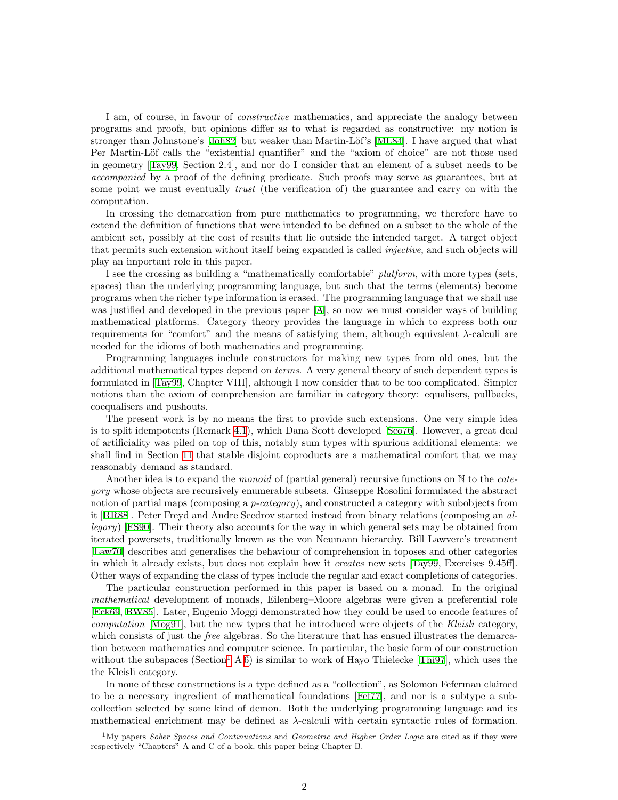I am, of course, in favour of constructive mathematics, and appreciate the analogy between programs and proofs, but opinions differ as to what is regarded as constructive: my notion is strongerthan Johnstone's [[Joh82](#page-52-0)] but weaker than Martin-Löf's [\[ML84\]](#page-52-1). I have argued that what Per Martin-Löf calls the "existential quantifier" and the "axiom of choice" are not those used in geometry[[Tay99,](#page-53-0) Section 2.4], and nor do I consider that an element of a subset needs to be accompanied by a proof of the defining predicate. Such proofs may serve as guarantees, but at some point we must eventually *trust* (the verification of) the guarantee and carry on with the computation.

In crossing the demarcation from pure mathematics to programming, we therefore have to extend the definition of functions that were intended to be defined on a subset to the whole of the ambient set, possibly at the cost of results that lie outside the intended target. A target object that permits such extension without itself being expanded is called *injective*, and such objects will play an important role in this paper.

I see the crossing as building a "mathematically comfortable" platform, with more types (sets, spaces) than the underlying programming language, but such that the terms (elements) become programs when the richer type information is erased. The programming language that we shall use was justified and developed in the previous paper [\[A\]](#page-53-1), so now we must consider ways of building mathematical platforms. Category theory provides the language in which to express both our requirements for "comfort" and the means of satisfying them, although equivalent λ-calculi are needed for the idioms of both mathematics and programming.

Programming languages include constructors for making new types from old ones, but the additional mathematical types depend on terms. A very general theory of such dependent types is formulated in[[Tay99](#page-53-0), Chapter VIII], although I now consider that to be too complicated. Simpler notions than the axiom of comprehension are familiar in category theory: equalisers, pullbacks, coequalisers and pushouts.

The present work is by no means the first to provide such extensions. One very simple idea is to split idempotents (Remark [4.1\)](#page-14-1), which Dana Scott developed[[Sco76\]](#page-53-2). However, a great deal of artificiality was piled on top of this, notably sum types with spurious additional elements: we shall find in Section [11](#page-46-1) that stable disjoint coproducts are a mathematical comfort that we may reasonably demand as standard.

Another idea is to expand the *monoid* of (partial general) recursive functions on  $\mathbb N$  to the *cate*gory whose objects are recursively enumerable subsets. Giuseppe Rosolini formulated the abstract notion of partial maps (composing a *p-category*), and constructed a category with subobjects from it [\[RR88\]](#page-52-2). Peter Freyd and Andre Scedrov started instead from binary relations (composing an allegory)[[FS90\]](#page-52-3). Their theory also accounts for the way in which general sets may be obtained from iterated powersets, traditionally known as the von Neumann hierarchy. Bill Lawvere's treatment [[Law70\]](#page-52-4) describes and generalises the behaviour of comprehension in toposes and other categories in which it already exists, but does not explain how it *creates* new sets [\[Tay99](#page-53-0), Exercises 9.45ff]. Other ways of expanding the class of types include the regular and exact completions of categories.

The particular construction performed in this paper is based on a monad. In the original mathematical development of monads, Eilenberg–Moore algebras were given a preferential role [[Eck69,](#page-52-5) [BW85\]](#page-52-6). Later, Eugenio Moggi demonstrated how they could be used to encode features of computation [\[Mog91](#page-52-7)], but the new types that he introduced were objects of the Kleisli category, which consists of just the *free* algebras. So the literature that has ensued illustrates the demarcation between mathematics and computer science. In particular, the basic form of our construction without the subspaces (Section<sup>[1](#page-1-0)</sup> A [6\)](#page-23-1)is similar to work of Hayo Thielecke [[Thi97](#page-53-3)], which uses the the Kleisli category.

In none of these constructions is a type defined as a "collection", as Solomon Feferman claimed to be a necessary ingredient of mathematical foundations[[Fef77](#page-52-8)], and nor is a subtype a subcollection selected by some kind of demon. Both the underlying programming language and its mathematical enrichment may be defined as  $\lambda$ -calculi with certain syntactic rules of formation.

<span id="page-1-0"></span><sup>&</sup>lt;sup>1</sup>My papers *Sober Spaces and Continuations* and *Geometric and Higher Order Logic* are cited as if they were respectively "Chapters" A and C of a book, this paper being Chapter B.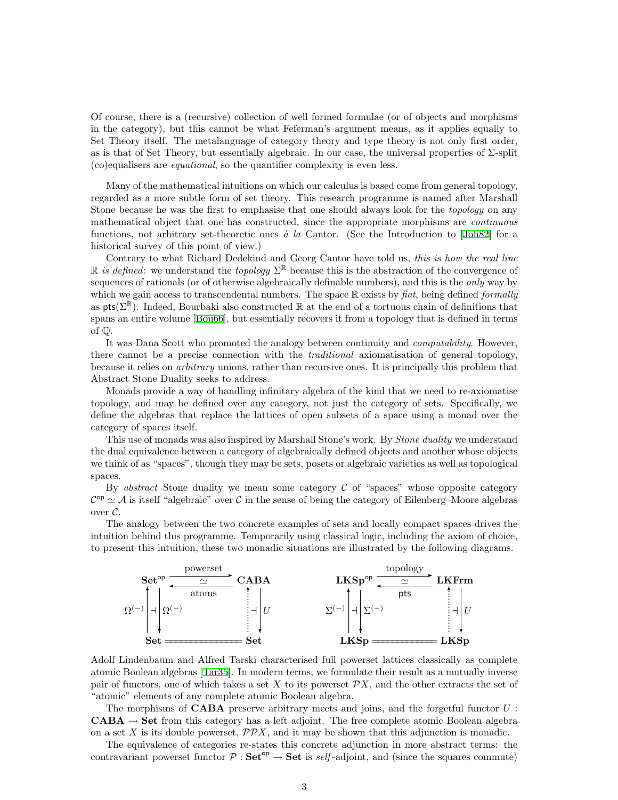Of course, there is a (recursive) collection of well formed formulae (or of objects and morphisms in the category), but this cannot be what Feferman's argument means, as it applies equally to Set Theory itself. The metalanguage of category theory and type theory is not only first order, as is that of Set Theory, but essentially algebraic. In our case, the universal properties of  $\Sigma$ -split (co)equalisers are equational, so the quantifier complexity is even less.

Many of the mathematical intuitions on which our calculus is based come from general topology, regarded as a more subtle form of set theory. This research programme is named after Marshall Stone because he was the first to emphasise that one should always look for the *topology* on any mathematical object that one has constructed, since the appropriate morphisms are continuous functions, not arbitrary set-theoretic ones  $\dot{a}$  la Cantor. (See the Introduction to [\[Joh82\]](#page-52-0) for a historical survey of this point of view.)

Contrary to what Richard Dedekind and Georg Cantor have told us, this is how the real line R is defined: we understand the topology  $\Sigma^{\mathbb{R}}$  because this is the abstraction of the convergence of sequences of rationals (or of otherwise algebraically definable numbers), and this is the *only* way by which we gain access to transcendental numbers. The space  $\mathbb R$  exists by fiat, being defined formally as  $pts(\Sigma^{\mathbb{R}})$ . Indeed, Bourbaki also constructed  $\mathbb{R}$  at the end of a tortuous chain of definitions that spans an entire volume [\[Bou66\]](#page-52-9), but essentially recovers it from a topology that is defined in terms of Q.

It was Dana Scott who promoted the analogy between continuity and computability. However, there cannot be a precise connection with the *traditional* axiomatisation of general topology, because it relies on arbitrary unions, rather than recursive ones. It is principally this problem that Abstract Stone Duality seeks to address.

Monads provide a way of handling infinitary algebra of the kind that we need to re-axiomatise topology, and may be defined over any category, not just the category of sets. Specifically, we define the algebras that replace the lattices of open subsets of a space using a monad over the category of spaces itself.

This use of monads was also inspired by Marshall Stone's work. By Stone duality we understand the dual equivalence between a category of algebraically defined objects and another whose objects we think of as "spaces", though they may be sets, posets or algebraic varieties as well as topological spaces.

By abstract Stone duality we mean some category  $\mathcal C$  of "spaces" whose opposite category  $\mathcal{C}^{\text{op}} \simeq \mathcal{A}$  is itself "algebraic" over  $\mathcal{C}$  in the sense of being the category of Eilenberg–Moore algebras over  $\mathcal{C}.$ 

The analogy between the two concrete examples of sets and locally compact spaces drives the intuition behind this programme. Temporarily using classical logic, including the axiom of choice, to present this intuition, these two monadic situations are illustrated by the following diagrams.



Adolf Lindenbaum and Alfred Tarski characterised full powerset lattices classically as complete atomic Boolean algebras[[Tar35](#page-53-4)]. In modern terms, we formulate their result as a mutually inverse pair of functors, one of which takes a set X to its powerset  $\mathcal{P}X$ , and the other extracts the set of "atomic" elements of any complete atomic Boolean algebra.

The morphisms of **CABA** preserve arbitrary meets and joins, and the forgetful functor  $U$ : **CABA**  $\rightarrow$  Set from this category has a left adjoint. The free complete atomic Boolean algebra on a set X is its double powerset,  $\mathcal{PP}X$ , and it may be shown that this adjunction is monadic.

The equivalence of categories re-states this concrete adjunction in more abstract terms: the contravariant powerset functor  $P : Set^{op} \to Set$  is self-adjoint, and (since the squares commute)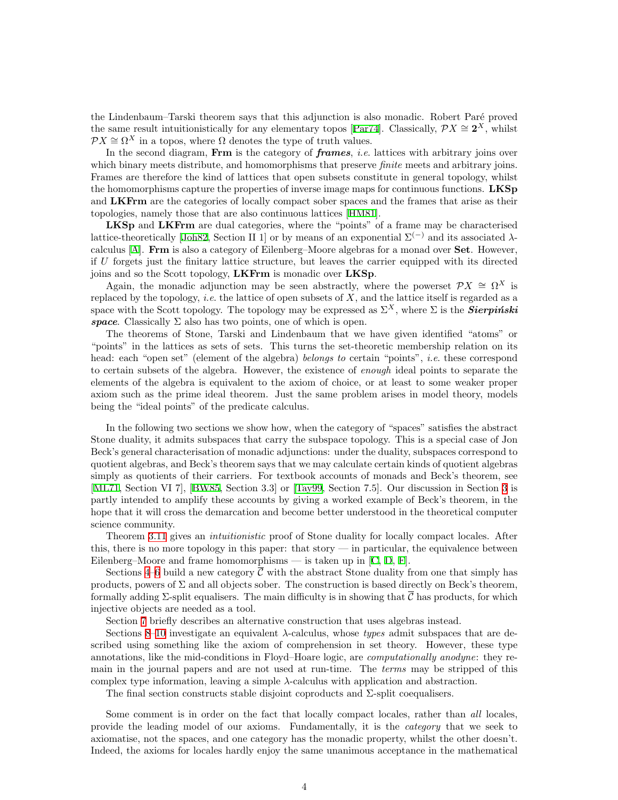the Lindenbaum–Tarski theorem says that this adjunction is also monadic. Robert Paré proved thesame result intuitionistically for any elementary topos [[Par74](#page-52-10)]. Classically,  $\mathcal{P}X \cong 2^X$ , whilst  $\mathcal{P}X \cong \Omega^X$  in a topos, where  $\Omega$  denotes the type of truth values.

In the second diagram, Frm is the category of *frames*, *i.e.* lattices with arbitrary joins over which binary meets distribute, and homomorphisms that preserve *finite* meets and arbitrary joins. Frames are therefore the kind of lattices that open subsets constitute in general topology, whilst the homomorphisms capture the properties of inverse image maps for continuous functions. LKSp and LKFrm are the categories of locally compact sober spaces and the frames that arise as their topologies, namely those that are also continuous lattices [\[HM81](#page-52-11)].

LKSp and LKFrm are dual categories, where the "points" of a frame may be characterised lattice-theoretically [\[Joh82,](#page-52-0) Section II 1] or by means of an exponential  $\Sigma^{(-)}$  and its associated  $\lambda$ calculus [\[A\]](#page-53-1). Frm is also a category of Eilenberg–Moore algebras for a monad over Set. However, if U forgets just the finitary lattice structure, but leaves the carrier equipped with its directed joins and so the Scott topology, LKFrm is monadic over LKSp.

Again, the monadic adjunction may be seen abstractly, where the powerset  $\mathcal{P}X \cong \Omega^X$  is replaced by the topology, *i.e.* the lattice of open subsets of  $X$ , and the lattice itself is regarded as a space with the Scott topology. The topology may be expressed as  $\Sigma^X$ , where  $\Sigma$  is the **Sierpinski** space. Classically  $\Sigma$  also has two points, one of which is open.

The theorems of Stone, Tarski and Lindenbaum that we have given identified "atoms" or "points" in the lattices as sets of sets. This turns the set-theoretic membership relation on its head: each "open set" (element of the algebra) belongs to certain "points", *i.e.* these correspond to certain subsets of the algebra. However, the existence of enough ideal points to separate the elements of the algebra is equivalent to the axiom of choice, or at least to some weaker proper axiom such as the prime ideal theorem. Just the same problem arises in model theory, models being the "ideal points" of the predicate calculus.

In the following two sections we show how, when the category of "spaces" satisfies the abstract Stone duality, it admits subspaces that carry the subspace topology. This is a special case of Jon Beck's general characterisation of monadic adjunctions: under the duality, subspaces correspond to quotient algebras, and Beck's theorem says that we may calculate certain kinds of quotient algebras simply as quotients of their carriers. For textbook accounts of monads and Beck's theorem, see [[ML71](#page-52-12), Section VI 7],[[BW85,](#page-52-6) Section 3.3] or [\[Tay99](#page-53-0), Section 7.5]. Our discussion in Section [3](#page-9-1) is partly intended to amplify these accounts by giving a worked example of Beck's theorem, in the hope that it will cross the demarcation and become better understood in the theoretical computer science community.

Theorem [3.11](#page-13-0) gives an intuitionistic proof of Stone duality for locally compact locales. After this, there is no more topology in this paper: that story — in particular, the equivalence between Eilenberg–Mooreand frame homomorphisms — is taken up in  $[C, D, F]$  $[C, D, F]$  $[C, D, F]$  $[C, D, F]$  $[C, D, F]$  $[C, D, F]$ .

Sections [4–](#page-14-2)[6](#page-23-1) build a new category  $\overline{C}$  with the abstract Stone duality from one that simply has products, powers of  $\Sigma$  and all objects sober. The construction is based directly on Beck's theorem, formally adding  $\Sigma$ -split equalisers. The main difficulty is in showing that C has products, for which injective objects are needed as a tool.

Section [7](#page-27-1) briefly describes an alternative construction that uses algebras instead.

Sections [8](#page-31-1)[–10](#page-39-1) investigate an equivalent λ-calculus, whose types admit subspaces that are described using something like the axiom of comprehension in set theory. However, these type annotations, like the mid-conditions in Floyd–Hoare logic, are computationally anodyne: they remain in the journal papers and are not used at run-time. The terms may be stripped of this complex type information, leaving a simple  $\lambda$ -calculus with application and abstraction.

The final section constructs stable disjoint coproducts and  $\Sigma$ -split coequalisers.

Some comment is in order on the fact that locally compact locales, rather than all locales, provide the leading model of our axioms. Fundamentally, it is the category that we seek to axiomatise, not the spaces, and one category has the monadic property, whilst the other doesn't. Indeed, the axioms for locales hardly enjoy the same unanimous acceptance in the mathematical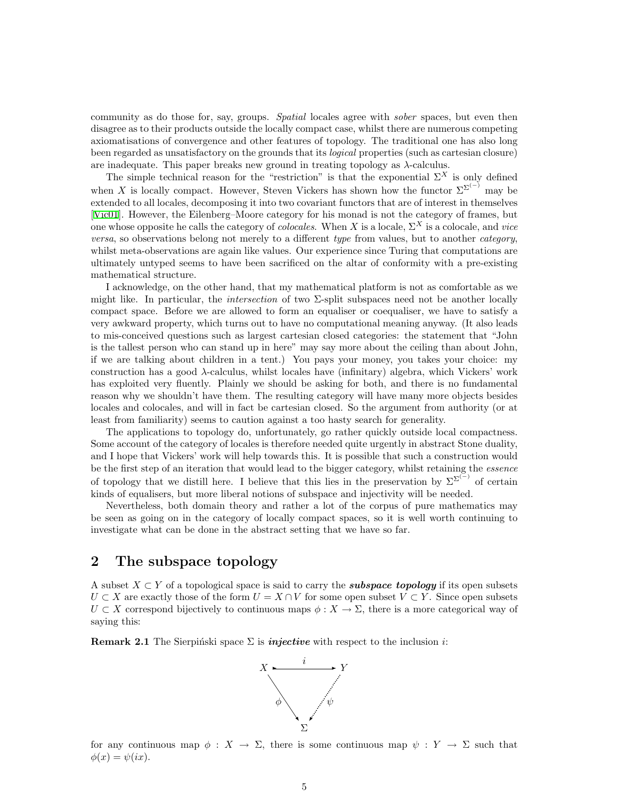<span id="page-4-0"></span>community as do those for, say, groups. Spatial locales agree with sober spaces, but even then disagree as to their products outside the locally compact case, whilst there are numerous competing axiomatisations of convergence and other features of topology. The traditional one has also long been regarded as unsatisfactory on the grounds that its logical properties (such as cartesian closure) are inadequate. This paper breaks new ground in treating topology as  $\lambda$ -calculus.

The simple technical reason for the "restriction" is that the exponential  $\Sigma^X$  is only defined when X is locally compact. However, Steven Vickers has shown how the functor  $\Sigma^{\Sigma^{(-)}}$  may be extended to all locales, decomposing it into two covariant functors that are of interest in themselves [[Vic01](#page-53-8)]. However, the Eilenberg–Moore category for his monad is not the category of frames, but one whose opposite he calls the category of *colocales*. When X is a locale,  $\Sigma^X$  is a colocale, and vice versa, so observations belong not merely to a different type from values, but to another category, whilst meta-observations are again like values. Our experience since Turing that computations are ultimately untyped seems to have been sacrificed on the altar of conformity with a pre-existing mathematical structure.

I acknowledge, on the other hand, that my mathematical platform is not as comfortable as we might like. In particular, the *intersection* of two  $\Sigma$ -split subspaces need not be another locally compact space. Before we are allowed to form an equaliser or coequaliser, we have to satisfy a very awkward property, which turns out to have no computational meaning anyway. (It also leads to mis-conceived questions such as largest cartesian closed categories: the statement that "John is the tallest person who can stand up in here" may say more about the ceiling than about John, if we are talking about children in a tent.) You pays your money, you takes your choice: my construction has a good  $\lambda$ -calculus, whilst locales have (infinitary) algebra, which Vickers' work has exploited very fluently. Plainly we should be asking for both, and there is no fundamental reason why we shouldn't have them. The resulting category will have many more objects besides locales and colocales, and will in fact be cartesian closed. So the argument from authority (or at least from familiarity) seems to caution against a too hasty search for generality.

The applications to topology do, unfortunately, go rather quickly outside local compactness. Some account of the category of locales is therefore needed quite urgently in abstract Stone duality, and I hope that Vickers' work will help towards this. It is possible that such a construction would be the first step of an iteration that would lead to the bigger category, whilst retaining the essence of topology that we distill here. I believe that this lies in the preservation by  $\Sigma^{\Sigma^{(-)}}$  of certain kinds of equalisers, but more liberal notions of subspace and injectivity will be needed.

Nevertheless, both domain theory and rather a lot of the corpus of pure mathematics may be seen as going on in the category of locally compact spaces, so it is well worth continuing to investigate what can be done in the abstract setting that we have so far.

## 2 The subspace topology

A subset  $X \subset Y$  of a topological space is said to carry the **subspace topology** if its open subsets  $U \subset X$  are exactly those of the form  $U = X \cap V$  for some open subset  $V \subset Y$ . Since open subsets  $U \subset X$  correspond bijectively to continuous maps  $\phi: X \to \Sigma$ , there is a more categorical way of saying this:

<span id="page-4-1"></span>**Remark 2.1** The Sierpinski space  $\Sigma$  is *injective* with respect to the inclusion *i*:



for any continuous map  $\phi : X \to \Sigma$ , there is some continuous map  $\psi : Y \to \Sigma$  such that  $\phi(x) = \psi(ix).$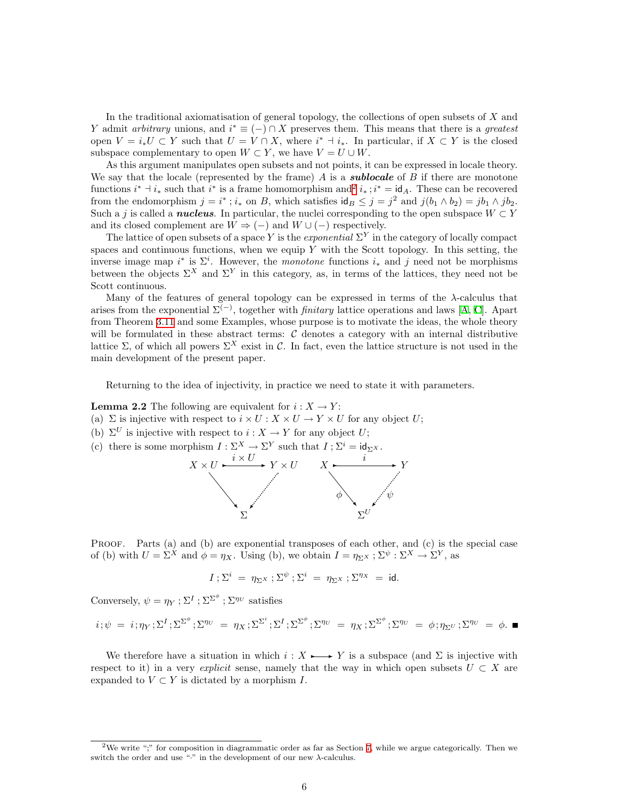In the traditional axiomatisation of general topology, the collections of open subsets of X and Y admit arbitrary unions, and  $i^* \equiv (-) \cap X$  preserves them. This means that there is a greatest open  $V = i_*U \subset Y$  such that  $U = V \cap X$ , where  $i^* \dashv i_*$ . In particular, if  $X \subset Y$  is the closed subspace complementary to open  $W \subset Y$ , we have  $V = U \cup W$ .

As this argument manipulates open subsets and not points, it can be expressed in locale theory. We say that the locale (represented by the frame)  $A$  is a **sublocale** of  $B$  if there are monotone functions  $i^* \dashv i_*$  such that  $i^*$  is a frame homomorphism and  $i^*$ ,  $i^* = id_A$ . These can be recovered from the endomorphism  $j = i^*$ ;  $i_*$  on B, which satisfies  $\mathsf{id}_B \leq j = j^2$  and  $j(b_1 \wedge b_2) = jb_1 \wedge jb_2$ . Such a j is called a **nucleus**. In particular, the nuclei corresponding to the open subspace  $W \subset Y$ and its closed complement are  $W \Rightarrow (-)$  and  $W \cup (-)$  respectively.

The lattice of open subsets of a space Y is the *exponential*  $\Sigma^{Y}$  in the category of locally compact spaces and continuous functions, when we equip  $Y$  with the Scott topology. In this setting, the inverse image map  $i^*$  is  $\Sigma^i$ . However, the *monotone* functions  $i_*$  and j need not be morphisms between the objects  $\Sigma^X$  and  $\Sigma^Y$  in this category, as, in terms of the lattices, they need not be Scott continuous.

Many of the features of general topology can be expressed in terms of the  $\lambda$ -calculus that arisesfrom the exponential  $\Sigma^{(-)}$ , together with *finitary* lattice operations and laws [[A](#page-53-1), [C](#page-53-5)]. Apart from Theorem [3.11](#page-13-0) and some Examples, whose purpose is to motivate the ideas, the whole theory will be formulated in these abstract terms:  $C$  denotes a category with an internal distributive lattice Σ, of which all powers  $\Sigma^X$  exist in C. In fact, even the lattice structure is not used in the main development of the present paper.

Returning to the idea of injectivity, in practice we need to state it with parameters.

**Lemma 2.2** The following are equivalent for  $i: X \to Y$ :

- (a)  $\Sigma$  is injective with respect to  $i \times U : X \times U \to Y \times U$  for any object U;
- (b)  $\Sigma^U$  is injective with respect to  $i: X \to Y$  for any object U;
- (c) there is some morphism  $I: \Sigma^X \to \Sigma^Y$  such that  $I: \Sigma^i = \mathrm{id}_{\Sigma^X}$ .



PROOF. Parts (a) and (b) are exponential transposes of each other, and (c) is the special case of (b) with  $U = \Sigma^X$  and  $\phi = \eta_X$ . Using (b), we obtain  $I = \eta_{\Sigma^X} : \Sigma^{\psi} : \Sigma^X \to \Sigma^Y$ , as

$$
I\; ; \Sigma^i\;=\;\eta_{\Sigma^X}\; ; \Sigma^\psi\; ; \Sigma^i\;=\;\eta_{\Sigma^X}\; ; \Sigma^{\eta_X}\;=\;\text{id}.
$$

Conversely,  $\psi = \eta_Y : \Sigma^I : \Sigma^{\Sigma^{\phi}} : \Sigma^{\eta_U}$  satisfies

$$
i; \psi = i; \eta_Y; \Sigma^I; \Sigma^{\Sigma^{\phi}}; \Sigma^{\eta_U} = \eta_X; \Sigma^{\Sigma^i}; \Sigma^I; \Sigma^{\Sigma^{\phi}}; \Sigma^{\eta_U} = \eta_X; \Sigma^{\Sigma^{\phi}}; \Sigma^{\eta_U} = \phi; \eta_{\Sigma^U}; \Sigma^{\eta_U} = \phi.
$$

<span id="page-5-1"></span>We therefore have a situation in which  $i : X \rightarrow Y$  is a subspace (and  $\Sigma$  is injective with respect to it) in a very explicit sense, namely that the way in which open subsets  $U \subset X$  are expanded to  $V \subset Y$  is dictated by a morphism I.

<span id="page-5-0"></span><sup>&</sup>lt;sup>2</sup>We write ";" for composition in diagrammatic order as far as Section [7](#page-27-1), while we argue categorically. Then we switch the order and use " $\cdot$ " in the development of our new  $\lambda$ -calculus.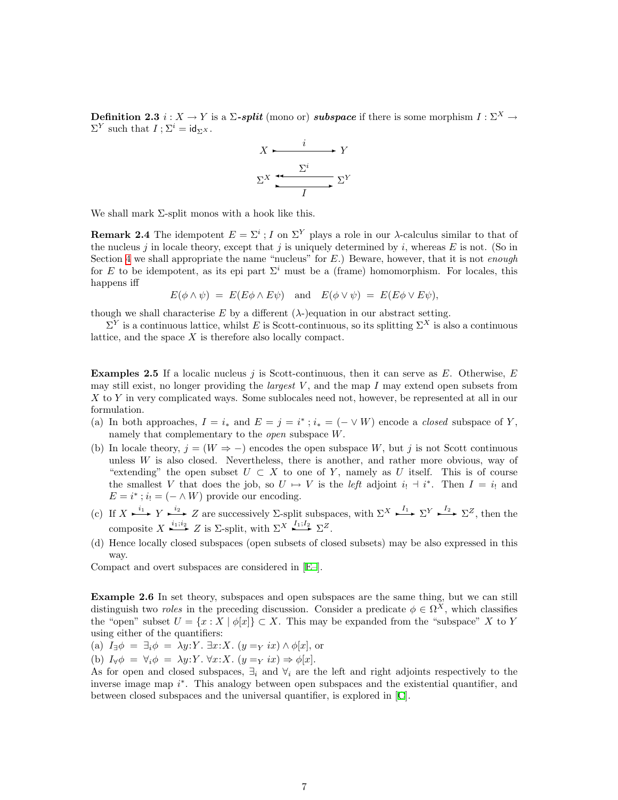**Definition 2.3**  $i: X \to Y$  is a  $\Sigma$ -split (mono or) subspace if there is some morphism  $I: \Sigma^X \to Y$  $\Sigma^Y$  such that  $I$ ;  $\Sigma^i = id_{\Sigma^X}$ .



We shall mark  $\Sigma$ -split monos with a hook like this.

**Remark 2.4** The idempotent  $E = \Sigma^i$ ; I on  $\Sigma^Y$  plays a role in our  $\lambda$ -calculus similar to that of the nucleus j in locale theory, except that j is uniquely determined by i, whereas  $E$  is not. (So in Section [4](#page-14-2) we shall appropriate the name "nucleus" for  $E$ .) Beware, however, that it is not *enough* for E to be idempotent, as its epi part  $\Sigma^i$  must be a (frame) homomorphism. For locales, this happens iff

 $E(\phi \wedge \psi) = E(E\phi \wedge E\psi)$  and  $E(\phi \vee \psi) = E(E\phi \vee E\psi)$ ,

though we shall characterise E by a different  $(\lambda)$ -)equation in our abstract setting.

 $\Sigma^Y$  is a continuous lattice, whilst E is Scott-continuous, so its splitting  $\Sigma^X$  is also a continuous lattice, and the space X is therefore also locally compact.

<span id="page-6-2"></span>**Examples 2.5** If a localic nucleus j is Scott-continuous, then it can serve as E. Otherwise, E. may still exist, no longer providing the *largest*  $V$ , and the map I may extend open subsets from X to Y in very complicated ways. Some sublocales need not, however, be represented at all in our formulation.

- (a) In both approaches,  $I = i_*$  and  $E = j = i^*$ ;  $i_* = (- \vee W)$  encode a *closed* subspace of Y, namely that complementary to the open subspace W.
- (b) In locale theory,  $j = (W \Rightarrow -)$  encodes the open subspace W, but j is not Scott continuous unless  $W$  is also closed. Nevertheless, there is another, and rather more obvious, way of "extending" the open subset  $U \subset X$  to one of Y, namely as U itself. This is of course the smallest V that does the job, so  $U \mapsto V$  is the *left* adjoint  $i_! \dashv i^*$ . Then  $I = i_!$  and  $E = i^*$ ;  $i_! = (- \wedge W)$  provide our encoding.
- <span id="page-6-0"></span>(c) If  $X \xrightarrow{i_1} Y \xrightarrow{i_2} Z$  are successively  $\Sigma$ -split subspaces, with  $\Sigma^X \xrightarrow{I_1} \Sigma^Y \xrightarrow{I_2} \Sigma^Z$ , then the composite  $X \xrightarrow{i_1;i_2} Z$  is  $\Sigma$ -split, with  $\Sigma^X \xrightarrow{I_1;I_2} \Sigma^Z$ .
- (d) Hence locally closed subspaces (open subsets of closed subsets) may be also expressed in this way.

Compact and overt subspaces are considered in[[E–](#page-53-9)].

<span id="page-6-1"></span>Example 2.6 In set theory, subspaces and open subspaces are the same thing, but we can still distinguish two *roles* in the preceding discussion. Consider a predicate  $\phi \in \Omega^{\bar{X}}$ , which classifies the "open" subset  $U = \{x : X \mid \phi[x]\} \subset X$ . This may be expanded from the "subspace" X to Y using either of the quantifiers:

(a)  $I_{\exists}\phi = \exists_i \phi = \lambda y:Y$ .  $\exists x: X$ .  $(y =_{Y} ix) \wedge \phi[x]$ , or

(b)  $I_{\forall} \phi = \forall_i \phi = \lambda y: Y \cdot \forall x: X \cdot (y = Y \cdot ix) \Rightarrow \phi[x].$ 

As for open and closed subspaces,  $\exists_i$  and  $\forall_i$  are the left and right adjoints respectively to the inverse image map  $i^*$ . This analogy between open subspaces and the existential quantifier, and between closed subspaces and the universal quantifier, is explored in [\[C](#page-53-5)].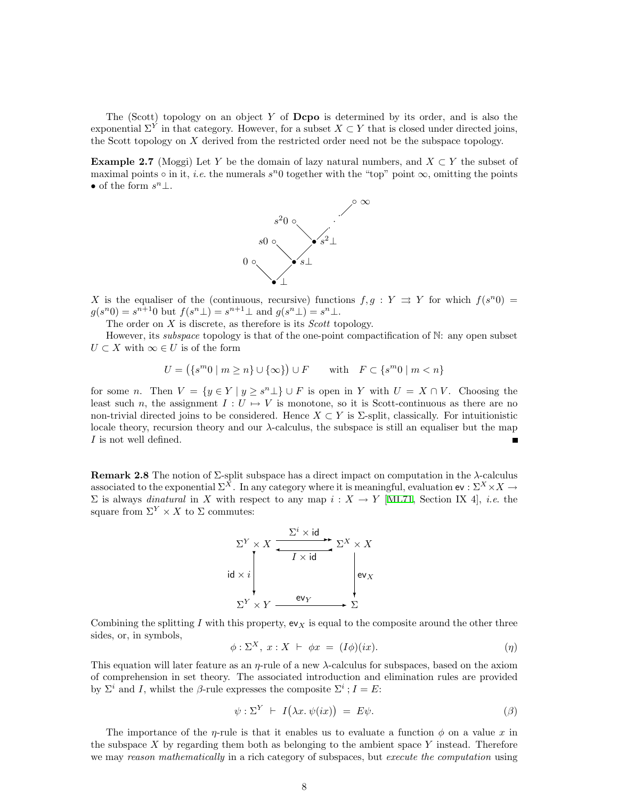The (Scott) topology on an object Y of  $\bf Dcpo$  is determined by its order, and is also the exponential  $\Sigma^Y$  in that category. However, for a subset  $X \subset Y$  that is closed under directed joins, the Scott topology on  $X$  derived from the restricted order need not be the subspace topology.

<span id="page-7-0"></span>Example 2.7 (Moggi) Let Y be the domain of lazy natural numbers, and  $X \subset Y$  the subset of maximal points  $\circ$  in it, *i.e.* the numerals  $s^n$ 0 together with the "top" point  $\infty$ , omitting the points • of the form  $s^n\bot$ .



X is the equaliser of the (continuous, recursive) functions  $f, g: Y \implies Y$  for which  $f(s^n 0) =$  $g(s^n 0) = s^{n+1} 0$  but  $f(s^n \bot) = s^{n+1} \bot$  and  $g(s^n \bot) = s^n \bot$ .

The order on  $X$  is discrete, as therefore is its *Scott* topology.

However, its *subspace* topology is that of the one-point compactification of N: any open subset  $U \subset X$  with  $\infty \in U$  is of the form

$$
U = (\{s^m 0 \mid m \ge n\} \cup \{\infty\}) \cup F \quad \text{with} \quad F \subset \{s^m 0 \mid m < n\}
$$

for some n. Then  $V = \{y \in Y \mid y \geq s^n \perp\} \cup F$  is open in Y with  $U = X \cap V$ . Choosing the least such n, the assignment  $I: U \mapsto V$  is monotone, so it is Scott-continuous as there are no non-trivial directed joins to be considered. Hence  $X \subset Y$  is  $\Sigma$ -split, classically. For intuitionistic locale theory, recursion theory and our λ-calculus, the subspace is still an equaliser but the map I is not well defined. П

<span id="page-7-1"></span>**Remark 2.8** The notion of  $\Sigma$ -split subspace has a direct impact on computation in the  $\lambda$ -calculus associated to the exponential  $\Sigma^{\bar{X}}$ . In any category where it is meaningful, evaluation  $ev : \Sigma^X \times X \to$  $Σ$  is always *dinatural* in X with respect to any map  $i: X → Y$  [[ML71](#page-52-12), Section IX 4], *i.e.* the square from  $\Sigma^Y \times X$  to  $\Sigma$  commutes:



Combining the splitting I with this property,  $ev_X$  is equal to the composite around the other three sides, or, in symbols,

$$
\phi: \Sigma^X, x: X \vdash \phi x = (I\phi)(ix). \tag{1}
$$

This equation will later feature as an  $\eta$ -rule of a new  $\lambda$ -calculus for subspaces, based on the axiom of comprehension in set theory. The associated introduction and elimination rules are provided by  $\Sigma^i$  and I, whilst the β-rule expresses the composite  $\Sigma^i$ ;  $I = E$ :

$$
\psi : \Sigma^{Y} \vdash I(\lambda x. \psi(ix)) = E\psi.
$$
\n
$$
\tag{3}
$$

The importance of the  $\eta$ -rule is that it enables us to evaluate a function  $\phi$  on a value x in the subspace  $X$  by regarding them both as belonging to the ambient space  $Y$  instead. Therefore we may reason mathematically in a rich category of subspaces, but execute the computation using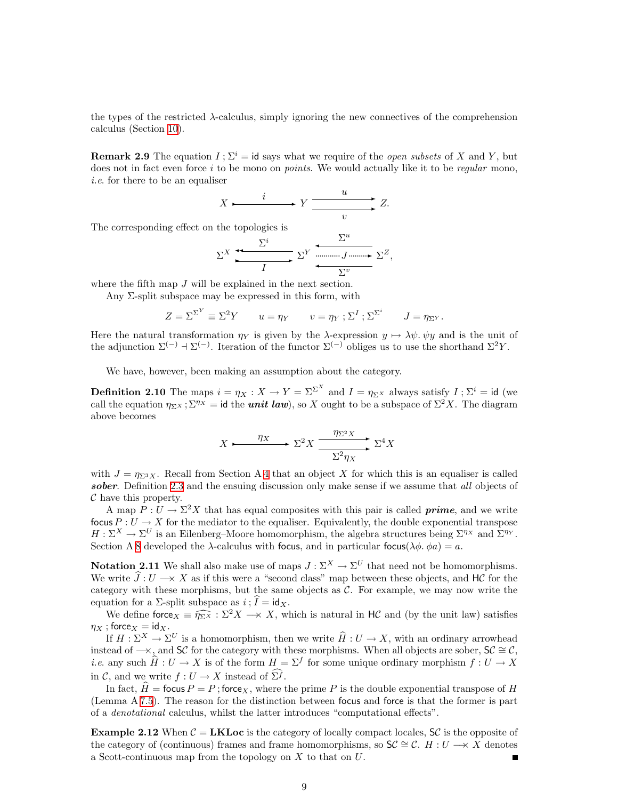the types of the restricted λ-calculus, simply ignoring the new connectives of the comprehension calculus (Section [10](#page-39-1)).

<span id="page-8-2"></span>**Remark 2.9** The equation  $I: \Sigma^{i} = id$  says what we require of the *open subsets* of X and Y, but does not in fact even force  $i$  to be mono on *points*. We would actually like it to be *regular* mono, i.e. for there to be an equaliser

$$
X \xrightarrow{i} Y \xrightarrow{u} Z.
$$

The corresponding effect on the topologies is

$$
\Sigma^{X} \xrightarrow{\Sigma^{i}} \Sigma^{Y} \xrightarrow{\Sigma^{u}} \Sigma^{Z},
$$

where the fifth map  $J$  will be explained in the next section.

Any Σ-split subspace may be expressed in this form, with

$$
Z = \Sigma^{\Sigma^{Y}} \equiv \Sigma^{2} Y \qquad u = \eta_{Y} \qquad v = \eta_{Y} ; \Sigma^{I} ; \Sigma^{\Sigma^{i}} \qquad J = \eta_{\Sigma^{Y}}.
$$

Here the natural transformation  $\eta_Y$  is given by the  $\lambda$ -expression  $y \mapsto \lambda \psi$ ,  $\psi y$  and is the unit of the adjunction  $\Sigma^{(-)}$  +  $\Sigma^{(-)}$ . Iteration of the functor  $\Sigma^{(-)}$  obliges us to use the shorthand  $\Sigma^2 Y$ .

We have, however, been making an assumption about the category.

<span id="page-8-1"></span>**Definition 2.10** The maps  $i = \eta_X : X \to Y = \Sigma^{\Sigma^X}$  and  $I = \eta_{\Sigma^X}$  always satisfy  $I : \Sigma^i = id$  (we call the equation  $\eta_{\Sigma X}$ ;  $\Sigma^{\eta_X}$  = id the *unit law*), so X ought to be a subspace of  $\Sigma^2 X$ . The diagram above becomes

$$
X \xrightarrow{\eta_X} \Sigma^2 X \xrightarrow{\eta_{\Sigma^2 X}} \Sigma^4 X
$$

with  $J = \eta_{\Sigma^3 X}$ . Recall from Section A [4](#page-14-2) that an object X for which this is an equaliser is called sober. Definition [2.3](#page-5-1) and the ensuing discussion only make sense if we assume that all objects of  $\mathcal C$  have this property.

A map  $P: U \to \Sigma^2 X$  that has equal composites with this pair is called **prime**, and we write focus  $P: U \to X$  for the mediator to the equaliser. Equivalently, the double exponential transpose  $H: \Sigma^X \to \Sigma^U$  is an Eilenberg–Moore homomorphism, the algebra structures being  $\Sigma^{\eta_X}$  and  $\Sigma^{\eta_Y}$ . Section A [8](#page-31-1) developed the  $\lambda$ -calculus with focus, and in particular focus( $\lambda \phi$ ,  $\phi a$ ) = a.

<span id="page-8-0"></span>**Notation 2.11** We shall also make use of maps  $J : \Sigma^X \to \Sigma^U$  that need not be homomorphisms. We write  $\hat{J}: U \longrightarrow X$  as if this were a "second class" map between these objects, and HC for the category with these morphisms, but the same objects as  $C$ . For example, we may now write the equation for a  $\Sigma$ -split subspace as  $i$ ;  $I = id_X$ .

We define force  $\overline{X} = \widehat{\eta_{\Sigma}X} : \Sigma^2 X \longrightarrow X$ , which is natural in HC and (by the unit law) satisfies  $\eta_X$ ; force $_X = id_X$ .

If  $H : \Sigma^X \to \Sigma^U$  is a homomorphism, then we write  $\hat{H} : U \to X$ , with an ordinary arrowhead instead of  $\rightarrow$ , and SC for the category with these morphisms. When all objects are sober, SC  $\cong$  C, *i.e.* any such  $\hat{H}: U \to X$  is of the form  $H = \Sigma^f$  for some unique ordinary morphism  $f: U \to X$ in C, and we write  $f: U \to X$  instead of  $\widehat{\Sigma}^f$ .

In fact,  $\hat{H} =$  focus  $P = P$ ; force<sub>X</sub>, where the prime P is the double exponential transpose of H (Lemma A [7.5\)](#page-29-0). The reason for the distinction between focus and force is that the former is part of a denotational calculus, whilst the latter introduces "computational effects".

**Example 2.12** When  $C = LKL$  occurs is the category of locally compact locales,  $SC$  is the opposite of the category of (continuous) frames and frame homomorphisms, so  $\mathsf{SC} \cong \mathcal{C}$ .  $H : U \longrightarrow X$  denotes a Scott-continuous map from the topology on X to that on U.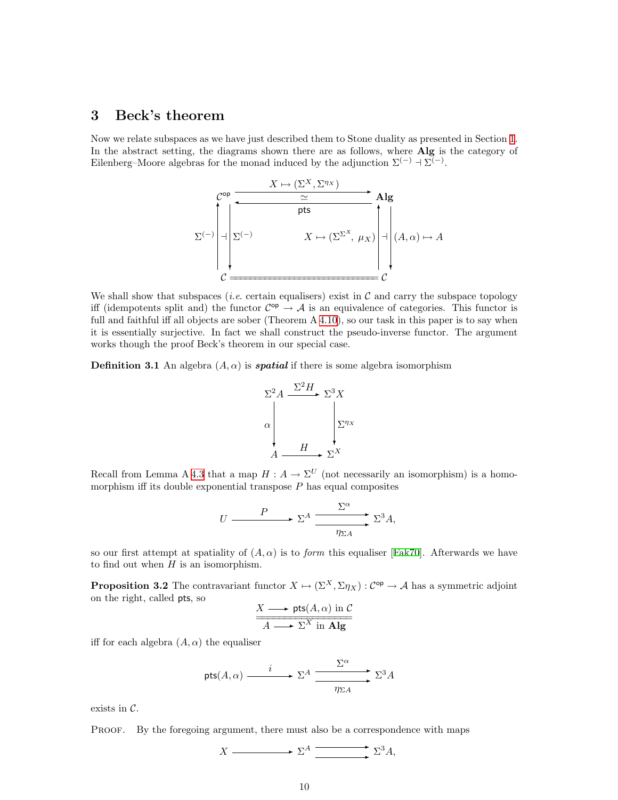### <span id="page-9-1"></span><span id="page-9-0"></span>3 Beck's theorem

Now we relate subspaces as we have just described them to Stone duality as presented in Section [1](#page-0-1). In the abstract setting, the diagrams shown there are as follows, where Alg is the category of Eilenberg–Moore algebras for the monad induced by the adjunction  $\Sigma^{(-)}$  +  $\Sigma^{(-)}$ .



We shall show that subspaces *(i.e.* certain equalisers) exist in  $\mathcal C$  and carry the subspace topology iff (idempotents split and) the functor  $\mathcal{C}^{op} \to \mathcal{A}$  is an equivalence of categories. This functor is full and faithful iff all objects are sober (Theorem A [4.10](#page-16-0)), so our task in this paper is to say when it is essentially surjective. In fact we shall construct the pseudo-inverse functor. The argument works though the proof Beck's theorem in our special case.

<span id="page-9-3"></span>**Definition 3.1** An algebra  $(A, \alpha)$  is *spatial* if there is some algebra isomorphism



Recall from Lemma A [4.3](#page-15-0) that a map  $H : A \to \Sigma^U$  (not necessarily an isomorphism) is a homomorphism iff its double exponential transpose  $P$  has equal composites

$$
U \xrightarrow{\qquad P} \Sigma^A \xrightarrow{\sum^{\alpha}} \Sigma^3 A,
$$

soour first attempt at spatiality of  $(A, \alpha)$  is to *form* this equaliser [[Fak70\]](#page-52-13). Afterwards we have to find out when  $H$  is an isomorphism.

<span id="page-9-2"></span>**Proposition 3.2** The contravariant functor  $X \mapsto (\Sigma^X, \Sigma \eta_X) : C^{op} \to A$  has a symmetric adjoint on the right, called pts, so

$$
\frac{X \longrightarrow \mathsf{pts}(A, \alpha) \text{ in } C}{A \longrightarrow \Sigma^X \text{ in } \mathbf{Alg}}
$$

iff for each algebra  $(A, \alpha)$  the equaliser

$$
\mathsf{pts}(A,\alpha) \xrightarrow{i} \Sigma^A \xrightarrow{\Sigma^{\alpha}} \Sigma^3 A
$$

exists in  $C$ .

Proof. By the foregoing argument, there must also be a correspondence with maps

$$
X \xrightarrow{\qquad} \Sigma^A \xrightarrow{\qquad} \Sigma^3 A,
$$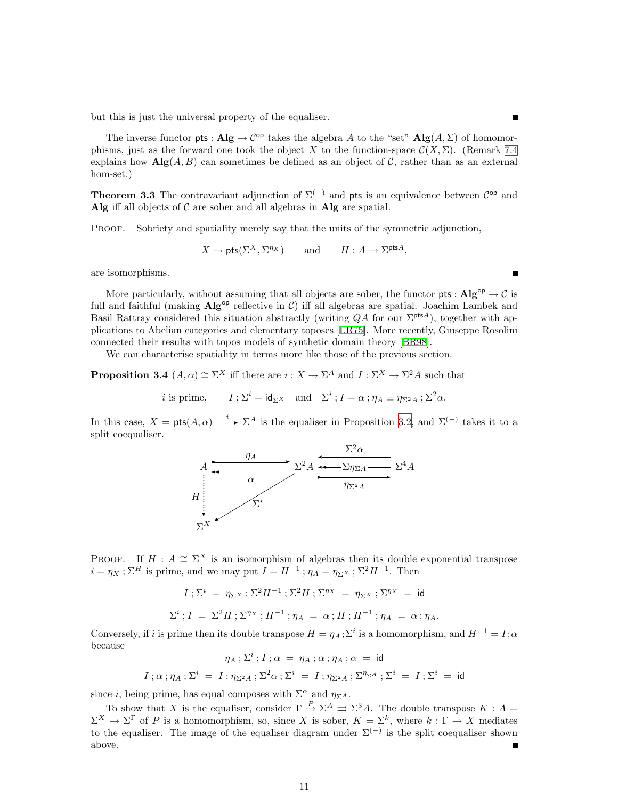but this is just the universal property of the equaliser.

The inverse functor pts :  $\mathbf{Alg} \to \mathcal{C}^{op}$  takes the algebra A to the "set"  $\mathbf{Alg}(A, \Sigma)$  of homomorphisms, just as the forward one took the object X to the function-space  $\mathcal{C}(X,\Sigma)$ . (Remark [7.4](#page-29-1) explains how  $\mathbf{Alg}(A, B)$  can sometimes be defined as an object of C, rather than as an external hom-set.)

<span id="page-10-0"></span>**Theorem 3.3** The contravariant adjunction of  $\Sigma^{(-)}$  and pts is an equivalence between  $\mathcal{C}^{\mathsf{op}}$  and Alg iff all objects of  $\mathcal C$  are sober and all algebras in Alg are spatial.

PROOF. Sobriety and spatiality merely say that the units of the symmetric adjunction,

$$
X \to \text{pts}(\Sigma^X, \Sigma^{\eta_X})
$$
 and  $H: A \to \Sigma^{\text{pts}A}$ ,

are isomorphisms.

More particularly, without assuming that all objects are sober, the functor  $pts : Alg^{op} \to C$  is full and faithful (making  $\text{Alg}^{\text{op}}$  reflective in C) iff all algebras are spatial. Joachim Lambek and Basil Rattray considered this situation abstractly (writing  $QA$  for our  $\Sigma<sup>ptsA</sup>$ ), together with applications to Abelian categories and elementary toposes [\[LR75\]](#page-52-14). More recently, Giuseppe Rosolini connected their results with topos models of synthetic domain theory[[BR98](#page-52-15)].

We can characterise spatiality in terms more like those of the previous section.

<span id="page-10-1"></span>**Proposition 3.4**  $(A, \alpha) \cong \Sigma^X$  iff there are  $i : X \to \Sigma^A$  and  $I : \Sigma^X \to \Sigma^2 A$  such that

*i* is prime,  $I; \Sigma^i = id_{\Sigma^X}$  and  $\Sigma^i; I = \alpha; \eta_A \equiv \eta_{\Sigma^2 A}; \Sigma^2 \alpha.$ 

In this case,  $X = \mathsf{pts}(A, \alpha) \xrightarrow{i} \Sigma^A$  is the equaliser in Proposition [3.2,](#page-9-2) and  $\Sigma^{(-)}$  takes it to a split coequaliser.



PROOF. If  $H : A \cong \Sigma^X$  is an isomorphism of algebras then its double exponential transpose  $i = \eta_X : \Sigma^H$  is prime, and we may put  $\widetilde{I} = H^{-1}$ ;  $\eta_A = \eta_{\Sigma^X} : \Sigma^2 H^{-1}$ . Then

$$
I: \Sigma^{i} = \eta_{\Sigma^{X}}: \Sigma^{2} H^{-1}: \Sigma^{2} H: \Sigma^{\eta_{X}} = \eta_{\Sigma^{X}}: \Sigma^{\eta_{X}} = id
$$
  

$$
\Sigma^{i}: I = \Sigma^{2} H: \Sigma^{\eta_{X}}: H^{-1}: \eta_{A} = \alpha: H: H^{-1}: \eta_{A} = \alpha: \eta_{A}.
$$

Conversely, if i is prime then its double transpose  $H = \eta_A$ ;  $\Sigma^i$  is a homomorphism, and  $H^{-1} = I$ ;  $\alpha$ because

$$
\eta_A\mathbin{;} \Sigma^i\mathbin{;} I\mathbin{;} \alpha\ =\ \eta_A\mathbin{;} \alpha\mathbin{;} \eta_A\mathbin{;} \alpha\ =\ \mathsf{id}
$$
 
$$
I\mathbin{;} \alpha\mathbin{;} \eta_A\mathbin{;} \Sigma^i\ =\ I\mathbin{;} \eta_{\Sigma^2 A}\mathbin{;} \Sigma^2\alpha\mathbin{;} \Sigma^i\ =\ I\mathbin{;} \eta_{\Sigma^2 A}\mathbin{;} \Sigma^{\eta_{\Sigma^A}}\mathbin{;} \Sigma^i\ =\ I\mathbin{;} \Sigma^i\ =\ \mathsf{id}
$$

since *i*, being prime, has equal composes with  $\Sigma^{\alpha}$  and  $\eta_{\Sigma^A}$ .

To show that X is the equaliser, consider  $\Gamma \stackrel{P}{\to} \Sigma^A \rightrightarrows \Sigma^3 A$ . The double transpose  $K : A =$  $\Sigma^X \to \Sigma^{\Gamma}$  of P is a homomorphism, so, since X is sober,  $K = \Sigma^k$ , where  $k : \Gamma \to X$  mediates to the equaliser. The image of the equaliser diagram under  $\Sigma^{(-)}$  is the split coequaliser shown above.  $\blacksquare$ 

Е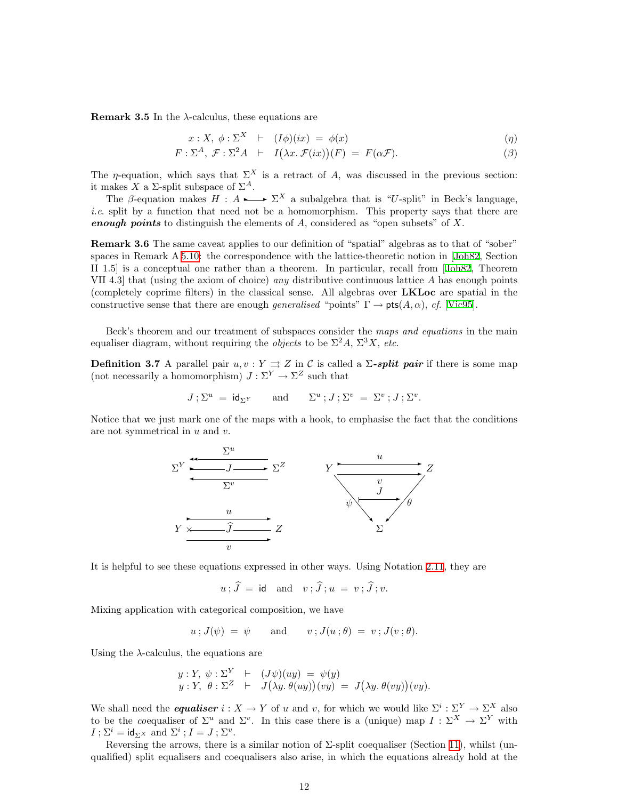**Remark 3.5** In the  $\lambda$ -calculus, these equations are

$$
x: X, \phi: \Sigma^X \quad \vdash \quad (I\phi)(ix) \ = \ \phi(x) \tag{9}
$$

$$
F: \Sigma^{A}, \mathcal{F}: \Sigma^{2} A \ \vdash \ I(\lambda x. \mathcal{F}(ix))(F) = F(\alpha \mathcal{F}). \tag{3}
$$

The *η*-equation, which says that  $\Sigma^X$  is a retract of A, was discussed in the previous section: it makes X a  $\Sigma$ -split subspace of  $\Sigma^A$ .

The β-equation makes  $H : A \rightarrow \Sigma^X$  a subalgebra that is "U-split" in Beck's language, i.e. split by a function that need not be a homomorphism. This property says that there are enough points to distinguish the elements of  $A$ , considered as "open subsets" of  $X$ .

Remark 3.6 The same caveat applies to our definition of "spatial" algebras as to that of "sober" spaces in Remark A [5.10](#page-22-0): the correspondence with the lattice-theoretic notion in[[Joh82](#page-52-0), Section II 1.5] is a conceptual one rather than a theorem. In particular, recall from [\[Joh82,](#page-52-0) Theorem VII 4.3 that (using the axiom of choice) any distributive continuous lattice A has enough points (completely coprime filters) in the classical sense. All algebras over LKLoc are spatial in the constructivesense that there are enough generalised "points"  $\Gamma \to \text{pts}(A, \alpha)$ , cf. [[Vic95](#page-53-10)].

Beck's theorem and our treatment of subspaces consider the maps and equations in the main equaliser diagram, without requiring the *objects* to be  $\Sigma^2 A$ ,  $\Sigma^3 X$ , *etc.* 

<span id="page-11-0"></span>**Definition 3.7** A parallel pair  $u, v: Y \implies Z$  in C is called a  $\Sigma$ -split pair if there is some map (not necessarily a homomorphism)  $J : \Sigma^Y \to \Sigma^Z$  such that

$$
J\mathbin{;}\Sigma^u\;=\;\mathsf{id}_{\Sigma^Y}\qquad\text{and}\qquad \Sigma^u\mathbin{;}J\mathbin{;}\Sigma^v\;=\;\Sigma^v\mathbin{;}J\mathbin{;}\Sigma^v.
$$

Notice that we just mark one of the maps with a hook, to emphasise the fact that the conditions are not symmetrical in  $u$  and  $v$ .



It is helpful to see these equations expressed in other ways. Using Notation [2.11](#page-8-0), they are

$$
u \,;\,\tilde{J} \,=\, \text{id} \quad \text{and} \quad v \,;\,\tilde{J}\,;\,u \,=\, v \,;\,\tilde{J}\,;\,v.
$$

Mixing application with categorical composition, we have

 $u$ ;  $J(\psi) = \psi$  and  $v$ ;  $J(u; \theta) = v$ ;  $J(v; \theta)$ .

Using the  $\lambda$ -calculus, the equations are

$$
y: Y, \psi: \Sigma^{Y} \vdash (J\psi)(uy) = \psi(y)
$$
  

$$
y: Y, \theta: \Sigma^{Z} \vdash J(\lambda y. \theta(uy))(vy) = J(\lambda y. \theta(vy))(vy).
$$

We shall need the *equaliser*  $i: X \to Y$  of u and v, for which we would like  $\Sigma^i: \Sigma^Y \to \Sigma^X$  also to be the coequaliser of  $\Sigma^u$  and  $\Sigma^v$ . In this case there is a (unique) map  $I : \Sigma^X \to \Sigma^Y$  with  $I; \Sigma^i = \text{id}_{\Sigma^X} \text{ and } \Sigma^i; I = J; \Sigma^v.$ 

Reversing the arrows, there is a similar notion of  $\Sigma$ -split coequaliser (Section [11](#page-46-1)), whilst (unqualified) split equalisers and coequalisers also arise, in which the equations already hold at the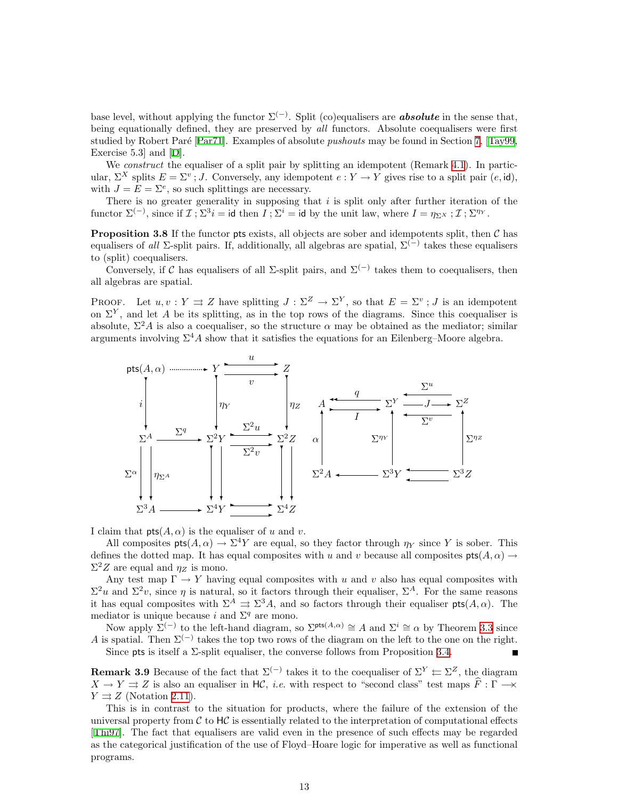base level, without applying the functor  $\Sigma^{(-)}$ . Split (co)equalisers are **absolute** in the sense that, being equationally defined, they are preserved by all functors. Absolute coequalisers were first studiedby Robert Par $\epsilon$  [Par $\tau$ 1]. Examples of absolute *pushouts* may be found in Section [7,](#page-27-1) [[Tay99](#page-53-0), Exercise 5.3] and [\[D\]](#page-53-6).

We *construct* the equaliser of a split pair by splitting an idempotent (Remark [4.1\)](#page-14-1). In particular,  $\Sigma^X$  splits  $E = \Sigma^v$ ; J. Conversely, any idempotent  $e: Y \to Y$  gives rise to a split pair  $(e, id)$ , with  $J = E = \Sigma^e$ , so such splittings are necessary.

There is no greater generality in supposing that  $i$  is split only after further iteration of the functor  $\Sigma^{(-)}$ , since if  $\mathcal{I}; \Sigma^3 i = id$  then  $I; \Sigma^i = id$  by the unit law, where  $I = \eta_{\Sigma^X}; \mathcal{I}; \Sigma^{\eta_Y}$ .

<span id="page-12-0"></span>**Proposition 3.8** If the functor pts exists, all objects are sober and idempotents split, then  $C$  has equalisers of all  $\Sigma$ -split pairs. If, additionally, all algebras are spatial,  $\Sigma^{(-)}$  takes these equalisers to (split) coequalisers.

Conversely, if C has equalisers of all  $\Sigma$ -split pairs, and  $\Sigma^{(-)}$  takes them to coequalisers, then all algebras are spatial.

PROOF. Let  $u, v: Y \rightrightarrows Z$  have splitting  $J: \Sigma^Z \to \Sigma^Y$ , so that  $E = \Sigma^v$ ; J is an idempotent on  $\Sigma^Y$ , and let A be its splitting, as in the top rows of the diagrams. Since this coequaliser is absolute,  $\Sigma^2 A$  is also a coequaliser, so the structure  $\alpha$  may be obtained as the mediator; similar arguments involving  $\Sigma^4 A$  show that it satisfies the equations for an Eilenberg–Moore algebra.



I claim that  $pts(A, \alpha)$  is the equaliser of u and v.

All composites  $pts(A, \alpha) \to \Sigma^4 Y$  are equal, so they factor through  $\eta_Y$  since Y is sober. This defines the dotted map. It has equal composites with u and v because all composites  $pts(A, \alpha) \rightarrow$  $\Sigma^2 Z$  are equal and  $\eta_Z$  is mono.

Any test map  $\Gamma \to Y$  having equal composites with u and v also has equal composites with  $\Sigma^2 u$  and  $\Sigma^2 v$ , since  $\eta$  is natural, so it factors through their equaliser,  $\Sigma^A$ . For the same reasons it has equal composites with  $\Sigma^A \rightrightarrows \Sigma^3 A$ , and so factors through their equaliser  $pts(A, \alpha)$ . The mediator is unique because i and  $\Sigma<sup>q</sup>$  are mono.

Now apply  $\Sigma^{(-)}$  to the left-hand diagram, so  $\Sigma^{pts(A,\alpha)} \cong A$  and  $\Sigma^{i} \cong \alpha$  by Theorem [3.3](#page-10-0) since A is spatial. Then  $\Sigma^{(-)}$  takes the top two rows of the diagram on the left to the one on the right. Since pts is itself a  $\Sigma$ -split equaliser, the converse follows from Proposition [3.4.](#page-10-1)

**Remark 3.9** Because of the fact that  $\Sigma^{(-)}$  takes it to the coequaliser of  $\Sigma^{Y} \simeq \Sigma^{Z}$ , the diagram  $X \to Y \rightrightarrows Z$  is also an equaliser in HC, *i.e.* with respect to "second class" test maps  $\hat{F}: \Gamma \to \infty$  $Y \rightrightarrows Z$  (Notation [2.11\)](#page-8-0).

This is in contrast to the situation for products, where the failure of the extension of the universal property from  $\mathcal C$  to  $H\mathcal C$  is essentially related to the interpretation of computational effects [[Thi97](#page-53-3)]. The fact that equalisers are valid even in the presence of such effects may be regarded as the categorical justification of the use of Floyd–Hoare logic for imperative as well as functional programs.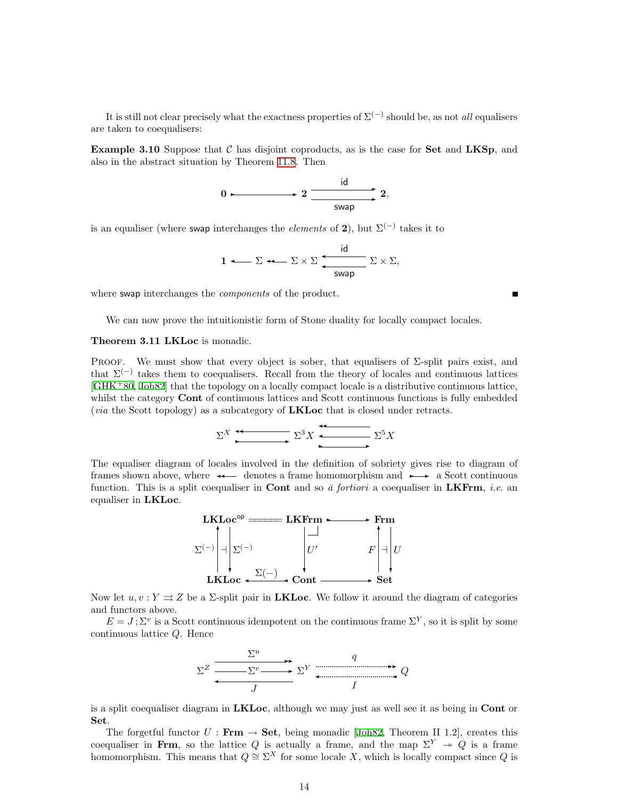It is still not clear precisely what the exactness properties of  $\Sigma^{(-)}$  should be, as not *all* equalisers are taken to coequalisers:

**Example 3.10** Suppose that  $C$  has disjoint coproducts, as is the case for **Set** and **LKSp**, and also in the abstract situation by Theorem [11.8.](#page-49-0) Then

$$
0 \longmapsto 2 \xrightarrow{\text{id}} 2,
$$

is an equaliser (where swap interchanges the *elements* of 2), but  $\Sigma^{(-)}$  takes it to

$$
1 \longleftarrow \Sigma \longleftarrow \Sigma \times \Sigma \underbrace{\frac{\text{id}}{\text{swap}}}\Sigma \times \Sigma,
$$

where swap interchanges the *components* of the product.

We can now prove the intuitionistic form of Stone duality for locally compact locales.

#### <span id="page-13-0"></span>Theorem 3.11 LKLoc is monadic.

PROOF. We must show that every object is sober, that equalisers of  $\Sigma$ -split pairs exist, and that  $\Sigma^{(-)}$  takes them to coequalisers. Recall from the theory of locales and continuous lattices  $[\text{GHK}^+80, \text{Joh82}]$  $[\text{GHK}^+80, \text{Joh82}]$  $[\text{GHK}^+80, \text{Joh82}]$  that the topology on a locally compact locale is a distributive continuous lattice, whilst the category **Cont** of continuous lattices and Scott continuous functions is fully embedded (*via* the Scott topology) as a subcategory of **LKLoc** that is closed under retracts.

$$
\Sigma^X \xrightarrow{\bullet} \Sigma^3 X \xrightarrow{\bullet} \Sigma^5 X
$$

The equaliser diagram of locales involved in the definition of sobriety gives rise to diagram of frames shown above, where  $\leftarrow$  denotes a frame homomorphism and  $\rightarrow \infty$  a Scott continuous function. This is a split coequaliser in **Cont** and so  $\bar{a}$  fortiori a coequaliser in **LKFrm**, *i.e.* an equaliser in LKLoc.



Now let  $u, v: Y \rightrightarrows Z$  be a  $\Sigma$ -split pair in **LKLoc**. We follow it around the diagram of categories and functors above.

 $E = J$ ;  $\Sigma^v$  is a Scott continuous idempotent on the continuous frame  $\Sigma^Y$ , so it is split by some continuous lattice Q. Hence



is a split coequaliser diagram in **LKLoc**, although we may just as well see it as being in **Cont** or Set.

The forgetful functor  $U : \mathbf{Frm} \to \mathbf{Set}$ , being monadic [\[Joh82,](#page-52-0) Theorem II 1.2], creates this coequaliser in Frm, so the lattice Q is actually a frame, and the map  $\Sigma^Y \rightarrow Q$  is a frame homomorphism. This means that  $Q \cong \Sigma^X$  for some locale X, which is locally compact since Q is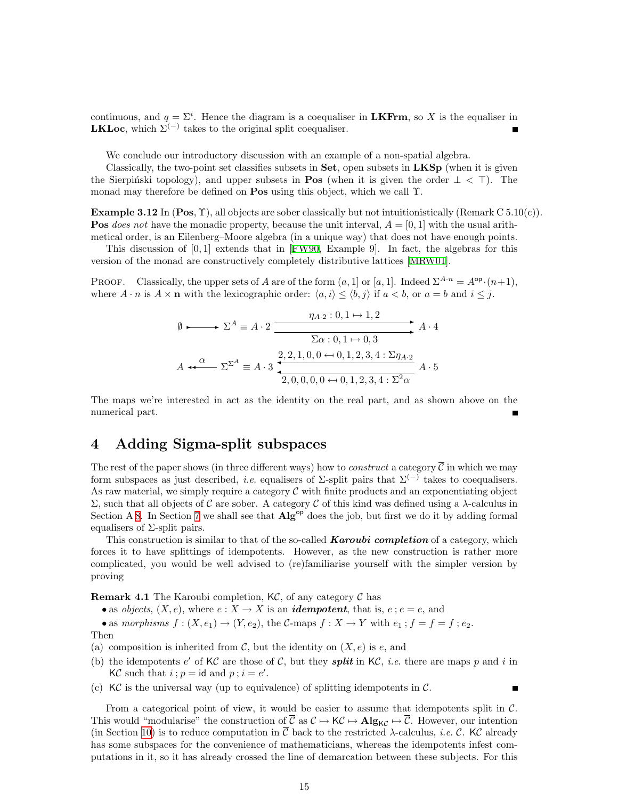<span id="page-14-0"></span>continuous, and  $q = \Sigma^i$ . Hence the diagram is a coequaliser in **LKFrm**, so X is the equaliser in **LKLoc**, which  $\Sigma^{(-)}$  takes to the original split coequaliser.

We conclude our introductory discussion with an example of a non-spatial algebra.

Classically, the two-point set classifies subsets in  $\mathbf{Set}$ , open subsets in  $\mathbf{LKSp}$  (when it is given the Sierpinski topology), and upper subsets in **Pos** (when it is given the order  $\perp < \top$ ). The monad may therefore be defined on Pos using this object, which we call Υ.

**Example 3.12** In  $(Pos, \Upsilon)$ , all objects are sober classically but not intuitionistically (Remark C 5.10(c)). **Pos** does not have the monadic property, because the unit interval,  $A = [0, 1]$  with the usual arithmetical order, is an Eilenberg–Moore algebra (in a unique way) that does not have enough points.

This discussion of [0, 1] extends that in [\[FW90](#page-52-18), Example 9]. In fact, the algebras for this version of the monad are constructively completely distributive lattices [\[MRW01\]](#page-52-19).

PROOF. Classically, the upper sets of A are of the form  $(a, 1]$  or  $[a, 1]$ . Indeed  $\Sigma^{A \cdot n} = A^{\mathsf{op}} \cdot (n+1)$ , where  $A \cdot n$  is  $A \times n$  with the lexicographic order:  $\langle a, i \rangle \leq \langle b, j \rangle$  if  $a < b$ , or  $a = b$  and  $i \leq j$ .

$$
\emptyset \longrightarrow \Sigma^A \equiv A \cdot 2 \xrightarrow{\eta_{A \cdot 2} : 0, 1 \mapsto 1, 2} A \cdot 4
$$
  

$$
\Sigma^A \equiv A \cdot 3 \xrightarrow{\Sigma^A \Sigma^A} A \cdot 4 \xrightarrow{\Omega \times 2, 2, 1, 0, 0 \leftrightarrow 0, 1, 2, 3, 4 : \Sigma \eta_{A \cdot 2}} A \cdot 5
$$

The maps we're interested in act as the identity on the real part, and as shown above on the numerical part.

### <span id="page-14-2"></span>4 Adding Sigma-split subspaces

The rest of the paper shows (in three different ways) how to *construct* a category  $\overline{C}$  in which we may form subspaces as just described, *i.e.* equalisers of  $\Sigma$ -split pairs that  $\Sigma^{(-)}$  takes to coequalisers. As raw material, we simply require a category  $\mathcal C$  with finite products and an exponentiating object Σ, such that all objects of C are sober. A category C of this kind was defined using a λ-calculus in Section A [8](#page-31-1). In Section [7](#page-27-1) we shall see that  $\mathbf{Alg}^{\mathsf{op}}$  does the job, but first we do it by adding formal equalisers of  $\Sigma$ -split pairs.

This construction is similar to that of the so-called **Karoubi completion** of a category, which forces it to have splittings of idempotents. However, as the new construction is rather more complicated, you would be well advised to (re)familiarise yourself with the simpler version by proving

<span id="page-14-1"></span>**Remark 4.1** The Karoubi completion,  $K\mathcal{C}$ , of any category  $\mathcal{C}$  has

• as *objects*,  $(X, e)$ , where  $e : X \to X$  is an *idempotent*, that is,  $e : e = e$ , and

• as morphisms  $f: (X, e_1) \to (Y, e_2)$ , the C-maps  $f: X \to Y$  with  $e_1$ ;  $f = f = f$ ;  $e_2$ . Then

(a) composition is inherited from  $\mathcal{C}$ , but the identity on  $(X, e)$  is e, and

- (b) the idempotents e' of KC are those of C, but they **split** in KC, *i.e.* there are maps p and i in KC such that  $i$ ;  $p = id$  and  $p$ ;  $i = e'$ .
- (c)  $\mathsf{KC}\xspace$  is the universal way (up to equivalence) of splitting idempotents in  $\mathsf{C}\xspace$ .

From a categorical point of view, it would be easier to assume that idempotents split in  $\mathcal{C}$ . This would "modularise" the construction of  $\overline{C}$  as  $C \mapsto K_C \mapsto Alg_{KC} \mapsto \overline{C}$ . However, our intention (in Section [10](#page-39-1)) is to reduce computation in  $\overline{C}$  back to the restricted  $\lambda$ -calculus, *i.e.* C. KC already has some subspaces for the convenience of mathematicians, whereas the idempotents infest computations in it, so it has already crossed the line of demarcation between these subjects. For this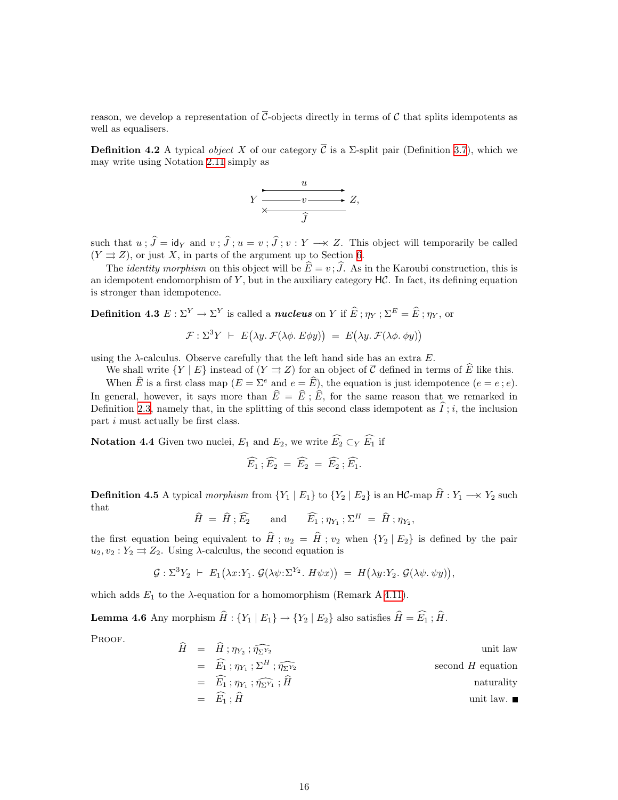reason, we develop a representation of  $\overline{\mathcal{C}}$ -objects directly in terms of C that splits idempotents as well as equalisers.

<span id="page-15-3"></span>**Definition 4.2** A typical *object* X of our category  $\overline{C}$  is a  $\Sigma$ -split pair (Definition [3.7\)](#page-11-0), which we may write using Notation [2.11](#page-8-0) simply as



such that  $u$ ;  $\hat{J} = id_Y$  and  $v$ ;  $\hat{J}$ ;  $u = v$ ;  $\hat{J}$ ;  $v : Y \longrightarrow Z$ . This object will temporarily be called  $(Y \rightrightarrows Z)$ , or just X, in parts of the argument up to Section [6.](#page-23-1)

The *identity morphism* on this object will be  $\widehat{E} = v$ ;  $\widehat{J}$ . As in the Karoubi construction, this is an idempotent endomorphism of Y, but in the auxiliary category  $HC$ . In fact, its defining equation is stronger than idempotence.

<span id="page-15-0"></span>**Definition 4.3**  $E: \Sigma^Y \to \Sigma^Y$  is called a *nucleus* on Y if  $\widehat{E}$ ;  $\eta_Y$ ;  $\Sigma^E = \widehat{E}$ ;  $\eta_Y$ , or

$$
\mathcal{F}: \Sigma^3 Y \ \vdash \ E(\lambda y. \ \mathcal{F}(\lambda \phi. \ E\phi y)) \ = \ E(\lambda y. \ \mathcal{F}(\lambda \phi. \ \phi y))
$$

using the  $\lambda$ -calculus. Observe carefully that the left hand side has an extra E.

We shall write  $\{Y \mid E\}$  instead of  $(Y \rightrightarrows Z)$  for an object of  $\overline{C}$  defined in terms of  $\widehat{E}$  like this.

When  $\widehat{E}$  is a first class map  $(E = \Sigma^e$  and  $e = \widehat{E}$ ), the equation is just idempotence  $(e = e : e)$ . In general, however, it says more than  $\hat{E} = \hat{E}$ ;  $\hat{E}$ , for the same reason that we remarked in Definition [2.3](#page-5-1), namely that, in the splitting of this second class idempotent as  $\tilde{I}$ ; i, the inclusion part i must actually be first class.

<span id="page-15-4"></span>**Notation 4.4** Given two nuclei,  $E_1$  and  $E_2$ , we write  $\widehat{E_2} \subset_Y \widehat{E_1}$  if

$$
\widehat{E_1} \, ; \widehat{E_2} \, = \, \widehat{E_2} \, = \, \widehat{E_2} \, ; \widehat{E_1}.
$$

<span id="page-15-1"></span>**Definition 4.5** A typical morphism from  $\{Y_1 \mid E_1\}$  to  $\{Y_2 \mid E_2\}$  is an HC-map  $\hat{H}: Y_1 \longrightarrow Y_2$  such that

$$
\widehat{H} = \widehat{H}; \widehat{E_2}
$$
 and  $\widehat{E_1}; \eta_{Y_1}; \Sigma^H = \widehat{H}; \eta_{Y_2},$ 

the first equation being equivalent to  $\hat{H}$ ;  $u_2 = \hat{H}$ ;  $v_2$  when  ${Y_2 | E_2}$  is defined by the pair  $u_2, v_2 : Y_2 \rightrightarrows Z_2$ . Using  $\lambda$ -calculus, the second equation is

$$
\mathcal{G}: \Sigma^3 Y_2 \vdash E_1(\lambda x: Y_1. \mathcal{G}(\lambda \psi: \Sigma^{Y_2}. H \psi x)) = H(\lambda y: Y_2. \mathcal{G}(\lambda \psi. \psi y)),
$$

which adds  $E_1$  to the  $\lambda$ -equation for a homomorphism (Remark A [4.11\)](#page-16-1).

<span id="page-15-2"></span>**Lemma 4.6** Any morphism  $\widehat{H}$  :  $\{Y_1 | E_1\} \rightarrow \{Y_2 | E_2\}$  also satisfies  $\widehat{H} = \widehat{E_1}$ ;  $\widehat{H}$ .

PROOF.

$$
H = H; \eta_{Y_2}; \eta_{\Sigma^{Y_2}} \qquad \text{unit law}
$$
  
\n
$$
= \widehat{E_1}; \eta_{Y_1}; \Sigma^H; \widehat{\eta_{\Sigma^{Y_2}}}
$$
  
\n
$$
= \widehat{E_1}; \eta_{Y_1}; \widehat{\eta_{\Sigma^{Y_1}}}; \widehat{H} \qquad \text{second } H \text{ equation}
$$
  
\n
$$
= \widehat{E_1}; \widehat{H} \qquad \text{unit law.}
$$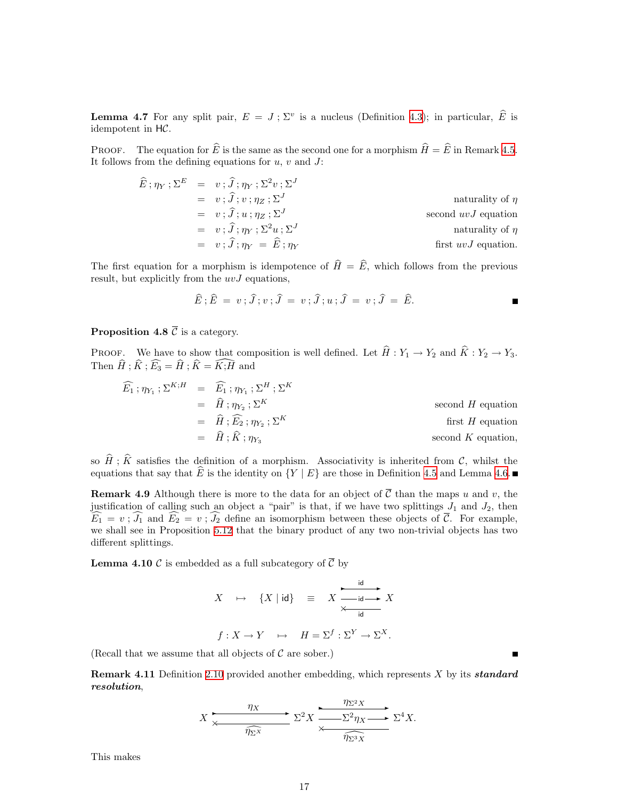**Lemma 4.7** For any split pair,  $E = J$ ;  $\Sigma^v$  is a nucleus (Definition [4.3\)](#page-15-0); in particular,  $\widehat{E}$  is idempotent in HC.

PROOF. The equation for  $\widehat{E}$  is the same as the second one for a morphism  $\widehat{H} = \widehat{E}$  in Remark [4.5](#page-15-1). It follows from the defining equations for  $u, v$  and  $J$ :

$$
\widehat{E} ; \eta_Y ; \Sigma^E = v ; \widehat{J} ; \eta_Y ; \Sigma^2 v ; \Sigma^J
$$
\n
$$
= v ; \widehat{J} ; v ; \eta_Z ; \Sigma^J
$$
\n
$$
= v ; \widehat{J} ; u ; \eta_Z ; \Sigma^J
$$
\n
$$
= v ; \widehat{J} ; \eta_Y ; \Sigma^2 u ; \Sigma^J
$$
\nis second *uvJ* equation  
\n
$$
= v ; \widehat{J} ; \eta_Y ; \Sigma^2 u ; \Sigma^J
$$
\nis second *uvJ* equation  
\n
$$
= v ; \widehat{J} ; \eta_Y = \widehat{E} ; \eta_Y
$$
\nfirst *uvJ* equation.

The first equation for a morphism is idempotence of  $\hat{H} = \hat{E}$ , which follows from the previous result, but explicitly from the  $uvJ$  equations,

$$
\widehat{E}; \widehat{E} = v; \widehat{J}; v; \widehat{J} = v; \widehat{J}; u; \widehat{J} = v; \widehat{J} = \widehat{E}.
$$

#### **Proposition 4.8**  $\overline{C}$  is a category.

PROOF. We have to show that composition is well defined. Let  $\hat{H} : Y_1 \to Y_2$  and  $\hat{K} : Y_2 \to Y_3$ . Then  $\widehat{H}$ ;  $\widehat{K}$ ;  $\widehat{E_3} = \widehat{H}$ ;  $\widehat{K} = \widehat{K}$ ;  $\widehat{H}$  and

$$
\widehat{E_1} ; \eta_{Y_1} ; \Sigma^{K;H} = \widehat{E_1} ; \eta_{Y_1} ; \Sigma^H ; \Sigma^K
$$
\n
$$
= \widehat{H} ; \eta_{Y_2} ; \Sigma^K
$$
\n
$$
= \widehat{H} ; \widehat{E_2} ; \eta_{Y_2} ; \Sigma^K
$$
\n
$$
= \widehat{H} ; \widehat{K} ; \eta_{Y_3}
$$
\nsecond *H* equation  
\nfirst *H* equation,  
\nsecond *K* equation,

so  $\hat{H}$ ;  $\hat{K}$  satisfies the definition of a morphism. Associativity is inherited from C, whilst the equations that say that  $\widehat{E}$  is the identity on  ${Y | E}$  are those in Definition [4.5](#page-15-1) and Lemma [4.6](#page-15-2).

**Remark 4.9** Although there is more to the data for an object of  $\overline{C}$  than the maps u and v, the justification of calling such an object a "pair" is that, if we have two splittings  $J_1$  and  $J_2$ , then  $\widehat{E}_1 = v$ ;  $\widehat{J}_1$  and  $\widehat{E}_2 = v$ ;  $\widehat{J}_2$  define an isomorphism between these objects of  $\overline{\mathcal{C}}$ . For example, we shall see in Proposition [5.12](#page-23-2) that the binary product of any two non-trivial objects has two different splittings.

<span id="page-16-0"></span>**Lemma 4.10** C is embedded as a full subcategory of  $\overline{C}$  by

$$
X \rightarrow \{X \mid \text{id}\} \equiv X \xrightarrow{\text{id} \text{Id}} X
$$

$$
f: X \rightarrow Y \rightarrow H = \Sigma^{f}: \Sigma^{Y} \rightarrow \Sigma^{X}.
$$

<span id="page-16-1"></span>(Recall that we assume that all objects of  $\mathcal C$  are sober.)

**Remark 4.11** Definition [2.10](#page-8-1) provided another embedding, which represents X by its **standard** resolution,

$$
X \xrightarrow{\eta_X} \Sigma^2 X \xrightarrow{\eta_{\Sigma^2 X}} \Sigma^4 X.
$$

This makes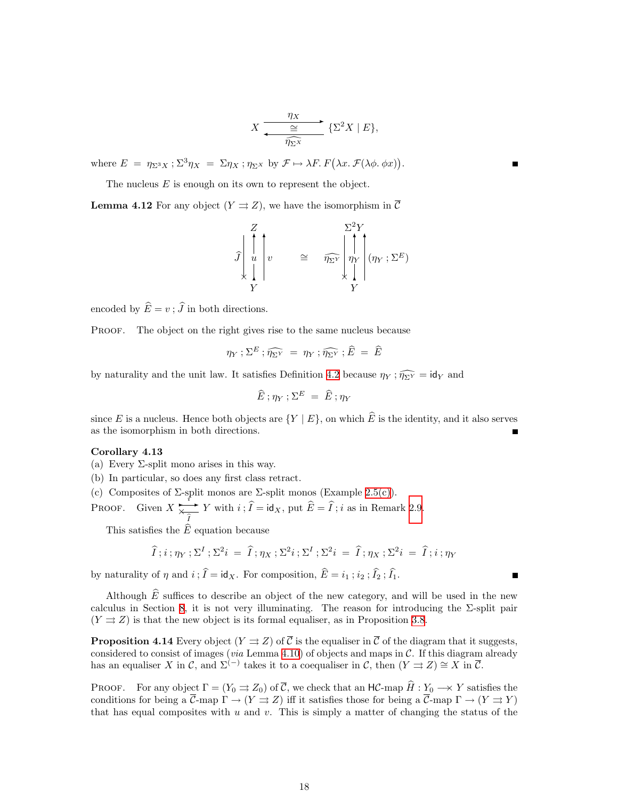$$
X \xrightarrow{\eta_X} {\mathcal{Z}^2 X \mid E},
$$

where  $E = \eta_{\Sigma^3 X}$ ;  $\Sigma^3 \eta_X = \Sigma \eta_X$ ;  $\eta_{\Sigma^X}$  by  $\mathcal{F} \mapsto \lambda F$ .  $F(\lambda x. \mathcal{F}(\lambda \phi. \phi x))$ .

The nucleus E is enough on its own to represent the object.

<span id="page-17-2"></span>**Lemma 4.12** For any object  $(Y \rightrightarrows Z)$ , we have the isomorphism in C

$$
\hat{J} \begin{bmatrix} Z \\ \hat{I} \\ u \\ \hat{I} \end{bmatrix} v \approx \hat{\eta_{\Sigma Y}} \begin{bmatrix} \sum^{2} Y \\ \eta_{Y} \\ Y \end{bmatrix} (\eta_{Y}; \Sigma^{E})
$$

encoded by  $\widehat{E} = v : \widehat{J}$  in both directions.

PROOF. The object on the right gives rise to the same nucleus because

$$
\eta_Y;\Sigma^E;\widehat{\eta_{\Sigma Y}} = \eta_Y;\widehat{\eta_{\Sigma Y}};\widehat{E} = \widehat{E}
$$

by naturality and the unit law. It satisfies Definition [4.2](#page-15-3) because  $\eta_Y$ ;  $\widehat{\eta_{\Sigma Y}} = id_Y$  and

$$
\widehat{E}~; \eta_Y~; \Sigma^E ~=~ \widehat{E}~; \eta_Y
$$

since E is a nucleus. Hence both objects are  $\{Y \mid E\}$ , on which  $\widehat{E}$  is the identity, and it also serves as the isomorphism in both directions.

#### <span id="page-17-1"></span>Corollary 4.13

- (a) Every  $\Sigma$ -split mono arises in this way.
- (b) In particular, so does any first class retract.
- (c) Composites of  $\Sigma$ -split monos are  $\Sigma$ -split monos (Example [2.5\(c\)](#page-6-0)).

PROOF. Given X  $\frac{1}{\epsilon}$  $\overline{\mathsf{x}}$  $\overrightarrow{\hat{I}}$  Y with  $i$ ;  $I = id_X$ , put  $E = I$ ; i as in Remark [2.9](#page-8-2).

This satisfies the  $\widehat{E}$  equation because

$$
\widehat{I}: i : \eta_Y : \Sigma^I : \Sigma^2 i = \widehat{I} : \eta_X : \Sigma^2 i : \Sigma^I : \Sigma^2 i = \widehat{I} : \eta_X : \Sigma^2 i = \widehat{I} : i : \eta_Y
$$

Е

by naturality of  $\eta$  and  $i$ ;  $\widehat{I} = id_X$ . For composition,  $\widehat{E} = i_1$ ;  $i_2$ ;  $\widehat{I}_2$ ;  $\widehat{I}_1$ .

Although  $\hat{E}$  suffices to describe an object of the new category, and will be used in the new calculus in Section [8,](#page-31-1) it is not very illuminating. The reason for introducing the  $\Sigma$ -split pair  $(Y \rightrightarrows Z)$  is that the new object is its formal equaliser, as in Proposition [3.8.](#page-12-0)

<span id="page-17-0"></span>**Proposition 4.14** Every object  $(Y \rightrightarrows Z)$  of  $\overline{C}$  is the equaliser in  $\overline{C}$  of the diagram that it suggests, considered to consist of images (*via* Lemma [4.10\)](#page-16-0) of objects and maps in  $\mathcal{C}$ . If this diagram already has an equaliser X in C, and  $\Sigma^{(-)}$  takes it to a coequaliser in C, then  $(Y \rightrightarrows Z) \cong X$  in  $\overline{\mathcal{C}}$ .

PROOF. For any object  $\Gamma = (Y_0 \rightrightarrows Z_0)$  of  $\overline{\mathcal{C}}$ , we check that an HC-map  $\widehat{H}: Y_0 \longrightarrow Y$  satisfies the conditions for being a  $\overline{\mathcal{C}}$ -map  $\Gamma \to (Y \rightrightarrows Z)$  iff it satisfies those for being a  $\overline{\mathcal{C}}$ -map  $\Gamma \to (Y \rightrightarrows Y)$ that has equal composites with  $u$  and  $v$ . This is simply a matter of changing the status of the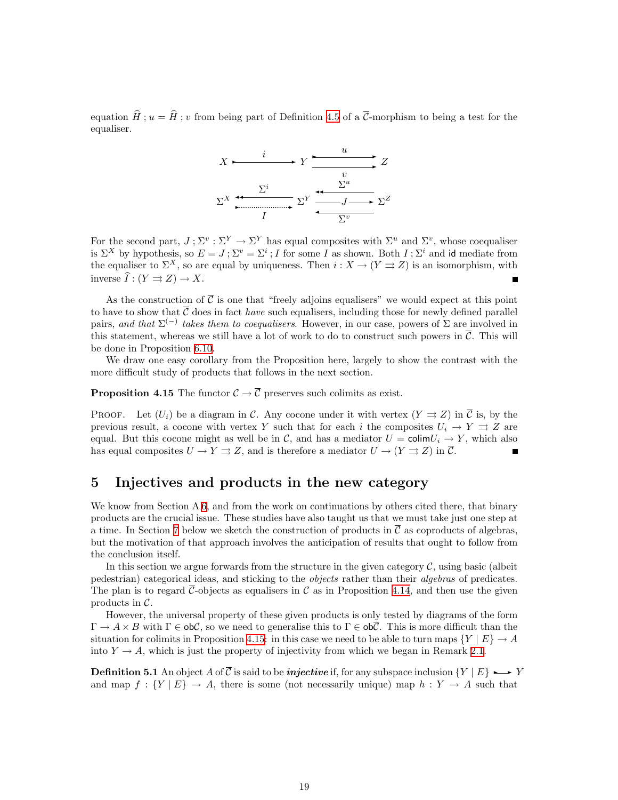<span id="page-18-0"></span>equation  $\hat{H}$ ;  $u = \hat{H}$ ; v from being part of Definition [4.5](#page-15-1) of a  $\overline{C}$ -morphism to being a test for the equaliser.



For the second part,  $J: \Sigma^v : \Sigma^Y \to \Sigma^Y$  has equal composites with  $\Sigma^u$  and  $\Sigma^v$ , whose coequaliser is  $\Sigma^X$  by hypothesis, so  $E = J; \Sigma^v = \Sigma^i; I$  for some I as shown. Both  $I; \Sigma^i$  and id mediate from the equaliser to  $\Sigma^X$ , so are equal by uniqueness. Then  $i : X \to (Y \rightrightarrows Z)$  is an isomorphism, with inverse  $\widehat{I}: (Y \rightrightarrows Z) \to X$ .

As the construction of  $\overline{C}$  is one that "freely adjoins equalisers" we would expect at this point to have to show that  $\overline{C}$  does in fact *have* such equalisers, including those for newly defined parallel pairs, and that  $\Sigma^{(-)}$  takes them to coequalisers. However, in our case, powers of  $\Sigma$  are involved in this statement, whereas we still have a lot of work to do to construct such powers in  $\overline{C}$ . This will be done in Proposition [6.10](#page-25-0).

We draw one easy corollary from the Proposition here, largely to show the contrast with the more difficult study of products that follows in the next section.

<span id="page-18-1"></span>**Proposition 4.15** The functor  $C \to \overline{C}$  preserves such colimits as exist.

PROOF. Let  $(U_i)$  be a diagram in C. Any cocone under it with vertex  $(Y \rightrightarrows Z)$  in  $\overline{C}$  is, by the previous result, a cocone with vertex Y such that for each i the composites  $U_i \rightarrow Y \rightrightarrows Z$  are equal. But this cocone might as well be in C, and has a mediator  $U = \text{colim} U_i \rightarrow Y$ , which also has equal composites  $U \to Y \rightrightarrows Z$ , and is therefore a mediator  $U \to (Y \rightrightarrows Z)$  in  $\overline{C}$ .

### <span id="page-18-2"></span>5 Injectives and products in the new category

We know from Section A [6,](#page-23-1) and from the work on continuations by others cited there, that binary products are the crucial issue. These studies have also taught us that we must take just one step at a time. In Section [7](#page-27-1) below we sketch the construction of products in  $\overline{\mathcal{C}}$  as coproducts of algebras, but the motivation of that approach involves the anticipation of results that ought to follow from the conclusion itself.

In this section we argue forwards from the structure in the given category  $\mathcal{C}$ , using basic (albeit pedestrian) categorical ideas, and sticking to the objects rather than their algebras of predicates. The plan is to regard  $\overline{\mathcal{C}}$ -objects as equalisers in  $\mathcal{C}$  as in Proposition [4.14](#page-17-0), and then use the given products in  $\mathcal{C}$ .

However, the universal property of these given products is only tested by diagrams of the form  $\Gamma \to A \times B$  with  $\Gamma \in ob\mathcal{C}$ , so we need to generalise this to  $\Gamma \in ob\overline{\mathcal{C}}$ . This is more difficult than the situation for colimits in Proposition [4.15](#page-18-1): in this case we need to be able to turn maps  $\{Y \mid E\} \to A$ into  $Y \to A$ , which is just the property of injectivity from which we began in Remark [2.1](#page-4-1).

**Definition 5.1** An object A of  $\overline{C}$  is said to be *injective* if, for any subspace inclusion  $\{Y | E\} \rightarrow Y$ and map  $f: \{Y \mid E\} \to A$ , there is some (not necessarily unique) map  $h: Y \to A$  such that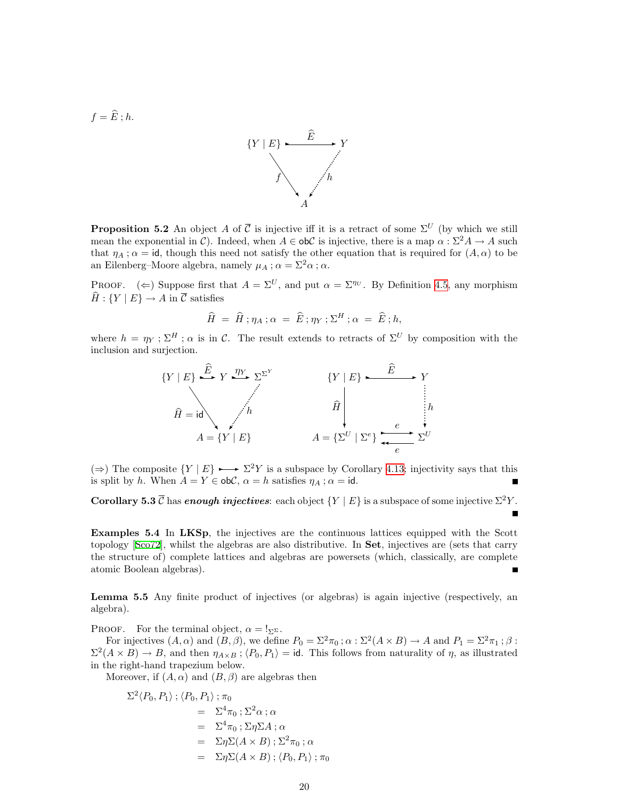$f = \widehat{E}$ ; h.



<span id="page-19-0"></span>**Proposition 5.2** An object A of  $\overline{C}$  is injective iff it is a retract of some  $\Sigma^U$  (by which we still mean the exponential in C). Indeed, when  $A \in \text{obC}$  is injective, there is a map  $\alpha : \Sigma^2 A \to A$  such that  $\eta_A$ ;  $\alpha = id$ , though this need not satisfy the other equation that is required for  $(A, \alpha)$  to be an Eilenberg–Moore algebra, namely  $\mu_A$ ;  $\alpha = \Sigma^2 \alpha$ ;  $\alpha$ .

PROOF. ( $\Leftarrow$ ) Suppose first that  $A = \Sigma^{U}$ , and put  $\alpha = \Sigma^{\eta_{U}}$ . By Definition [4.5,](#page-15-1) any morphism  $\widehat{H}: {Y | E} \rightarrow A$  in  $\overline{C}$  satisfies

$$
\widehat{H} = \widehat{H} ; \eta_A ; \alpha = \widehat{E} ; \eta_Y ; \Sigma^H ; \alpha = \widehat{E} ; h,
$$

where  $h = \eta_Y : \Sigma^H : \alpha$  is in C. The result extends to retracts of  $\Sigma^U$  by composition with the inclusion and surjection.



(⇒) The composite  $\{Y | E\}$  →  $\Sigma^2 Y$  is a subspace by Corollary [4.13](#page-17-1); injectivity says that this is split by h. When  $A = Y \in ob\mathcal{C}$ ,  $\alpha = h$  satisfies  $\eta_A$ ;  $\alpha = id$ .

<span id="page-19-2"></span>Corollary 5.3  $\overline{C}$  has enough injectives: each object  $\{Y \mid E\}$  is a subspace of some injective  $\Sigma^2 Y$ .

Examples 5.4 In LKSp, the injectives are the continuous lattices equipped with the Scott topology[[Sco72\]](#page-53-11), whilst the algebras are also distributive. In Set, injectives are (sets that carry the structure of) complete lattices and algebras are powersets (which, classically, are complete atomic Boolean algebras).

<span id="page-19-1"></span>Lemma 5.5 Any finite product of injectives (or algebras) is again injective (respectively, an algebra).

PROOF. For the terminal object,  $\alpha = I_{\Sigma^{\Sigma}}$ .

For injectives  $(A, \alpha)$  and  $(B, \beta)$ , we define  $P_0 = \Sigma^2 \pi_0$ ;  $\alpha : \Sigma^2(A \times B) \to A$  and  $P_1 = \Sigma^2 \pi_1$ ;  $\beta$ :  $\Sigma^2(A \times B) \to B$ , and then  $\eta_{A \times B}$ ;  $\langle P_0, P_1 \rangle = id$ . This follows from naturality of  $\eta$ , as illustrated in the right-hand trapezium below.

Moreover, if  $(A, \alpha)$  and  $(B, \beta)$  are algebras then

$$
\Sigma^2 \langle P_0, P_1 \rangle ; \langle P_0, P_1 \rangle ; \pi_0
$$
  
=  $\Sigma^4 \pi_0 ; \Sigma^2 \alpha ; \alpha$   
=  $\Sigma^4 \pi_0 ; \Sigma \eta \Sigma A ; \alpha$   
=  $\Sigma \eta \Sigma (A \times B) ; \Sigma^2 \pi_0 ; \alpha$   
=  $\Sigma \eta \Sigma (A \times B) ; \langle P_0, P_1 \rangle ; \pi_0$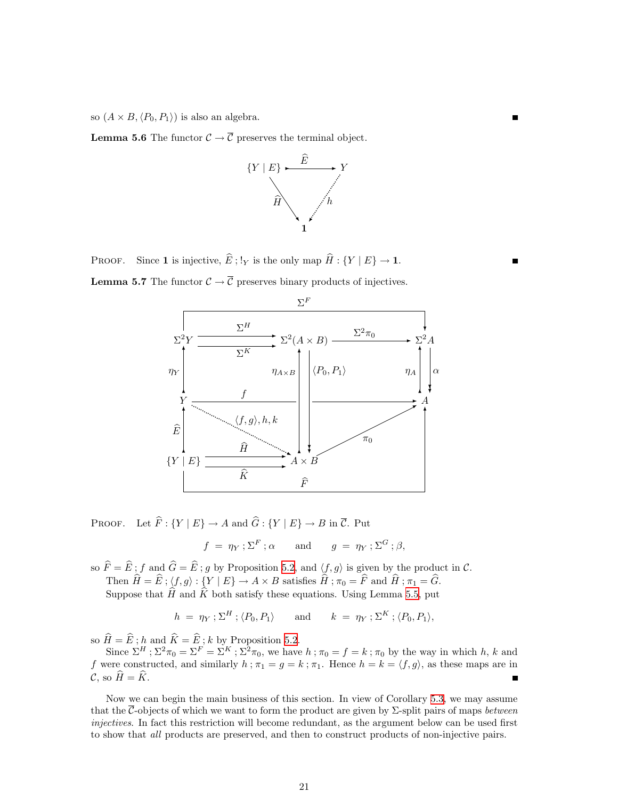so  $(A \times B, \langle P_0, P_1 \rangle)$  is also an algebra.

**Lemma 5.6** The functor  $C \to \overline{C}$  preserves the terminal object.



PROOF. Since 1 is injective,  $\widehat{E}$ ; !<sub>Y</sub> is the only map  $\widehat{H}$  : {Y | E}  $\rightarrow$  1.

<span id="page-20-0"></span>**Lemma 5.7** The functor  $C \to \overline{C}$  preserves binary products of injectives.



PROOF. Let  $\widehat{F}$ :  $\{Y | E\} \rightarrow A$  and  $\widehat{G}$ :  $\{Y | E\} \rightarrow B$  in  $\overline{C}$ . Put

$$
f = \eta_Y : \Sigma^F : \alpha
$$
 and  $g = \eta_Y : \Sigma^G : \beta$ ,

so  $\hat{F} = \hat{E}$ ; f and  $\hat{G} = \hat{E}$ ; g by Proposition [5.2,](#page-19-0) and  $\langle f, g \rangle$  is given by the product in C.

Then  $\hat{H} = \hat{E}$ ;  $\langle f, g \rangle : \{Y | E\} \to A \times B$  satisfies  $\hat{H}$ ;  $\pi_0 = \hat{F}$  and  $\hat{H}$ ;  $\pi_1 = \hat{G}$ .

Suppose that  $\widehat{H}$  and  $\widehat{K}$  both satisfy these equations. Using Lemma [5.5,](#page-19-1) put

$$
h = \eta_Y; \Sigma^H; \langle P_0, P_1 \rangle
$$
 and  $k = \eta_Y; \Sigma^K; \langle P_0, P_1 \rangle$ ,

so  $H = E$ ; h and  $K = E$ ; k by Proposition [5.2.](#page-19-0)<br>Since  $\Sigma^H$ ;  $\Sigma^2 \pi_0 = \Sigma^F = \Sigma^K$ ;  $\Sigma^2 \pi_0$ , we have  $h$ ;  $\pi_0 = f = k$ ;  $\pi_0$  by the way in which h, k and f were constructed, and similarly  $h : \pi_1 = g = k : \pi_1$ . Hence  $h = k = \langle f, g \rangle$ , as these maps are in  $\mathcal{C}$ , so  $\widehat{H} = \widehat{K}$ .

<span id="page-20-1"></span>Now we can begin the main business of this section. In view of Corollary [5.3,](#page-19-2) we may assume that the  $\overline{C}$ -objects of which we want to form the product are given by  $\Sigma$ -split pairs of maps *between* injectives. In fact this restriction will become redundant, as the argument below can be used first to show that *all* products are preserved, and then to construct products of non-injective pairs.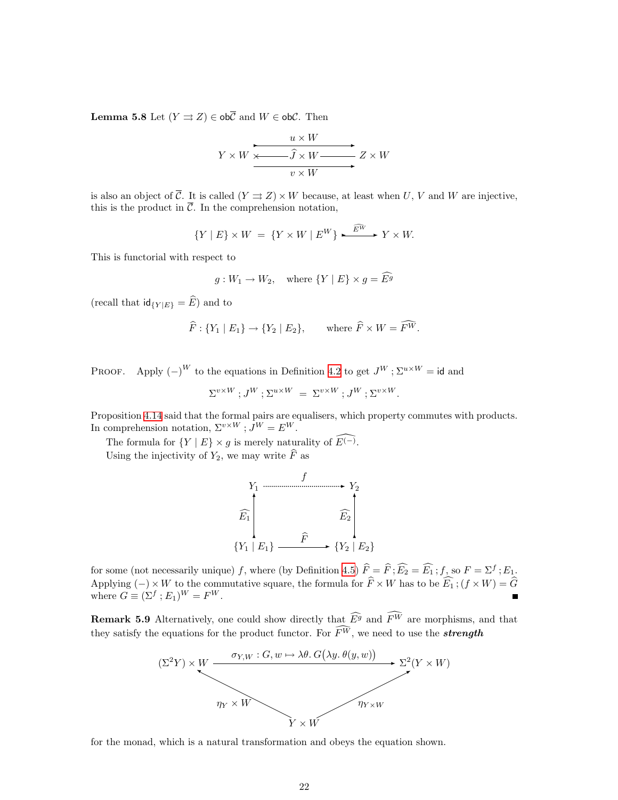**Lemma 5.8** Let  $(Y \rightrightarrows Z) \in ob\overline{C}$  and  $W \in ob\mathcal{C}$ . Then

$$
Y \times W \xrightarrow{u \times W} Z \times W
$$
  

$$
V \times W \xrightarrow{v \times W} Z \times W
$$

is also an object of  $\overline{\mathcal{C}}$ . It is called  $(Y \rightrightarrows Z) \times W$  because, at least when U, V and W are injective, this is the product in  $\overline{\mathcal{C}}$ . In the comprehension notation,

$$
\{Y \mid E\} \times W = \{Y \times W \mid E^W\} \xrightarrow{\widehat{E^W}} Y \times W.
$$

This is functorial with respect to

$$
g: W_1 \to W_2
$$
, where  $\{Y \mid E\} \times g = \widehat{E^g}$ 

(recall that  $\operatorname{id}_{\{Y|E\}} = \widehat{E}$ ) and to

$$
\widehat{F}: \{Y_1 \mid E_1\} \to \{Y_2 \mid E_2\}, \quad \text{where } \widehat{F} \times W = \widehat{F^W}.
$$

PROOF. Apply  $(-)^W$  to the equations in Definition [4.2](#page-15-3) to get  $J^W$ ;  $\Sigma^{u \times W} = id$  and

$$
\Sigma^{v \times W}; J^W; \Sigma^{u \times W} = \Sigma^{v \times W}; J^W; \Sigma^{v \times W}.
$$

Proposition [4.14](#page-17-0) said that the formal pairs are equalisers, which property commutes with products. In comprehension notation,  $\Sigma^{v \times W}$ ;  $J^W = E^W$ .

The formula for  $\{Y \mid E\} \times g$  is merely naturality of  $\widehat{E^{(-)}}$ . Using the injectivity of  $Y_2$ , we may write  $\widehat{F}$  as

$$
\begin{array}{ccc}\n & f & \\
F_1 & & & \\
\widehat{E_1} & & & \\
\hline\n\vdots & & & \\
\{Y_1 \mid E_1\} & & & \\
\end{array}
$$

for some (not necessarily unique) f, where (by Definition [4.5\)](#page-15-1)  $\widehat{F} = \widehat{F}$ ;  $\widehat{E_2} = \widehat{E_1}$ ; f, so  $F = \Sigma^f$ ;  $E_1$ , Applying  $(-) \times W$  to the commutative square, the formula for  $\widehat{F} \times W$  has to be  $\widehat{E_1}$ ;  $(f \times W) = \widehat{G}$  where  $G \equiv (\Sigma^f : E_1)^W = F^W$ .

<span id="page-21-0"></span>**Remark 5.9** Alternatively, one could show directly that  $\widehat{E}^g$  and  $\widehat{F}^W$  are morphisms, and that they satisfy the equations for the product functor. For  $\widehat{F}^W$ , we need to use the **strength** 



for the monad, which is a natural transformation and obeys the equation shown.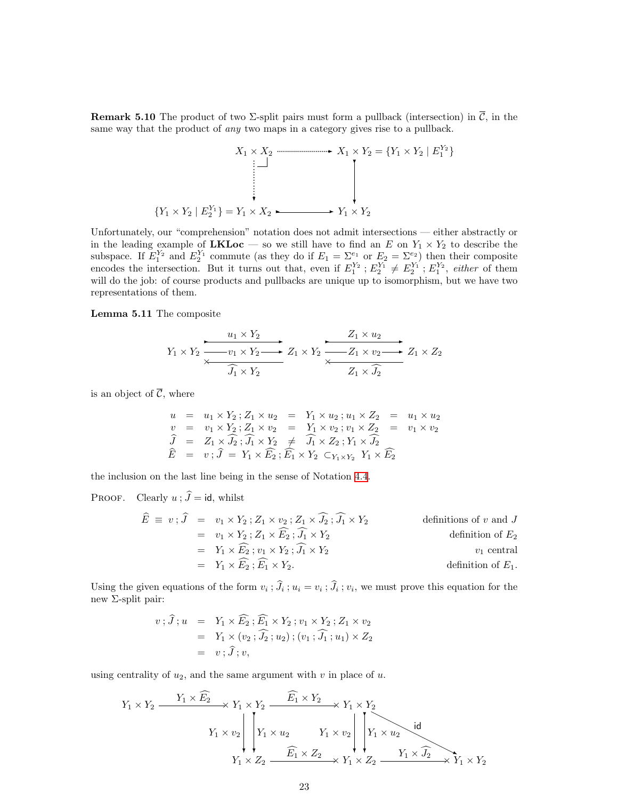<span id="page-22-0"></span>**Remark 5.10** The product of two  $\Sigma$ -split pairs must form a pullback (intersection) in  $\overline{C}$ , in the same way that the product of *any* two maps in a category gives rise to a pullback.

$$
X_1 \times X_2 \longrightarrow X_1 \times Y_2 = \{Y_1 \times Y_2 \mid E_1^{Y_2}\}
$$
\n
$$
\downarrow \qquad \qquad \downarrow
$$
\n
$$
\{Y_1 \times Y_2 \mid E_2^{Y_1}\} = Y_1 \times X_2 \longrightarrow Y_1 \times Y_2
$$

Unfortunately, our "comprehension" notation does not admit intersections — either abstractly or in the leading example of **LKLoc** — so we still have to find an E on  $Y_1 \times Y_2$  to describe the subspace. If  $E_1^{Y_2}$  and  $E_2^{Y_1}$  commute (as they do if  $E_1 = \sum_{i=1}^{e_1}$  or  $E_2 = \sum_{i=1}^{e_2}$ ) then their composite encodes the intersection. But it turns out that, even if  $E_1^{Y_2}$ ;  $E_2^{Y_1} \neq E_2^{Y_1}$ ;  $E_1^{Y_2}$ , *either* of them will do the job: of course products and pullbacks are unique up to isomorphism, but we have two representations of them.

<span id="page-22-1"></span>Lemma 5.11 The composite

$$
Y_1 \times Y_2 \xrightarrow{\begin{array}{c}\nu_1 \times Y_2 \\ \hline \sqrt{1 + \lambda_1} \times Y_2 \end{array}} Z_1 \times Y_2 \xrightarrow{\begin{array}{c}\nZ_1 \times u_2 \\ \hline \sqrt{1 + \lambda_1} \times Y_2 \end{array}} Z_1 \times Z_2
$$

is an object of  $\overline{\mathcal{C}}$ , where

$$
u = u_1 \times Y_2; Z_1 \times u_2 = Y_1 \times u_2; u_1 \times Z_2 = u_1 \times u_2
$$
  
\n
$$
v = v_1 \times Y_2; Z_1 \times v_2 = Y_1 \times v_2; v_1 \times Z_2 = v_1 \times v_2
$$
  
\n
$$
\widehat{J} = Z_1 \times \widehat{J}_2; \widehat{J}_1 \times Y_2 \neq \widehat{J}_1 \times Z_2; Y_1 \times \widehat{J}_2
$$
  
\n
$$
\widehat{E} = v; \widehat{J} = Y_1 \times \widehat{E}_2; \widehat{E}_1 \times Y_2 \subset_{Y_1 \times Y_2} Y_1 \times \widehat{E}_2
$$

the inclusion on the last line being in the sense of Notation [4.4](#page-15-4).

PROOF. Clearly  $u$ ;  $\hat{J} = id$ , whilst

$$
\widehat{E} \equiv v; \widehat{J} = v_1 \times Y_2; Z_1 \times v_2; Z_1 \times \widehat{J}_2; \widehat{J}_1 \times Y_2
$$
 definitions of  $v$  and  $J$   
\n
$$
= v_1 \times Y_2; Z_1 \times \widehat{E}_2; \widehat{J}_1 \times Y_2
$$
 definition of  $E_2$   
\n
$$
= Y_1 \times \widehat{E}_2; v_1 \times Y_2; \widehat{J}_1 \times Y_2
$$
  $v_1$  central  
\n
$$
= Y_1 \times \widehat{E}_2; \widehat{E}_1 \times Y_2.
$$
 definition of  $E_1$ .

Using the given equations of the form  $v_i$ ;  $J_i$ ;  $u_i = v_i$ ;  $J_i$ ;  $v_i$ , we must prove this equation for the new Σ-split pair:

$$
v; \hat{J}; u = Y_1 \times \widehat{E_2}; \widehat{E_1} \times Y_2; v_1 \times Y_2; Z_1 \times v_2
$$
  
=  $Y_1 \times (v_2; \widehat{J_2}; u_2); (v_1; \widehat{J_1}; u_1) \times Z_2$   
=  $v; \hat{J}; v,$ 

using centrality of  $u_2$ , and the same argument with  $v$  in place of  $u$ .

$$
Y_1 \times Y_2 \xrightarrow{\begin{array}{c} Y_1 \times \widehat{E_2} \\ \hline \end{array}} Y_1 \times Y_2 \xrightarrow{\begin{array}{c} \widehat{E_1} \times Y_2 \\ \hline \end{array}} Y_1 \times Y_2
$$
\n
$$
Y_1 \times v_2 \begin{array}{c} \begin{array}{c} \end{array} \end{array} Y_1 \times u_2 \qquad Y_1 \times v_2 \begin{array}{c} \end{array} \end{array} \begin{array}{c} \begin{array}{c} \end{array} \end{array} \begin{array}{c} \begin{array}{c} \end{array} \end{array} \begin{array}{c} \end{array} \begin{array}{c} \end{array} \begin{array}{c} \end{array} \begin{array}{c} \end{array} \begin{array}{c} \end{array} \begin{array}{c} \end{array} \begin{array}{c} \end{array} \begin{array}{c} \end{array} \begin{array}{c} \end{array} \begin{array}{c} \end{array} \begin{array}{c} \end{array} \begin{array}{c} \end{array} \begin{array}{c} \end{array} \begin{array}{c} \end{array} \begin{array}{c} \end{array} \begin{array}{c} \end{array} \begin{array}{c} \end{array} \begin{array}{c} \end{array} \begin{array}{c} \end{array} \begin{array}{c} \end{array} \begin{array}{c} \end{array} \begin{array}{c} \end{array} \begin{array}{c} \end{array} \begin{array}{c} \end{array} \begin{array}{c} \end{array} \begin{array}{c} \end{array} \begin{array}{c} \end{array} \begin{array}{c} \end{array} \begin{array} \end{array} \begin{array}{c} \end{array} \begin{array} \end{array} \begin{array} \end{array} \begin{array} \end{array} \begin{array} \end{array} \begin{array} \end{array} \begin{array} \end{array} \begin{array} \end{array} \begin{array} \end{array} \begin{array} \end{array} \begin{array} \end{array} \begin{array} \end{array} \begin{array} \end{array} \begin{array} \end{array} \begin{array} \end{array} \begin{array} \end{array} \begin{array} \end{array} \begin{array} \end{array} \begin{array} \end{array} \begin{array} \end
$$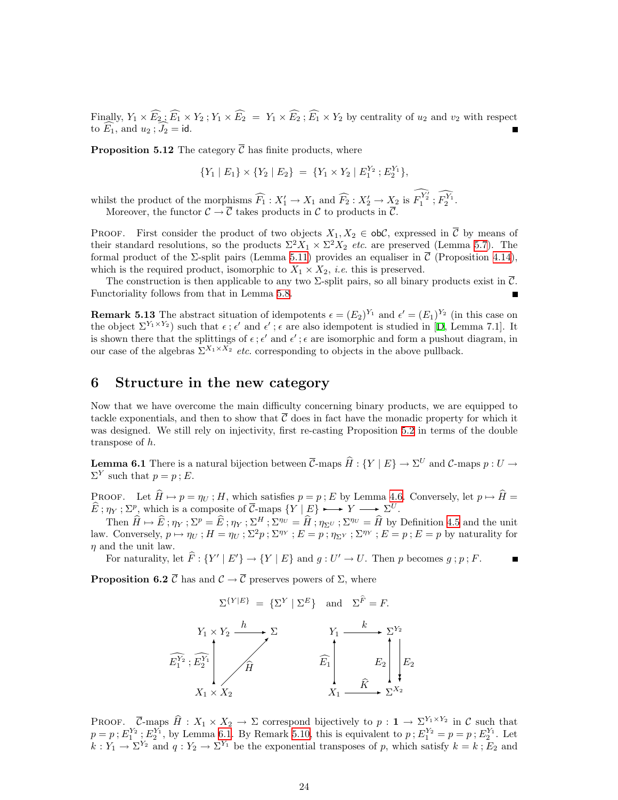<span id="page-23-0"></span>Finally,  $Y_1 \times \widehat{E_2}$ ;  $\widehat{E_1} \times Y_2$ ;  $Y_1 \times \widehat{E_2} = Y_1 \times \widehat{E_2}$ ;  $\widehat{E_1} \times Y_2$  by centrality of  $u_2$  and  $v_2$  with respect to  $E_1$ , and  $u_2$ ;  $J_2 = id$ .

<span id="page-23-2"></span>**Proposition 5.12** The category  $\overline{C}$  has finite products, where

$$
\{Y_1 \mid E_1\} \times \{Y_2 \mid E_2\} = \{Y_1 \times Y_2 \mid E_1^{Y_2} ; E_2^{Y_1}\},\
$$

whilst the product of the morphisms  $\widehat{F}_1 : X_1' \to X_1$  and  $\widehat{F}_2 : X_2' \to X_2$  is  $\widehat{F}_1^{\widehat{Y_2}}$ ;  $\widehat{F}_2^{\widehat{Y_1}}$ . Moreover, the functor  $C \to \overline{C}$  takes products in C to products in  $\overline{C}$ .

PROOF. First consider the product of two objects  $X_1, X_2 \in ob\mathcal{C}$ , expressed in  $\overline{\mathcal{C}}$  by means of their standard resolutions, so the products  $\Sigma^2 X_1 \times \Sigma^2 X_2$  etc. are preserved (Lemma [5.7\)](#page-20-0). The formal product of the  $\Sigma$ -split pairs (Lemma [5.11](#page-22-1)) provides an equaliser in  $\overline{\mathcal{C}}$  (Proposition [4.14](#page-17-0)), which is the required product, isomorphic to  $X_1 \times X_2$ , *i.e.* this is preserved.

The construction is then applicable to any two  $\Sigma$ -split pairs, so all binary products exist in  $\overline{C}$ . Functoriality follows from that in Lemma [5.8](#page-20-1).

**Remark 5.13** The abstract situation of idempotents  $\epsilon = (E_2)^{Y_1}$  and  $\epsilon' = (E_1)^{Y_2}$  (in this case on theobject  $\Sigma^{Y_1 \times Y_2}$  such that  $\epsilon$ ;  $\epsilon'$  and  $\epsilon'$ ;  $\epsilon$  are also idempotent is studied in [[D](#page-53-6), Lemma 7.1]. It is shown there that the splittings of  $\epsilon$ ;  $\epsilon'$  and  $\epsilon'$ ;  $\epsilon$  are isomorphic and form a pushout diagram, in our case of the algebras  $\Sigma^{X_1 \times X_2}$  *etc.* corresponding to objects in the above pullback.

### <span id="page-23-1"></span>6 Structure in the new category

Now that we have overcome the main difficulty concerning binary products, we are equipped to tackle exponentials, and then to show that  $\mathcal C$  does in fact have the monadic property for which it was designed. We still rely on injectivity, first re-casting Proposition [5.2](#page-19-0) in terms of the double transpose of h.

<span id="page-23-3"></span>**Lemma 6.1** There is a natural bijection between  $\overline{\mathcal{C}}$ -maps  $\widehat{H} : \{Y | E\} \to \Sigma^U$  and  $\mathcal{C}$ -maps  $p : U \to \overline{\Sigma^V}$  $\Sigma^Y$  such that  $p = p$ ; E.

PROOF. Let  $\widehat{H} \mapsto p = \eta_U$ ; H, which satisfies  $p = p$ ; E by Lemma [4.6.](#page-15-2) Conversely, let  $p \mapsto \widehat{H} =$  $\hat{E}: \eta_Y : \Sigma^p$ , which is a composite of  $\vec{C}$ -maps  $\{Y \mid E\} \rightarrow Y \rightarrow \Sigma^U$ .

Then  $\widehat{H} \mapsto \widehat{E}$ ;  $\eta_Y$ ;  $\Sigma^p = \widehat{E}$ ;  $\eta_Y$ ;  $\Sigma^H$ ;  $\Sigma^{\eta\upsilon} = \widehat{H}$ ;  $\eta_{\Sigma^U}$ ;  $\Sigma^{\eta\upsilon} = \widehat{H}$  by Definition [4.5](#page-15-1) and the unit law. Conversely,  $p \mapsto \eta_U$ ;  $H = \eta_U$ ;  $\Sigma^2 p$ ;  $\Sigma^{\eta_Y}$ ;  $E = p$ ;  $\eta_{\Sigma^Y}$ ;  $\Sigma^{\eta_Y}$ ;  $E = p$ ;  $E = p$  by naturality for  $\eta$  and the unit law.

For naturality, let  $\widehat{F}$  :  $\{Y' | E'\} \rightarrow \{Y | E\}$  and  $g : U' \rightarrow U$ . Then p becomes  $g : p : F$ .

<span id="page-23-4"></span>**Proposition 6.2**  $\overline{C}$  has and  $\overline{C} \to \overline{C}$  preserves powers of  $\Sigma$ , where

$$
\Sigma^{\{Y|E\}} = {\{\Sigma^Y | \Sigma^E\}} \text{ and } \Sigma^{\hat{F}} = F.
$$
\n
$$
Y_1 \times Y_2 \xrightarrow{h} \Sigma
$$
\n
$$
\widehat{E_1^{Y_2}}; \widehat{E_2^{Y_1}} \qquad \widehat{H} \qquad \widehat{E_1} \qquad \widehat{E_2} \qquad \widehat{E_2} \qquad \widehat{E_2}
$$
\n
$$
X_1 \times X_2 \qquad \widehat{X} \xrightarrow{X_2} \Sigma^{X_2}
$$

PROOF.  $\overline{C}$ -maps  $\hat{H} : X_1 \times X_2 \to \Sigma$  correspond bijectively to  $p : \mathbf{1} \to \Sigma^{Y_1 \times Y_2}$  in C such that  $p = p$ ;  $E_1^{Y_2}$ ;  $E_2^{Y_1}$ , by Lemma [6.1](#page-23-3). By Remark [5.10](#page-22-0), this is equivalent to  $p$ ;  $E_1^{Y_2} = p = p$ ;  $E_2^{Y_1}$ . Let  $k: Y_1 \to \Sigma^{Y_2}$  and  $q: Y_2 \to \Sigma^{Y_1}$  be the exponential transposes of p, which satisfy  $k = k: E_2$  and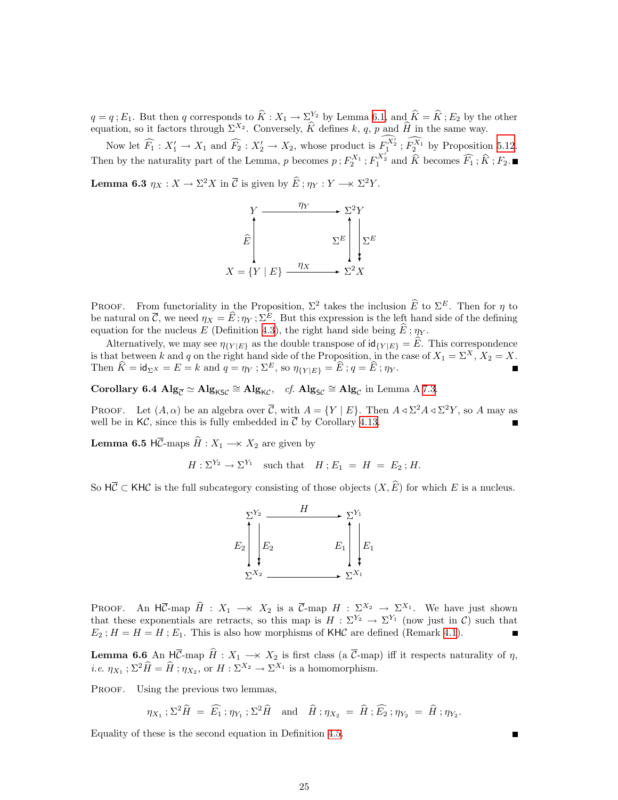$q = q$ ;  $E_1$ . But then q corresponds to  $\hat{K} : X_1 \to \Sigma^{Y_2}$  by Lemma [6.1,](#page-23-3) and  $\hat{K} = \hat{K}$ ;  $E_2$  by the other equation, so it factors through  $\Sigma^{X_2}$ . Conversely,  $\hat{K}$  defines  $k$ , q, p and  $\hat{H}$  in the same way

Now let  $\widehat{F}_1 : X'_1 \to X_1$  and  $\widehat{F}_2 : X'_2 \to X_2$ , whose product is  $\widehat{F}_2^{X_2} : \widehat{F}_2^{X_1}$  by Proposition [5.12](#page-23-2). Then by the naturality part of the Lemma, p becomes  $p$ ;  $F_2^{X_1}$ ;  $F_1^{X_2}$  and  $\hat{K}$  becomes  $\widehat{F}_1$ ;  $\hat{K}$ ;  $F_2$ .

<span id="page-24-0"></span>**Lemma 6.3**  $\eta_X : X \to \Sigma^2 X$  in  $\overline{\mathcal{C}}$  is given by  $\widehat{E}$ ;  $\eta_Y : Y \to \Sigma^2 Y$ .



PROOF. From functoriality in the Proposition,  $\Sigma^2$  takes the inclusion  $\widehat{E}$  to  $\Sigma^E$ . Then for  $\eta$  to be natural on  $\overline{C}$ , we need  $\eta_X = \widehat{E}$ ;  $\eta_Y$ ;  $\Sigma^E$ . But this expression is the left hand side of the defining equation for the nucleus E (Definition [4.3](#page-15-0)), the right hand side being  $E$ ;  $\eta_Y$ .

Alternatively, we may see  $\eta_{\{Y|E\}}$  as the double transpose of  $\mathsf{id}_{\{Y|E\}} = \widehat{E}$ . This correspondence is that between k and q on the right hand side of the Proposition, in the case of  $X_1 = \Sigma^X$ ,  $X_2 = X$ . Then  $\widehat{K} = id_{\Sigma}x = E = k$  and  $q = \eta_Y$ ;  $\Sigma^E$ , so  $\eta_{\{Y | E\}} = \widehat{E}$ ;  $q = \widehat{E}$ ;  $\eta_Y$ .

<span id="page-24-2"></span>Corollary 6.4  $\text{Alg}_{\overline{C}} \simeq \text{Alg}_{\text{KSC}} \cong \text{Alg}_{\text{KC}}$ , cf.  $\text{Alg}_{\text{SC}} \cong \text{Alg}_{\mathcal{C}}$  in Lemma A [7.3](#page-28-0).

PROOF. Let  $(A, \alpha)$  be an algebra over  $\overline{C}$ , with  $A = \{Y \mid E\}$ . Then  $A \triangleleft \Sigma^2 A \triangleleft \Sigma^2 Y$ , so A may as well be in  $K\mathcal{C}$ , since this is fully embedded in  $\overline{\mathcal{C}}$  by Corollary [4.13](#page-17-1).

**Lemma 6.5** HC-maps  $H: X_1 \longrightarrow X_2$  are given by

$$
H: \Sigma^{Y_2} \to \Sigma^{Y_1} \quad \text{such that} \quad H: E_1 = H = E_2; H.
$$

So  $H\overline{C} \subset KH\mathcal{C}$  is the full subcategory consisting of those objects  $(X, \widehat{E})$  for which E is a nucleus.



PROOF. An HC-map  $\hat{H}$  :  $X_1 \longrightarrow X_2$  is a  $\overline{C}$ -map  $H : \Sigma^{X_2} \longrightarrow \Sigma^{X_1}$ . We have just shown that these exponentials are retracts, so this map is  $H : \Sigma^{Y_2} \to \Sigma^{Y_1}$  (now just in C) such that  $E_2$ ;  $H = H = H$ ;  $E_1$ . This is also how morphisms of KHC are defined (Remark [4.1\)](#page-14-1).

<span id="page-24-3"></span>**Lemma 6.6** An HC-map  $\hat{H}$  :  $X_1 \to X_2$  is first class (a C-map) iff it respects naturality of  $\eta$ , *i.e.*  $\eta_{X_1}$ ;  $\Sigma^2 \widehat{H} = \widehat{H}$ ;  $\eta_{X_2}$ , or  $H : \Sigma^{X_2} \to \Sigma^{X_1}$  is a homomorphism.

PROOF. Using the previous two lemmas,

 $\eta_{X_1} ; \Sigma^2 \hat{H} = \widehat{E_1} ; \eta_{Y_1} ; \Sigma^2 \hat{H} \text{ and } \hat{H} ; \eta_{X_2} = \hat{H} ; \widehat{E_2} ; \eta_{Y_2} = \hat{H} ; \eta_{Y_2}.$ 

<span id="page-24-1"></span>Equality of these is the second equation in Definition [4.5.](#page-15-1)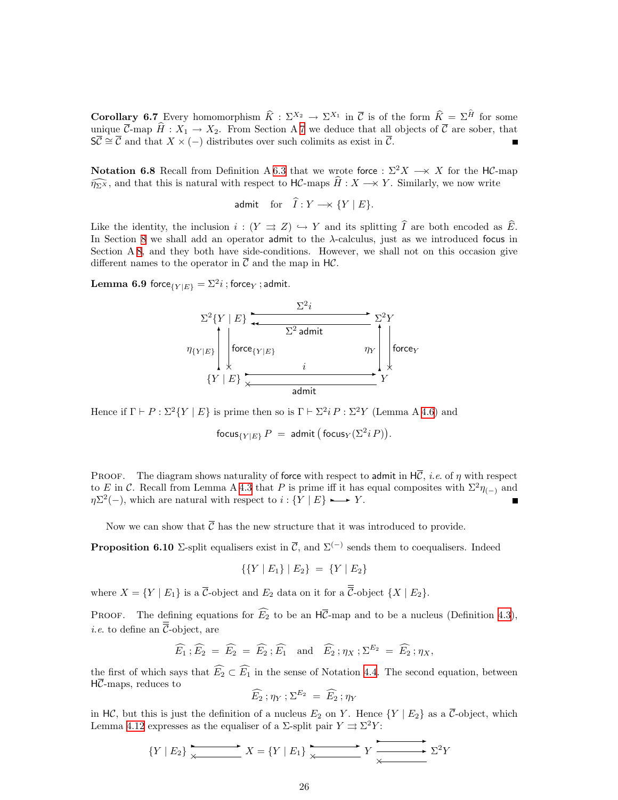**Corollary 6.7** Every homomorphism  $\hat{K} : \Sigma^{X_2} \to \Sigma^{X_1}$  in  $\overline{\mathcal{C}}$  is of the form  $\hat{K} = \Sigma^{\hat{H}}$  for some unique  $\overline{\mathcal{C}}$ -map  $\widehat{H}: X_1 \to X_2$ . From Section A [7](#page-27-1) we deduce that all objects of  $\overline{\mathcal{C}}$  are sober, that  $\overline{SC} \cong \overline{C}$  and that  $X \times (-)$  distributes over such colimits as exist in  $\overline{C}$ .

**Notation 6.8** Recall from Definition A [6.3](#page-24-0) that we wrote force :  $\Sigma^2 X \to X$  for the HC-map  $\widehat{\eta_{\Sigma}x}$ , and that this is natural with respect to HC-maps  $\widehat{H}: X \longrightarrow Y$ . Similarly, we now write

$$
\text{admit} \quad \text{for} \quad \widehat{I}: Y \longrightarrow \{Y \mid E\}.
$$

Like the identity, the inclusion  $i : (Y \Rightarrow Z) \hookrightarrow Y$  and its splitting  $\widehat{I}$  are both encoded as  $\widehat{E}$ . In Section [8](#page-31-1) we shall add an operator admit to the  $\lambda$ -calculus, just as we introduced focus in Section A [8](#page-31-1), and they both have side-conditions. However, we shall not on this occasion give different names to the operator in  $\overline{\mathcal{C}}$  and the map in H $\mathcal{C}$ .

<span id="page-25-1"></span> ${\rm \bf Lemma~6.9}$  force $_{\{Y|E\}} = \Sigma^2 i$  ; force $_{Y}$  ; admit.



Hence if  $\Gamma \vdash P : \Sigma^2 \{ Y \mid E \}$  is prime then so is  $\Gamma \vdash \Sigma^2 i P : \Sigma^2 Y$  (Lemma A [4.6](#page-15-2)) and

 $\mathsf{focus}_{\{Y|E\}} P = \mathsf{admit} \left( \mathsf{focus}_{Y} (\Sigma^2 i\,P) \right).$ 

**PROOF.** The diagram shows naturality of force with respect to admit in  $H\overline{C}$ , *i.e.* of  $\eta$  with respect to E in C. Recall from Lemma A [4.3](#page-15-0) that P is prime iff it has equal composites with  $\Sigma^2 \eta_{(-)}$  and  $\eta\Sigma^2(-)$ , which are natural with respect to  $i : \{Y \mid E\} \longrightarrow Y$ .

Now we can show that  $\overline{\mathcal{C}}$  has the new structure that it was introduced to provide.

<span id="page-25-0"></span>**Proposition 6.10** Σ-split equalisers exist in  $\overline{C}$ , and  $\Sigma^{(-)}$  sends them to coequalisers. Indeed

$$
\{\{Y \mid E_1\} \mid E_2\} = \{Y \mid E_2\}
$$

where  $X = \{Y \mid E_1\}$  is a  $\overline{\mathcal{C}}$ -object and  $E_2$  data on it for a  $\overline{\overline{\mathcal{C}}}$ -object  $\{X \mid E_2\}$ .

PROOF. The defining equations for  $\widehat{E_2}$  to be an  $H\overline{C}$ -map and to be a nucleus (Definition [4.3](#page-15-0)), *i.e.* to define an  $\overline{\overline{C}}$ -object, are

$$
\widehat{E_1}
$$
;  $\widehat{E_2} = \widehat{E_2} = \widehat{E_2}$ ;  $\widehat{E_1}$  and  $\widehat{E_2}$ ;  $\eta_X$ ;  $\Sigma^{E_2} = \widehat{E_2}$ ;  $\eta_X$ ,

the first of which says that  $\widehat{E_2} \subset \widehat{E_1}$  in the sense of Notation [4.4](#page-15-4). The second equation, between  $H\overline{C}$ -maps, reduces to

$$
\widehat{E_2} ; \eta_Y ; \Sigma^{E_2} = \widehat{E_2} ; \eta_Y
$$

in HC, but this is just the definition of a nucleus  $E_2$  on Y. Hence  $\{Y \mid E_2\}$  as a  $\overline{C}$ -object, which Lemma [4.12](#page-17-2) expresses as the equaliser of a  $\Sigma$ -split pair  $Y \rightrightarrows \Sigma^2 Y$ :  $\mathbf{r}$ 

$$
\{Y \mid E_2\} \xrightarrow{\times} X = \{Y \mid E_1\} \xrightarrow{\times} Y \xrightarrow{\times} \Sigma^2 Y
$$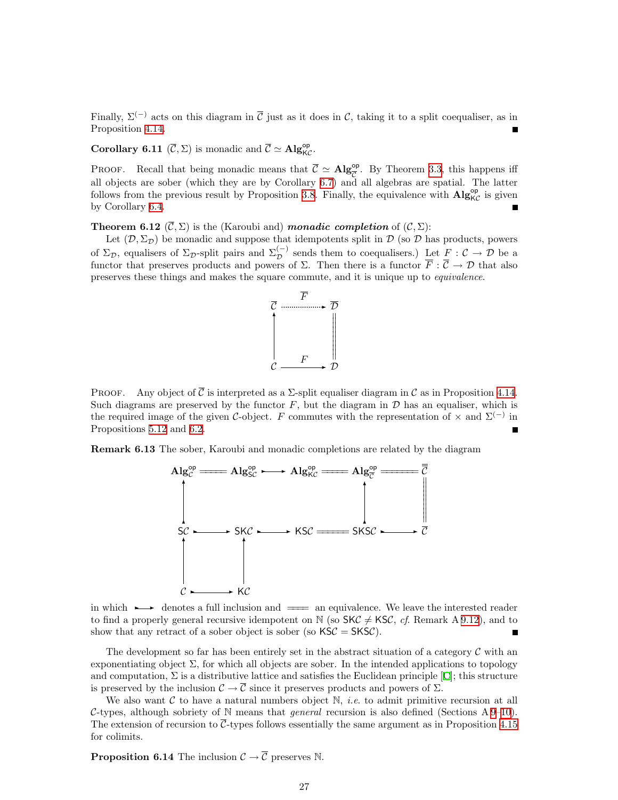Finally,  $\Sigma^{(-)}$  acts on this diagram in  $\overline{C}$  just as it does in C, taking it to a split coequaliser, as in Proposition [4.14](#page-17-0).

**Corollary 6.11** ( $\overline{C}$ ,  $\Sigma$ ) is monadic and  $\overline{C} \simeq \mathbf{Alg}_{\mathsf{KC}}^{\mathsf{op}}$ .

PROOF. Recall that being monadic means that  $\overline{C} \simeq \mathbf{Alg}_{\overline{C}}^{\mathsf{op}}$ . By Theorem [3.3,](#page-10-0) this happens iff all objects are sober (which they are by Corollary [6.7\)](#page-24-1) and all algebras are spatial. The latter follows from the previous result by Proposition [3.8](#page-12-0). Finally, the equivalence with  $\mathbf{Alg}_{\mathcal{KC}}^{\mathsf{op}}$  is given by Corollary [6.4.](#page-24-2)

**Theorem 6.12**  $(\overline{C}, \Sigma)$  is the (Karoubi and) *monadic completion* of  $(C, \Sigma)$ :

Let  $(D, \Sigma_{\mathcal{D}})$  be monadic and suppose that idempotents split in D (so D has products, powers of  $\Sigma_{\mathcal{D}}$ , equalisers of  $\Sigma_{\mathcal{D}}$ -split pairs and  $\Sigma_{\mathcal{D}}^{(-)}$  sends them to coequalisers.) Let  $F : \mathcal{C} \to \mathcal{D}$  be a functor that preserves products and powers of  $\Sigma$ . Then there is a functor  $\overline{F}$  :  $\overline{C} \to \mathcal{D}$  that also preserves these things and makes the square commute, and it is unique up to equivalence.



PROOF. Any object of  $\overline{C}$  is interpreted as a  $\Sigma$ -split equaliser diagram in  $\mathcal C$  as in Proposition [4.14](#page-17-0). Such diagrams are preserved by the functor  $F$ , but the diagram in  $D$  has an equaliser, which is the required image of the given C-object. F commutes with the representation of  $\times$  and  $\Sigma^{(-)}$  in Propositions [5.12](#page-23-2) and [6.2.](#page-23-4)

Remark 6.13 The sober, Karoubi and monadic completions are related by the diagram



in which  $\rightarrow$  denotes a full inclusion and  $\equiv$  an equivalence. We leave the interested reader to find a properly general recursive idempotent on N (so  $SKC \neq KSC$ , cf. Remark A [9.12\)](#page-39-2), and to show that any retract of a sober object is sober (so  $\text{KSC} = \text{SKSC}$ ).

The development so far has been entirely set in the abstract situation of a category  $\mathcal C$  with an exponentiating object  $\Sigma$ , for which all objects are sober. In the intended applications to topology and computation,  $\Sigma$  is a distributive lattice and satisfies the Euclidean principle [\[C](#page-53-5)]; this structure is preserved by the inclusion  $\mathcal{C} \to \overline{\mathcal{C}}$  since it preserves products and powers of  $\Sigma$ .

We also want  $\mathcal C$  to have a natural numbers object  $\mathbb N$ , *i.e.* to admit primitive recursion at all C-types, although sobriety of N means that *general* recursion is also defined (Sections  $A9-10$ ). The extension of recursion to  $\overline{C}$ -types follows essentially the same argument as in Proposition [4.15](#page-18-1) for colimits.

<span id="page-26-0"></span>**Proposition 6.14** The inclusion  $C \rightarrow \overline{C}$  preserves N.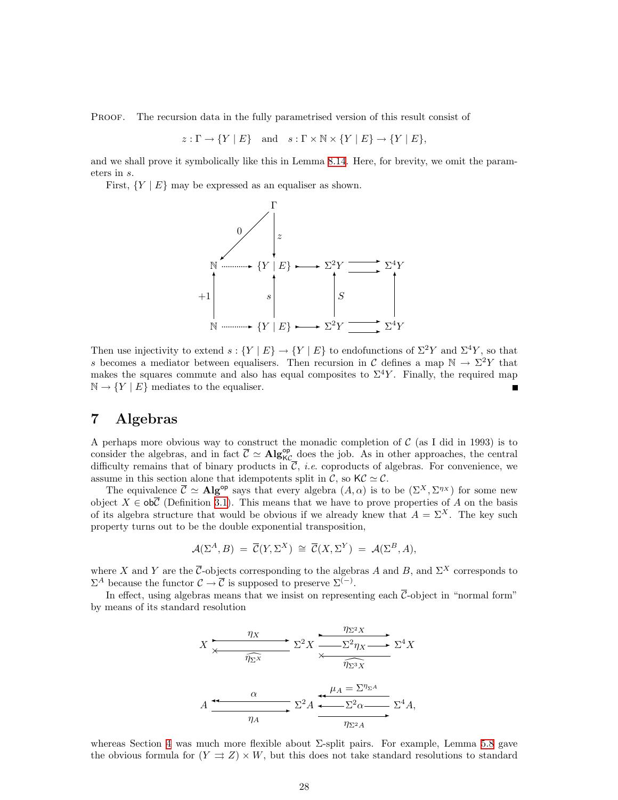<span id="page-27-0"></span>PROOF. The recursion data in the fully parametrised version of this result consist of

 $z: \Gamma \to \{Y \mid E\}$  and  $s: \Gamma \times \mathbb{N} \times \{Y \mid E\} \to \{Y \mid E\},$ 

and we shall prove it symbolically like this in Lemma [8.14.](#page-35-2) Here, for brevity, we omit the parameters in s.

First,  ${Y \mid E}$  may be expressed as an equaliser as shown.



Then use injectivity to extend  $s: \{Y | E\} \to \{Y | E\}$  to endofunctions of  $\Sigma^2 Y$  and  $\Sigma^4 Y$ , so that s becomes a mediator between equalisers. Then recursion in C defines a map  $\mathbb{N} \to \Sigma^2 Y$  that makes the squares commute and also has equal composites to  $\Sigma^4 Y$ . Finally, the required map  $\mathbb{N} \to \{Y \mid E\}$  mediates to the equaliser.

### <span id="page-27-1"></span>7 Algebras

A perhaps more obvious way to construct the monadic completion of  $\mathcal C$  (as I did in 1993) is to consider the algebras, and in fact  $\overline{C} \simeq \mathbf{Alg}_{\mathsf{KC}}^{\mathsf{op}}$  does the job. As in other approaches, the central difficulty remains that of binary products in  $\overline{C}$ , *i.e.* coproducts of algebras. For convenience, we assume in this section alone that idempotents split in C, so  $\mathsf{KC} \simeq \mathcal{C}$ .

The equivalence  $\overline{C} \simeq \mathbf{Alg}^{\mathsf{op}}$  says that every algebra  $(A, \alpha)$  is to be  $(\Sigma^X, \Sigma^{\eta_X})$  for some new object  $X \in \text{ob}\overline{C}$  (Definition [3.1](#page-9-3)). This means that we have to prove properties of A on the basis of its algebra structure that would be obvious if we already knew that  $A = \Sigma^{X}$ . The key such property turns out to be the double exponential transposition,

$$
\mathcal{A}(\Sigma^A, B) = \overline{\mathcal{C}}(Y, \Sigma^X) \cong \overline{\mathcal{C}}(X, \Sigma^Y) = \mathcal{A}(\Sigma^B, A),
$$

where X and Y are the  $\overline{\mathcal{C}}$ -objects corresponding to the algebras A and B, and  $\Sigma^X$  corresponds to  $\Sigma^A$  because the functor  $\mathcal{C} \to \overline{\mathcal{C}}$  is supposed to preserve  $\Sigma^{(-)}$ .

In effect, using algebras means that we insist on representing each  $\overline{C}$ -object in "normal form" by means of its standard resolution

$$
X \xrightarrow{\eta_X} \Sigma^2 X \xrightarrow{\eta_{\Sigma^2 X}} \Sigma^4 X
$$
\n
$$
A \xrightarrow{\alpha} \Sigma^2 A \xrightarrow{\mu_A = \Sigma^{\eta_{\Sigma^3 X}}} \Sigma^4 A,
$$
\n
$$
A \xrightarrow{\alpha} \Sigma^2 A \xrightarrow{\mu_A = \Sigma^{\eta_{\Sigma^4}}} \Sigma^4 A,
$$

whereas Section [4](#page-14-2) was much more flexible about  $\Sigma$ -split pairs. For example, Lemma [5.8](#page-20-1) gave the obvious formula for  $(Y \rightrightarrows Z) \times W$ , but this does not take standard resolutions to standard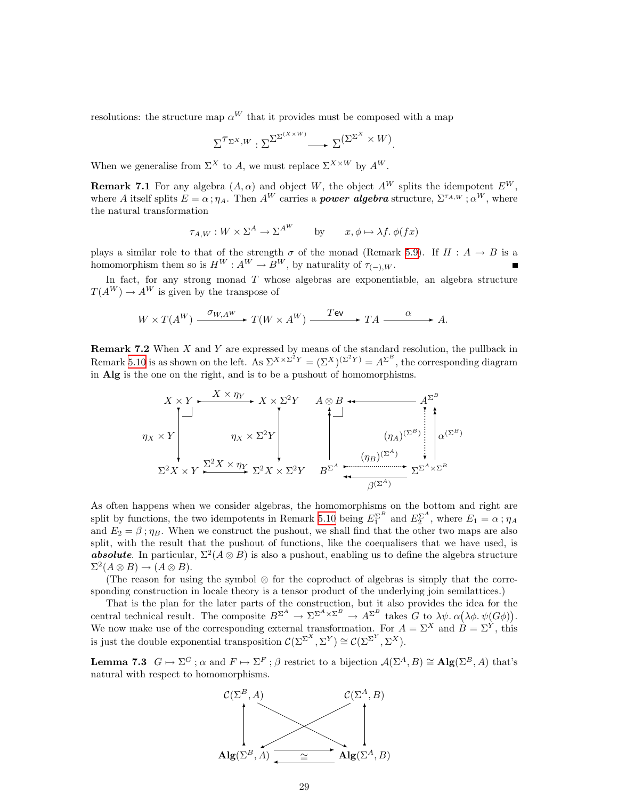resolutions: the structure map  $\alpha^{W}$  that it provides must be composed with a map

$$
\Sigma^{\mathcal{T}_{\Sigma^{X},W}} : \Sigma^{\Sigma^{\Sigma^{(X \times W)}}} \longrightarrow \Sigma^{(\Sigma^{\Sigma^{X}} \times W)}.
$$

When we generalise from  $\Sigma^X$  to A, we must replace  $\Sigma^{X \times W}$  by  $A^W$ .

<span id="page-28-1"></span>**Remark 7.1** For any algebra  $(A, \alpha)$  and object W, the object  $A^W$  splits the idempotent  $E^W$ , where A itself splits  $E = \alpha$ ;  $\eta_A$ . Then  $A^W$  carries a **power algebra** structure,  $\Sigma^{\tau_{A,W}}$ ;  $\alpha^W$ , where the natural transformation

$$
\tau_{A,W} : W \times \Sigma^A \to \Sigma^{A^W} \qquad \text{by} \qquad x, \phi \mapsto \lambda f. \ \phi(fx)
$$

plays a similar role to that of the strength  $\sigma$  of the monad (Remark [5.9](#page-21-0)). If  $H : A \rightarrow B$  is a homomorphism them so is  $H^W : A^W \to B^W$ , by naturality of  $\tau_{(-),W}$ .

In fact, for any strong monad  $T$  whose algebras are exponentiable, an algebra structure  $T(A^{W}) \rightarrow A^{W}$  is given by the transpose of

$$
W \times T(A^W) \xrightarrow{\sigma_{W,A^W}} T(W \times A^W) \xrightarrow{\text{TeV}} TA \xrightarrow{\alpha} A.
$$

<span id="page-28-2"></span>**Remark 7.2** When  $X$  and  $Y$  are expressed by means of the standard resolution, the pullback in Remark [5.10](#page-22-0) is as shown on the left. As  $\Sigma^{X \times \Sigma^2 Y} = (\Sigma^X)^{(\Sigma^2 Y)} = A^{\Sigma^B}$ , the corresponding diagram in Alg is the one on the right, and is to be a pushout of homomorphisms.

$$
X \times Y
$$
\n
$$
\gamma_X \times Y
$$
\n
$$
\gamma_X \times Y
$$
\n
$$
\gamma_X \times Y
$$
\n
$$
\gamma_X \times \Sigma^2 Y
$$
\n
$$
\gamma_X \times \Sigma^2 Y
$$
\n
$$
\gamma_X \times \Sigma^2 Y
$$
\n
$$
\gamma_X \times \Sigma^2 Y
$$
\n
$$
\gamma_X \times \Sigma^2 Y
$$
\n
$$
\gamma_X \times \Sigma^2 Y
$$
\n
$$
\gamma_X \times \Sigma^2 Y
$$
\n
$$
\gamma_X \times \Sigma^2 Y
$$
\n
$$
\gamma_X \times \Sigma^2 Y
$$
\n
$$
\gamma_X \times \Sigma^2 Y
$$
\n
$$
\gamma_X \times \Sigma^2 Y
$$
\n
$$
\gamma_X \times \Sigma^2 Y
$$
\n
$$
\gamma_X \times \Sigma^2 Y
$$
\n
$$
\gamma_X \times \Sigma^2 Y
$$
\n
$$
\gamma_X \times \Sigma^2 Y
$$
\n
$$
\gamma_X \times \Sigma^2 Y
$$
\n
$$
\gamma_X \times \Sigma^2 Y
$$
\n
$$
\gamma_X \times \Sigma^2 Y
$$
\n
$$
\gamma_X \times \Sigma^2 Y
$$
\n
$$
\gamma_X \times \Sigma^2 Y
$$
\n
$$
\gamma_X \times \Sigma^2 Y
$$
\n
$$
\gamma_X \times \Sigma^2 Y
$$
\n
$$
\gamma_X \times \Sigma^2 Y
$$
\n
$$
\gamma_X \times \Sigma^2 Y
$$
\n
$$
\gamma_X \times \Sigma^2 Y
$$
\n
$$
\gamma_X \times \Sigma^2 Y
$$
\n
$$
\gamma_X \times \Sigma^2 Y
$$
\n
$$
\gamma_X \times \Sigma^2 Y
$$
\n
$$
\gamma_X \times \Sigma^2 Y
$$
\n
$$
\gamma_X \times \Sigma^2 Y
$$
\n
$$
\gamma_X \times \Sigma^2 Y
$$
\n
$$
\gamma_X \times \Sigma^2 Y
$$
\n
$$
\gamma_X \times \Sigma^2 Y
$$
\n
$$
\gamma_X \times \Sigma^2 Y
$$
\n
$$
\gamma_X \times \Sigma^2 Y
$$
\n
$$
\gamma_X \times \Sigma^2 Y
$$
\n
$$
\gamma_X \times \Sigma^2 Y
$$
\n $$ 

As often happens when we consider algebras, the homomorphisms on the bottom and right are split by functions, the two idempotents in Remark [5.10](#page-22-0) being  $E_1^{\Sigma^B}$  and  $E_2^{\Sigma^A}$ , where  $E_1 = \alpha$ ;  $\eta_A$ and  $E_2 = \beta$ ;  $\eta_B$ . When we construct the pushout, we shall find that the other two maps are also split, with the result that the pushout of functions, like the coequalisers that we have used, is **absolute**. In particular,  $\Sigma^2(A \otimes B)$  is also a pushout, enabling us to define the algebra structure  $\Sigma^2(A \otimes B) \rightarrow (A \otimes B).$ 

(The reason for using the symbol ⊗ for the coproduct of algebras is simply that the corresponding construction in locale theory is a tensor product of the underlying join semilattices.)

That is the plan for the later parts of the construction, but it also provides the idea for the central technical result. The composite  $B^{\Sigma^A} \to \Sigma^{\Sigma^A \times \Sigma^B} \to A^{\Sigma^B}$  takes G to  $\lambda \psi$ .  $\alpha(\lambda \phi, \psi(G\phi))$ . We now make use of the corresponding external transformation. For  $A = \Sigma^X$  and  $B = \Sigma^Y$ , this is just the double exponential transposition  $\mathcal{C}(\Sigma^{\Sigma^{X}}, \Sigma^{Y}) \cong \mathcal{C}(\Sigma^{\Sigma^{Y}}, \Sigma^{X}).$ 

<span id="page-28-0"></span>**Lemma 7.3**  $G \mapsto \Sigma^G$ ;  $\alpha$  and  $F \mapsto \Sigma^F$ ;  $\beta$  restrict to a bijection  $\mathcal{A}(\Sigma^A, B) \cong \mathbf{Alg}(\Sigma^B, A)$  that's natural with respect to homomorphisms.

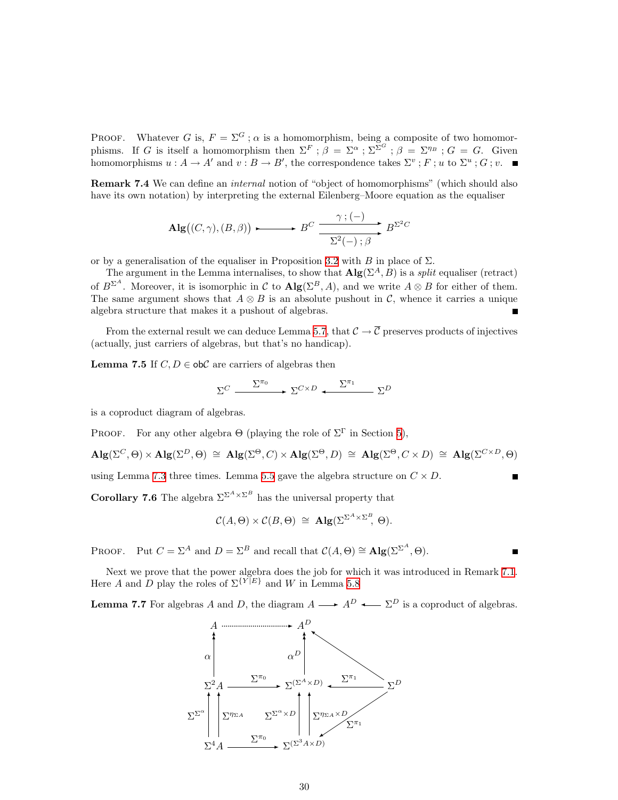PROOF. Whatever G is,  $F = \Sigma^G$ ;  $\alpha$  is a homomorphism, being a composite of two homomorphisms. If G is itself a homomorphism then  $\Sigma^F$ ;  $\beta = \Sigma^{\alpha}$ ;  $\Sigma^{\Sigma^G}$ ;  $\beta = \Sigma^{\eta_B}$ ;  $G = G$ . Given homomorphisms  $u : A \to A'$  and  $v : B \to B'$ , the correspondence takes  $\Sigma^v : F : u$  to  $\Sigma^u : G : v$ .

<span id="page-29-1"></span>Remark 7.4 We can define an *internal* notion of "object of homomorphisms" (which should also have its own notation) by interpreting the external Eilenberg–Moore equation as the equaliser

$$
\mathrm{Alg}\big((C,\gamma),(B,\beta)\big) \longrightarrow B^C \xrightarrow{\gamma; (-)} B^{\Sigma^2 C}
$$

or by a generalisation of the equaliser in Proposition [3.2](#page-9-2) with B in place of  $\Sigma$ .

The argument in the Lemma internalises, to show that  $\mathbf{Alg}(\Sigma^A, B)$  is a *split* equaliser (retract) of  $B^{\Sigma^A}$ . Moreover, it is isomorphic in C to  $\text{Alg}(\Sigma^B, A)$ , and we write  $A \otimes B$  for either of them. The same argument shows that  $A \otimes B$  is an absolute pushout in C, whence it carries a unique algebra structure that makes it a pushout of algebras.

From the external result we can deduce Lemma [5.7](#page-20-0), that  $\mathcal{C} \to \overline{\mathcal{C}}$  preserves products of injectives (actually, just carriers of algebras, but that's no handicap).

<span id="page-29-0"></span>**Lemma 7.5** If  $C, D \in \text{obC}$  are carriers of algebras then

$$
\Sigma^C \xrightarrow{\Sigma^{\pi_0}} \Sigma^{C \times D} \xleftarrow{\Sigma^{\pi_1}} \Sigma^D
$$

is a coproduct diagram of algebras.

PROOF. For any other algebra  $\Theta$  (playing the role of  $\Sigma^{\Gamma}$  in Section [5](#page-18-2)),

$$
\mathrm{Alg}(\Sigma^C,\Theta) \times \mathrm{Alg}(\Sigma^D,\Theta) \cong \mathrm{Alg}(\Sigma^{\Theta},C) \times \mathrm{Alg}(\Sigma^{\Theta},D) \cong \mathrm{Alg}(\Sigma^{\Theta},C \times D) \cong \mathrm{Alg}(\Sigma^{C \times D},\Theta)
$$

using Lemma [7.3](#page-28-0) three times. Lemma [5.5](#page-19-1) gave the algebra structure on  $C \times D$ .

**Corollary 7.6** The algebra  $\Sigma^{\Sigma^A \times \Sigma^B}$  has the universal property that

$$
\mathcal{C}(A,\Theta) \times \mathcal{C}(B,\Theta) \cong \mathrm{Alg}(\Sigma^{\Sigma^A \times \Sigma^B},\,\Theta).
$$

PROOF. Put  $C = \Sigma^A$  and  $D = \Sigma^B$  and recall that  $\mathcal{C}(A, \Theta) \cong \mathbf{Alg}(\Sigma^{\Sigma^A}, \Theta)$ .

Next we prove that the power algebra does the job for which it was introduced in Remark [7.1](#page-28-1). Here A and D play the roles of  $\Sigma^{\{Y|E\}}$  and W in Lemma [5.8](#page-20-1)

**Lemma 7.7** For algebras A and D, the diagram  $A \longrightarrow A^D \longleftarrow \Sigma^D$  is a coproduct of algebras.

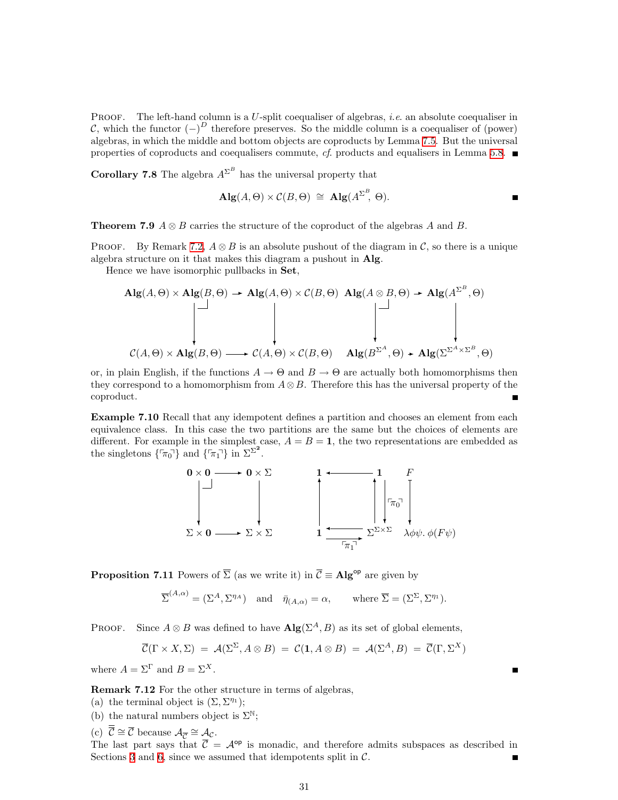PROOF. The left-hand column is a U-split coequaliser of algebras, *i.e.* an absolute coequaliser in C, which the functor  $(-)^D$  therefore preserves. So the middle column is a coequaliser of (power) algebras, in which the middle and bottom objects are coproducts by Lemma [7.5.](#page-29-0) But the universal properties of coproducts and coequalisers commute, cf. products and equalisers in Lemma [5.8](#page-20-1).  $\blacksquare$ 

**Corollary 7.8** The algebra  $A^{\Sigma^B}$  has the universal property that

$$
\mathbf{Alg}(A,\Theta) \times \mathcal{C}(B,\Theta) \cong \mathbf{Alg}(A^{\Sigma^B},\,\Theta).
$$

**Theorem 7.9**  $A \otimes B$  carries the structure of the coproduct of the algebras A and B.

PROOF. By Remark [7.2,](#page-28-2)  $A \otimes B$  is an absolute pushout of the diagram in C, so there is a unique algebra structure on it that makes this diagram a pushout in Alg.

Hence we have isomorphic pullbacks in Set,

$$
\mathbf{Alg}(A,\Theta) \times \mathbf{Alg}(B,\Theta) \longrightarrow \mathbf{Alg}(A,\Theta) \times \mathcal{C}(B,\Theta) \quad \mathbf{Alg}(A \otimes B,\Theta) \longrightarrow \mathbf{Alg}(A^{\Sigma^B},\Theta)
$$
  

$$
\downarrow \qquad \qquad \downarrow \qquad \qquad \downarrow \qquad \qquad \downarrow \qquad \qquad \downarrow \qquad \qquad \downarrow
$$
  

$$
\mathcal{C}(A,\Theta) \times \mathbf{Alg}(B,\Theta) \longrightarrow \mathcal{C}(A,\Theta) \times \mathcal{C}(B,\Theta) \quad \mathbf{Alg}(B^{\Sigma^A},\Theta) \longrightarrow \mathbf{Alg}(\Sigma^{\Sigma^A \times \Sigma^B},\Theta)
$$

or, in plain English, if the functions  $A \to \Theta$  and  $B \to \Theta$  are actually both homomorphisms then they correspond to a homomorphism from  $A \otimes B$ . Therefore this has the universal property of the coproduct.

Example 7.10 Recall that any idempotent defines a partition and chooses an element from each equivalence class. In this case the two partitions are the same but the choices of elements are different. For example in the simplest case,  $A = B = 1$ , the two representations are embedded as the singletons  $\{\tau_{\pi_0}\}$  and  $\{\tau_{\pi_1}\}$  in  $\Sigma^{\Sigma^2}$ .



<span id="page-30-0"></span>**Proposition 7.11** Powers of  $\overline{\Sigma}$  (as we write it) in  $\overline{\mathcal{C}} \equiv \mathbf{Alg}^{\mathsf{op}}$  are given by

$$
\overline{\Sigma}^{(A,\alpha)} = (\Sigma^A, \Sigma^{\eta_A}) \text{ and } \overline{\eta}_{(A,\alpha)} = \alpha, \text{ where } \overline{\Sigma} = (\Sigma^{\Sigma}, \Sigma^{\eta_1}).
$$

PROOF. Since  $A \otimes B$  was defined to have  $\mathbf{Alg}(\Sigma^A, B)$  as its set of global elements,

$$
\overline{\mathcal{C}}(\Gamma \times X, \Sigma) = \mathcal{A}(\Sigma^{\Sigma}, A \otimes B) = \mathcal{C}(1, A \otimes B) = \mathcal{A}(\Sigma^{A}, B) = \overline{\mathcal{C}}(\Gamma, \Sigma^{X})
$$

 $\blacksquare$ 

where  $A = \Sigma^{\Gamma}$  and  $B = \Sigma^{X}$ .

Remark 7.12 For the other structure in terms of algebras,

- (a) the terminal object is  $(\Sigma, \Sigma^{\eta_1});$
- (b) the natural numbers object is  $\Sigma^{\mathbb{N}}$ ;

(c)  $\overline{\overline{C}} \cong \overline{C}$  because  $\mathcal{A}_{\overline{C}} \cong \mathcal{A}_{\mathcal{C}}$ .

The last part says that  $\overline{C} = A^{op}$  is monadic, and therefore admits subspaces as described in Sections [3](#page-9-1) and [6](#page-23-1), since we assumed that idempotents split in  $C$ .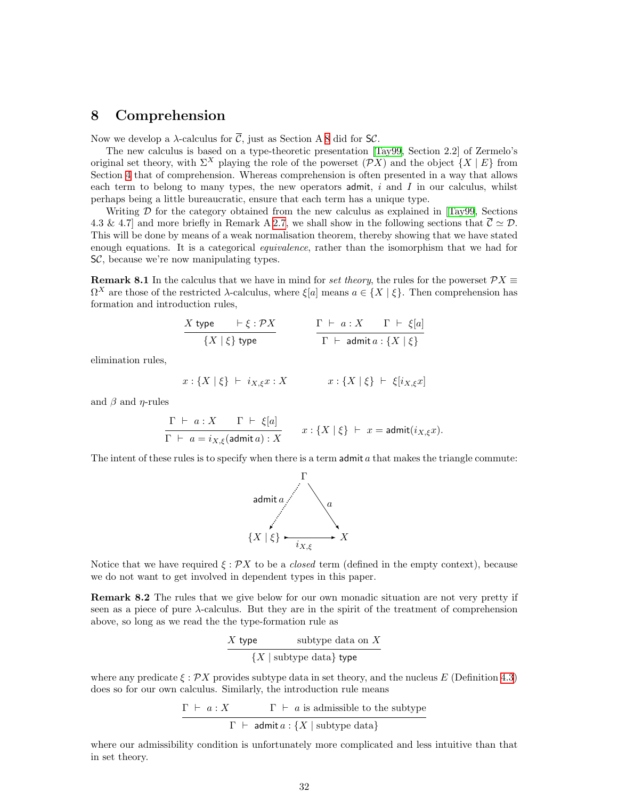### <span id="page-31-1"></span><span id="page-31-0"></span>8 Comprehension

Now we develop a  $\lambda$ -calculus for  $\overline{\mathcal{C}}$ , just as Section A [8](#page-31-1) did for SC.

The new calculus is based on a type-theoretic presentation[[Tay99](#page-53-0), Section 2.2] of Zermelo's original set theory, with  $\Sigma^X$  playing the role of the powerset  $(\mathcal{P}X)$  and the object  $\{X \mid E\}$  from Section [4](#page-14-2) that of comprehension. Whereas comprehension is often presented in a way that allows each term to belong to many types, the new operators admit,  $i$  and  $I$  in our calculus, whilst perhaps being a little bureaucratic, ensure that each term has a unique type.

Writing  $D$  for the category obtained from the new calculus as explained in  $[Tay99,$  Sections 4.3 & 4.7] and more briefly in Remark A [2.7](#page-7-0), we shall show in the following sections that  $\overline{C} \simeq \mathcal{D}$ . This will be done by means of a weak normalisation theorem, thereby showing that we have stated enough equations. It is a categorical *equivalence*, rather than the isomorphism that we had for SC, because we're now manipulating types.

<span id="page-31-2"></span>**Remark 8.1** In the calculus that we have in mind for set theory, the rules for the powerset  $\mathcal{P}X \equiv$  $\Omega^X$  are those of the restricted  $\lambda$ -calculus, where  $\xi[a]$  means  $a \in \{X \mid \xi\}$ . Then comprehension has formation and introduction rules,

| $X$ type              | $\vdash \xi : \mathcal{P}X$                      | $\Gamma \vdash a : X$ | $\Gamma \vdash \xi[a]$ |
|-----------------------|--------------------------------------------------|-----------------------|------------------------|
| $\{X \mid \xi\}$ type | $\Gamma \vdash \text{admit } a : \{X \mid \xi\}$ |                       |                        |

elimination rules,

$$
x: \{X \mid \xi\} ~\vdash~ i_{X,\xi}x: X \qquad \qquad x: \{X \mid \xi\} ~\vdash~ \xi [i_{X,\xi}x]
$$

and  $\beta$  and  $\eta$ -rules

$$
\frac{\Gamma \ \vdash \ a : X \qquad \Gamma \ \vdash \ \xi[a]}{\Gamma \ \vdash \ a = i_{X, \xi}(\mathsf{admit}\, a) : X} \qquad x : \{X \mid \xi\} \ \vdash \ x = \mathsf{admit}(i_{X, \xi} x).
$$

The intent of these rules is to specify when there is a term admit  $a$  that makes the triangle commute:



Notice that we have required  $\xi$ :  $\mathcal{P}X$  to be a *closed* term (defined in the empty context), because we do not want to get involved in dependent types in this paper.

<span id="page-31-3"></span>**Remark 8.2** The rules that we give below for our own monadic situation are not very pretty if seen as a piece of pure  $\lambda$ -calculus. But they are in the spirit of the treatment of comprehension above, so long as we read the the type-formation rule as

$$
\frac{X \text{ type} \qquad \text{subtype data on } X}{\{X \mid \text{subtype data} \} \text{ type}}
$$

where any predicate  $\xi : \mathcal{P}X$  provides subtype data in set theory, and the nucleus E (Definition [4.3](#page-15-0)) does so for our own calculus. Similarly, the introduction rule means

$$
\cfrac{\Gamma\;\vdash\; a:X\qquad \Gamma\;\vdash\; a\;\text{is admissible to the subtype}}{\Gamma\;\vdash\; \mathsf{admit}\, a:\{X\;|\; \text{subtype data}\}}
$$

where our admissibility condition is unfortunately more complicated and less intuitive than that in set theory.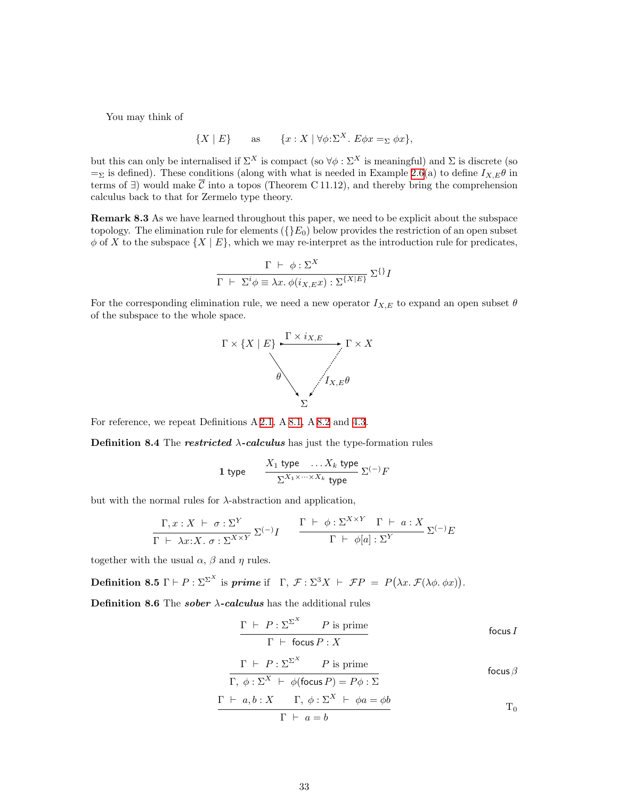You may think of

$$
\{X \mid E\} \quad \text{as} \quad \{x : X \mid \forall \phi : \Sigma^X. E \phi x =_{\Sigma} \phi x\},
$$

but this can only be internalised if  $\Sigma^X$  is compact (so  $\forall \phi : \Sigma^X$  is meaningful) and  $\Sigma$  is discrete (so  $=$ <sub>Σ</sub> is defined). These conditions (along with what is needed in Example [2.6](#page-6-1)(a) to define  $I_{X,E}\theta$  in terms of  $\exists$ ) would make  $\overline{C}$  into a topos (Theorem C 11.12), and thereby bring the comprehension calculus back to that for Zermelo type theory.

Remark 8.3 As we have learned throughout this paper, we need to be explicit about the subspace topology. The elimination rule for elements  $({E_0})$  below provides the restriction of an open subset  $\phi$  of X to the subspace  $\{X \mid E\}$ , which we may re-interpret as the introduction rule for predicates,

$$
\frac{\Gamma \ \vdash \ \phi : \Sigma^{X}}{\Gamma \ \vdash \ \Sigma^{i} \phi \equiv \lambda x. \ \phi(i_{X,E}x) : \Sigma^{\{X|E\}} } \ \Sigma^{\{\}} I
$$

For the corresponding elimination rule, we need a new operator  $I_{X,E}$  to expand an open subset  $\theta$ of the subspace to the whole space.



<span id="page-32-1"></span>For reference, we repeat Definitions A [2.1](#page-4-1), A [8.1,](#page-31-2) A [8.2](#page-31-3) and [4.3](#page-15-0).

**Definition 8.4** The **restricted**  $\lambda$ -calculus has just the type-formation rules

1 type 
$$
\frac{X_1 \text{ type } \dots X_k \text{ type}}{\sum_{X_1 \times \dots \times X_k} \text{ type } \Sigma^{(-)}F}
$$

but with the normal rules for  $\lambda$ -abstraction and application,

$$
\frac{\Gamma, x: X \vdash \sigma : \Sigma^{Y}}{\Gamma \vdash \lambda x: X. \sigma : \Sigma^{X \times Y}} \Sigma^{(-)}I \qquad \frac{\Gamma \vdash \phi : \Sigma^{X \times Y} \Gamma \vdash a: X}{\Gamma \vdash \phi[a] : \Sigma^{Y}} \Sigma^{(-)}E
$$

<span id="page-32-0"></span>together with the usual  $\alpha$ ,  $\beta$  and  $\eta$  rules.

**Definition 8.5**  $\Gamma \vdash P : \Sigma^{\Sigma^X}$  is *prime* if  $\Gamma, \mathcal{F} : \Sigma^3 X \vdash \mathcal{F}P = P(\lambda x. \mathcal{F}(\lambda \phi, \phi x)).$ 

<span id="page-32-2"></span>Definition 8.6 The sober  $\lambda$ -calculus has the additional rules

$$
\frac{\Gamma \vdash P : \Sigma^{\Sigma^{X}} \qquad P \text{ is prime}}{\Gamma \vdash \text{focus } P : X}
$$

$$
\frac{\Gamma \vdash P : \Sigma^{\Sigma^{X}} \qquad P \text{ is prime}}{\Gamma, \phi : \Sigma^{X} \vdash \phi(\text{focus } P) = P\phi : \Sigma} \qquad \text{focus } \beta
$$

$$
\frac{\Gamma \ \vdash \ a, b: X \qquad \Gamma, \ \phi: \Sigma^{X} \ \vdash \ \phi a = \phi b}{\Gamma \ \vdash \ a = b} \qquad \qquad \Gamma_0
$$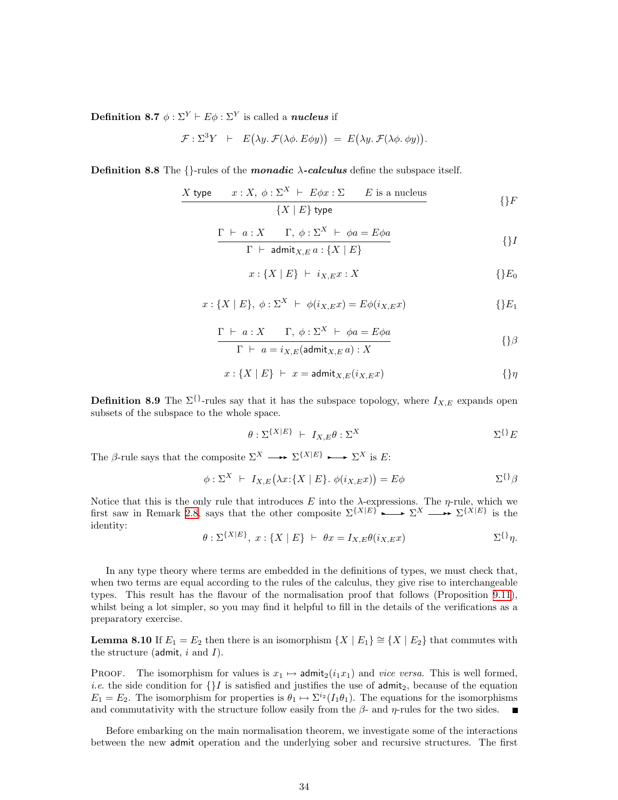**Definition 8.7**  $\phi : \Sigma^{Y} \vdash E\phi : \Sigma^{Y}$  is called a *nucleus* if

$$
\mathcal{F}: \Sigma^3 Y \quad \vdash \quad E(\lambda y. \ \mathcal{F}(\lambda \phi. \ E\phi y)) \ = \ E(\lambda y. \ \mathcal{F}(\lambda \phi. \ \phi y)).
$$

**Definition 8.8** The  $\{\}$ -rules of the *monadic*  $\lambda$ -calculus define the subspace itself.

$$
X \text{ type } x: X, \phi: \Sigma^{X} \vdash E\phi x: \Sigma \qquad E \text{ is a nucleus} \n{X \mid E} \text{ type}
$$
\n
$$
\{ \}F
$$

$$
\frac{\Gamma \vdash a: X \qquad \Gamma, \ \phi: \Sigma^{X} \vdash \phi a = E \phi a}{\Gamma \vdash \ \text{admit}_{X,E} a: \{X \mid E\}} \qquad \{ \}
$$

$$
x: \{X \mid E\} \ \vdash \ i_{X,E} x: X \tag{ }\{E_0\}
$$

$$
x: \{X \mid E\}, \ \phi: \Sigma^{X} \ \vdash \ \phi(i_{X,E}x) = E\phi(i_{X,E}x) \tag{}\E_1
$$

$$
\frac{\Gamma \vdash a: X \qquad \Gamma, \ \phi: \Sigma^{X} \vdash \ \phi a = E \phi a}{\Gamma \vdash a = i_{X,E}(\text{admit}_{X,E} a): X}
$$

$$
x: \{X \mid E\} \ \vdash \ x = \text{admit}_{X,E}(i_{X,E}x) \tag{3}
$$

**Definition 8.9** The  $\Sigma$ <sup>{}</sup>-rules say that it has the subspace topology, where  $I_{X,E}$  expands open subsets of the subspace to the whole space.

$$
\theta : \Sigma^{\{X|E\}} \ \vdash \ I_{X,E} \theta : \Sigma^X \tag{3.1}
$$

The  $\beta$ -rule says that the composite  $\Sigma^X \longrightarrow \Sigma^{\{X|E\}} \longrightarrow \Sigma^X$  is E:

$$
\phi: \Sigma^{X} \vdash I_{X,E}(\lambda x: \{X \mid E\}, \phi(i_{X,E}x)) = E\phi \qquad \Sigma^{\{\}}\beta
$$

Notice that this is the only rule that introduces E into the  $\lambda$ -expressions. The  $\eta$ -rule, which we first saw in Remark [2.8](#page-7-1), says that the other composite  $\Sigma^{\{X|E\}} \longrightarrow \Sigma^X \longrightarrow \Sigma^{\{X|E\}}$  is the identity:

$$
\theta : \Sigma^{\{X|E\}}, x : \{X \mid E\} \vdash \theta x = I_{X,E}\theta(i_{X,E}x) \qquad \Sigma^{\{\}}\eta.
$$

In any type theory where terms are embedded in the definitions of types, we must check that, when two terms are equal according to the rules of the calculus, they give rise to interchangeable types. This result has the flavour of the normalisation proof that follows (Proposition [9.11](#page-39-3)), whilst being a lot simpler, so you may find it helpful to fill in the details of the verifications as a preparatory exercise.

<span id="page-33-0"></span>**Lemma 8.10** If  $E_1 = E_2$  then there is an isomorphism  $\{X \mid E_1\} \cong \{X \mid E_2\}$  that commutes with the structure (admit,  $i$  and  $I$ ).

PROOF. The isomorphism for values is  $x_1 \mapsto \text{admit}_2(i_1x_1)$  and vice versa. This is well formed, *i.e.* the side condition for  $\{I\}$  is satisfied and justifies the use of admit<sub>2</sub>, because of the equation  $E_1 = E_2$ . The isomorphism for properties is  $\theta_1 \mapsto \Sigma^{i_2}(I_1\theta_1)$ . The equations for the isomorphisms and commutativity with the structure follow easily from the  $\beta$ - and  $\eta$ -rules for the two sides.  $\blacksquare$ 

Before embarking on the main normalisation theorem, we investigate some of the interactions between the new admit operation and the underlying sober and recursive structures. The first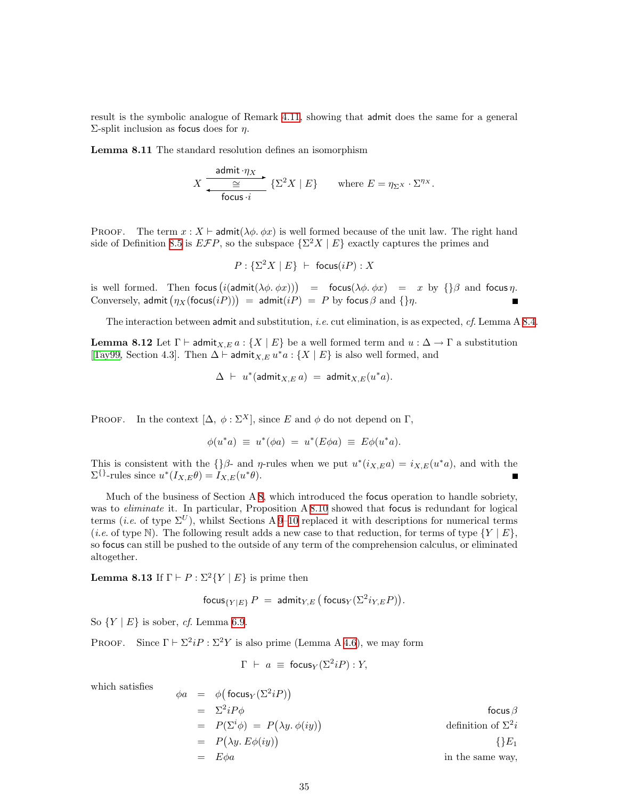result is the symbolic analogue of Remark [4.11](#page-16-1), showing that admit does the same for a general Σ-split inclusion as focus does for  $η$ .

<span id="page-34-1"></span>Lemma 8.11 The standard resolution defines an isomorphism

$$
X \xrightarrow{\text{admit } \cdot \eta_X} \{ \sum_{\text{focus } i} \{ \sum_{i=1}^{2} X \mid E \} \qquad \text{where } E = \eta_{\Sigma} X \cdot \Sigma^{\eta_X}.
$$

PROOF. The term  $x : X \vdash \mathsf{admit}(\lambda \phi, \phi x)$  is well formed because of the unit law. The right hand side of Definition [8.5](#page-32-0) is  $E\mathcal{F}P$ , so the subspace  $\{\Sigma^2 X \mid E\}$  exactly captures the primes and

$$
P: \{\Sigma^2 X \mid E\} \;\vdash\; \mathsf{focus}(iP) : X
$$

is well formed. Then focus  $(i(\text{admit}(\lambda \phi. \phi x)) )$  = focus $(\lambda \phi. \phi x)$  = x by  $\{\} \beta$  and focus  $\eta$ . Conversely, admit  $(\eta_X(\mathsf{focus}(iP))) = \mathsf{admit}(iP) = P$  by focus  $\beta$  and  $\{\eta$ .

The interaction between admit and substitution, *i.e.* cut elimination, is as expected, *cf.* Lemma A [8.4.](#page-32-1)

**Lemma 8.12** Let  $\Gamma \vdash \text{admit}_{X,E} a : \{X \mid E\}$  be a well formed term and  $u : \Delta \to \Gamma$  a substitution [[Tay99](#page-53-0), Section 4.3]. Then  $\Delta \vdash$  admit $_{X,E} u^*a : \{X \mid E\}$  is also well formed, and

$$
\Delta \;\vdash\; u^*(\text{admit}_{X,E} \, a) \; = \; \text{admit}_{X,E}(u^*a).
$$

PROOF. In the context  $[\Delta, \phi : \Sigma^X]$ , since E and  $\phi$  do not depend on  $\Gamma$ ,

$$
\phi(u^*a) \equiv u^*(\phi a) = u^*(E\phi a) \equiv E\phi(u^*a).
$$

This is consistent with the  $\{\}\beta$ - and  $\eta$ -rules when we put  $u^*(i_{X,E}a) = i_{X,E}(u^*a)$ , and with the  $\Sigma^{\{\}}$ -rules since  $u^*(I_{X,E}\theta) = I_{X,E}(u^*\theta)$ .

Much of the business of Section A [8,](#page-31-1) which introduced the focus operation to handle sobriety, was to *eliminate* it. In particular, Proposition A [8.10](#page-33-0) showed that focus is redundant for logical terms (*i.e.* of type  $\Sigma^U$ ), whilst Sections A [9–](#page-35-1)[10](#page-39-1) replaced it with descriptions for numerical terms (*i.e.* of type N). The following result adds a new case to that reduction, for terms of type  $\{Y \mid E\}$ , so focus can still be pushed to the outside of any term of the comprehension calculus, or eliminated altogether.

<span id="page-34-0"></span>**Lemma 8.13** If  $\Gamma \vdash P : \Sigma^2 \{ Y \mid E \}$  is prime then

$$
\mathsf{focus}_{\{Y|E\}} P = \mathsf{admit}_{Y,E} \left( \mathsf{focus}_{Y}(\Sigma^{2} i_{Y,E} P) \right).
$$

So  $\{Y \mid E\}$  is sober, *cf.* Lemma [6.9.](#page-25-1)

PROOF. Since  $\Gamma \vdash \Sigma^2 iP : \Sigma^2 Y$  is also prime (Lemma A [4.6](#page-15-2)), we may form

$$
\Gamma \ \vdash \ a \ \equiv \ \mathsf{focus}_Y(\Sigma^2 iP) : Y,
$$

which satisfies

$$
\phi a = \phi \big( \text{focus}_{Y} (\Sigma^{2} i P) \big)
$$
\n
$$
= \Sigma^{2} i P \phi \qquad \text{focus} \beta
$$
\n
$$
= P(\Sigma^{i} \phi) = P(\lambda y. \phi(iy)) \qquad \text{definition of } \Sigma^{2} i
$$
\n
$$
= P(\lambda y. E \phi(iy)) \qquad \text{{f}} E_{1}
$$
\n
$$
= E \phi a \qquad \text{in the same way,}
$$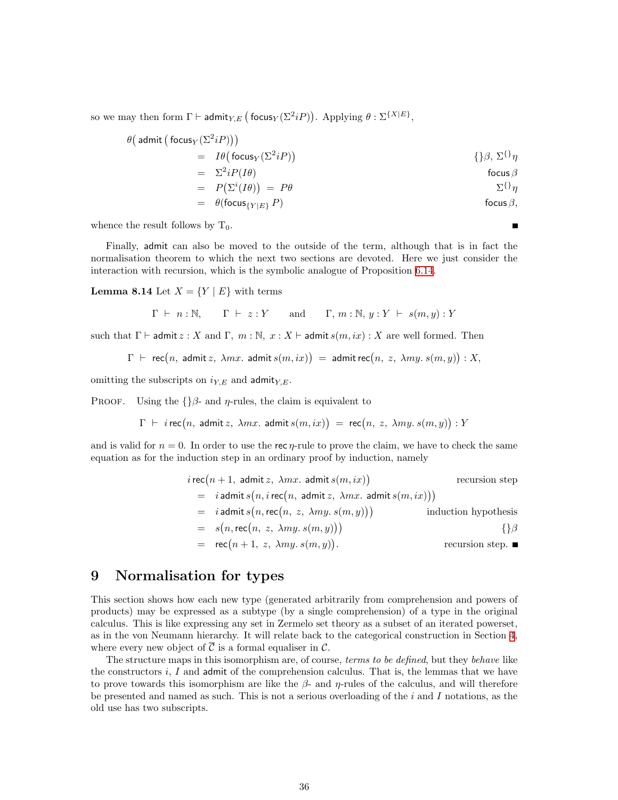<span id="page-35-0"></span>so we may then form  $\Gamma \vdash \mathsf{admit}_{Y,E} \left( \mathsf{focus}_Y(\Sigma^2 iP) \right)$ . Applying  $\theta : \Sigma^{\{X|E\}}$ ,

$$
\theta(\text{admit }(\text{focus}_{Y}(\Sigma^{2}iP)))
$$
\n
$$
= I\theta(\text{focus}_{Y}(\Sigma^{2}iP))
$$
\n
$$
= \Sigma^{2}iP(I\theta)
$$
\n
$$
= P(\Sigma^{i}(I\theta)) = P\theta
$$
\n
$$
= \theta(\text{focus}_{\{Y|E\}}P)
$$
\n
$$
\theta(\text{focus}_{\beta})
$$
\n
$$
\theta(\text{focus}_{\beta})
$$
\n
$$
\theta(\text{focus}_{\beta})
$$

whence the result follows by  $T_0$ .

Finally, admit can also be moved to the outside of the term, although that is in fact the normalisation theorem to which the next two sections are devoted. Here we just consider the interaction with recursion, which is the symbolic analogue of Proposition [6.14](#page-26-0).

<span id="page-35-2"></span>**Lemma 8.14** Let  $X = \{Y | E\}$  with terms

$$
\Gamma \vdash n : \mathbb{N}, \qquad \Gamma \vdash z : Y \qquad \text{and} \qquad \Gamma, m : \mathbb{N}, y : Y \vdash s(m, y) : Y
$$

such that  $\Gamma \vdash \mathsf{admit}\, z : X$  and  $\Gamma, m : \mathbb{N}, x : X \vdash \mathsf{admit}\, s(m, ix) : X$  are well formed. Then

$$
\Gamma
$$
  $\vdash$  rec $(n, \text{ admit } z, \lambda mx, \text{ admit } s(m, ix)) = \text{admit rec}(n, z, \lambda my. s(m, y)) : X,$ 

omitting the subscripts on  $i_{Y,E}$  and admit<sub> $Y,E$ </sub>.

PROOF. Using the  $\{\}$ β- and  $\eta$ -rules, the claim is equivalent to

 $\Gamma \vdash i$  rec $(n, \text{ admit } z, \lambda mx. \text{ admit } s(m, ix)) = \text{rec}(n, z, \lambda my. s(m, y)) : Y$ 

and is valid for  $n = 0$ . In order to use the rec  $\eta$ -rule to prove the claim, we have to check the same equation as for the induction step in an ordinary proof by induction, namely

$$
i \text{ rec}(n+1, \text{ admit } z, \lambda mx. \text{ admit } s(m, ix))
$$
\n
$$
= i \text{ admit } s(n, i \text{ rec}(n, \text{ admit } z, \lambda mx. \text{ admit } s(m, ix)))
$$
\n
$$
= i \text{ admit } s(n, \text{rec}(n, z, \lambda my. s(m, y)))
$$
\n
$$
= s(n, \text{rec}(n, z, \lambda my. s(m, y)))
$$
\n
$$
= s(n, \text{rec}(n, z, \lambda my. s(m, y)))
$$
\n
$$
= \text{rec}(n+1, z, \lambda my. s(m, y)).
$$
\n
$$
f \beta
$$
\n
$$
= \text{recursion step. } \blacksquare
$$

## <span id="page-35-1"></span>9 Normalisation for types

This section shows how each new type (generated arbitrarily from comprehension and powers of products) may be expressed as a subtype (by a single comprehension) of a type in the original calculus. This is like expressing any set in Zermelo set theory as a subset of an iterated powerset, as in the von Neumann hierarchy. It will relate back to the categorical construction in Section [4](#page-14-2), where every new object of  $\overline{C}$  is a formal equaliser in C.

The structure maps in this isomorphism are, of course, terms to be defined, but they behave like the constructors  $i, I$  and admit of the comprehension calculus. That is, the lemmas that we have to prove towards this isomorphism are like the  $\beta$ - and  $\eta$ -rules of the calculus, and will therefore be presented and named as such. This is not a serious overloading of the  $i$  and  $I$  notations, as the old use has two subscripts.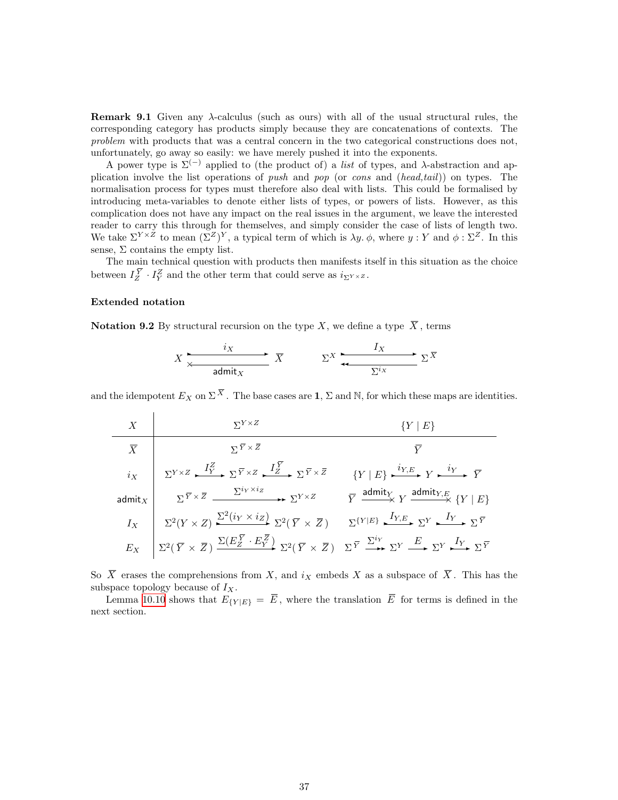**Remark 9.1** Given any  $\lambda$ -calculus (such as ours) with all of the usual structural rules, the corresponding category has products simply because they are concatenations of contexts. The problem with products that was a central concern in the two categorical constructions does not, unfortunately, go away so easily: we have merely pushed it into the exponents.

A power type is  $\Sigma^{(-)}$  applied to (the product of) a *list* of types, and  $\lambda$ -abstraction and application involve the list operations of push and pop (or cons and (head,tail)) on types. The normalisation process for types must therefore also deal with lists. This could be formalised by introducing meta-variables to denote either lists of types, or powers of lists. However, as this complication does not have any impact on the real issues in the argument, we leave the interested reader to carry this through for themselves, and simply consider the case of lists of length two. We take  $\Sigma^{Y \times Z}$  to mean  $(\Sigma^Z)^Y$ , a typical term of which is  $\lambda y$ .  $\phi$ , where  $y : Y$  and  $\phi : \Sigma^Z$ . In this sense,  $\Sigma$  contains the empty list.

The main technical question with products then manifests itself in this situation as the choice between  $I_Z^{\overline{Y}} \cdot I_Y^Z$  and the other term that could serve as  $i_{\Sigma^{Y} \times Z}$ .

#### <span id="page-36-0"></span>Extended notation

Notation 9.2 By structural recursion on the type X, we define a type  $\overline{X}$ , terms

$$
X \xrightarrow{\hspace{1cm} i_X \hspace{1cm}} \overbrace{d \text{unit}_X}^{\hspace{1cm} i_X} \overbrace{X} \qquad \Sigma^X \xrightarrow{\hspace{1cm} I_X \hspace{1cm}} \Sigma^{\overline{X}}
$$

and the idempotent  $E_X$  on  $\Sigma^{\overline{X}}$ . The base cases are 1,  $\Sigma$  and N, for which these maps are identities.

X  
\n
$$
\overline{X}
$$
\n
$$
\overline{Y}
$$
\n
$$
\overline{X}
$$
\n
$$
\sum_{Y \times Z} \frac{I_Y^Z}{\sum_{Y \times Z} I_Y^Z} \sum_{Y \times Z} \frac{I_Z^Y}{\sum_{Y \times Z} I_Z^Y} \sum_{Y \times Z} \frac{I_Y^Y}{\sum_{Y \times Z} I_Z^Y} \sum_{Y \times Z} \frac{I_Y^Y}{\sum_{Y \times Z} I_Y^Y} \sum_{Y \times Z} \frac{I_Y^Y}{\sum_{Y \times Z} I_Y^Y} \sum_{Y \times Z} \frac{I_Y^Y}{\sum_{Y \times Z} I_Y^Y} \sum_{Y \times Z} \frac{I_Y}{\sum_{Y \times Z} I_Y^Y} \sum_{Y \times Z} \frac{I_Y}{\sum_{Y \times Z} I_Y^Y} \sum_{Y \times Z} \sum_{Y \times Z} \frac{I_Y}{\sum_{Y \times Z} I_Y^Y} \sum_{Y \times Z} \sum_{Y \times Z} \frac{I_Y}{\sum_{Y \times Z} I_Y^Y} \sum_{Y \times Z} \sum_{Y \times Z} \frac{I_Y}{\sum_{Y \times Z} I_Y^Y} \sum_{Y \times Z} \sum_{Y \times Z} \frac{I_Y}{\sum_{Y \times Z} I_Y^Y} \sum_{Y \times Z} \frac{I_Y}{\sum_{Y \times Z} I_Y^Y} \sum_{Y \times Z} \frac{I_Y}{\sum_{Y \times Z} I_Y^Y} \sum_{Y \times Z} \frac{I_Y}{\sum_{Y \times Z} I_Y^Y} \sum_{Y \times Z} \frac{I_Y}{\sum_{Y \times Z} I_Y^Y} \sum_{Y \times Z} \frac{I_Y}{\sum_{Y \times Z} I_Y^Y} \sum_{Y \times Z} \frac{I_Y}{\sum_{Y \times Z} I_Y^Y} \sum_{Y \times Z} \frac{I_Y}{\sum_{Y \times Z} I_Y^Y} \sum_{Y \times Z} \frac{I_Y}{\sum_{Y \times Z} I_Y^Y} \sum_{Y \times Z} \frac{I_Y}{\sum_{Y \times Z} I_Y^Y} \sum_{Y \times Z} \sum_{Y \times Z} \frac{I_Y}{\sum_{Y \times Z} I_Y^Y} \sum_{Y \times Z} \sum_{Y \times Z} \frac{I_Y}{\sum_{Y \times Z} I_Y^Y} \sum_{Y \times Z} \sum_{Y \times Z} \frac{I_Y}{\sum_{Y \times Z} I_Y^
$$

So  $\overline{X}$  erases the comprehensions from X, and  $i_X$  embeds X as a subspace of  $\overline{X}$ . This has the subspace topology because of  $I_X$ .

Lemma [10.10](#page-42-0) shows that  $E_{\{Y|E\}} = \overline{E}$ , where the translation  $\overline{E}$  for terms is defined in the next section.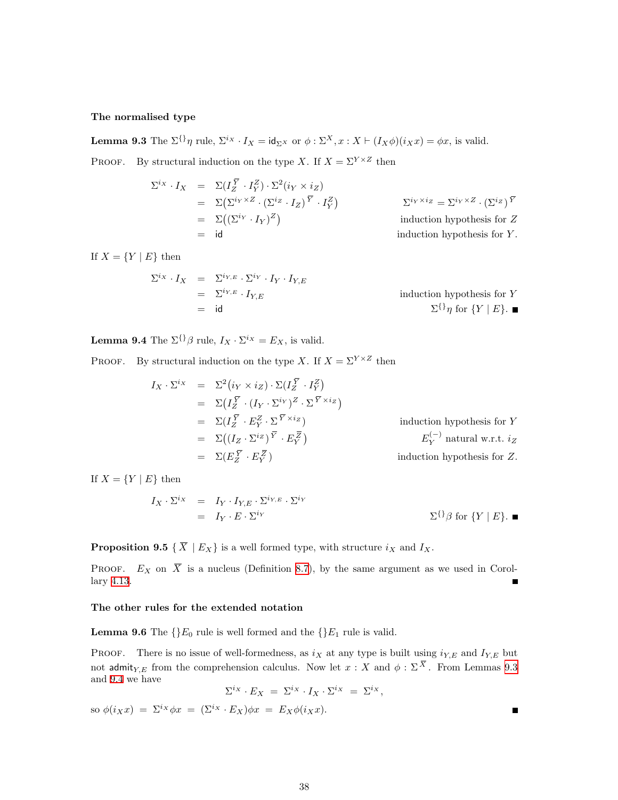#### The normalised type

<span id="page-37-0"></span>**Lemma 9.3** The  $\Sigma^{i}$  *n* rule,  $\Sigma^{i}$  *i*  $I_X = id_{\Sigma^X}$  or  $\phi : \Sigma^X, x : X \vdash (I_X \phi)(i_X x) = \phi x$ , is valid. PROOF. By structural induction on the type X. If  $X = \Sigma^{Y \times Z}$  then

$$
\Sigma^{ix} \cdot I_X = \Sigma (I_Z^{\overline{Y}} \cdot I_Y^Z) \cdot \Sigma^2 (i_Y \times i_Z)
$$
  
\n
$$
= \Sigma (\Sigma^{i_Y \times Z} \cdot (\Sigma^{i_Z} \cdot I_Z)^{\overline{Y}} \cdot I_Y^Z)
$$
  
\n
$$
= \Sigma ((\Sigma^{i_Y} \cdot I_Y)^Z)
$$
  
\n
$$
= id
$$
  
\ninduction hypothesis for *Z*  
\ninduction hypothesis for *Y*.

If  $X = \{Y \mid E\}$  then

$$
\Sigma^{i_X} \cdot I_X = \Sigma^{i_Y, E} \cdot \Sigma^{i_Y} \cdot I_Y \cdot I_{Y, E}
$$
  
=  $\Sigma^{i_Y, E} \cdot I_{Y, E}$   
= id  $\Sigma^{i_Y} \eta$  for  $\{Y \mid E\}$ .

<span id="page-37-1"></span>**Lemma 9.4** The  $\Sigma^{\{\}}\beta$  rule,  $I_X \cdot \Sigma^{i_X} = E_X$ , is valid.

PROOF. By structural induction on the type X. If  $X = \Sigma^{Y \times Z}$  then

$$
I_X \cdot \Sigma^{i_X} = \Sigma^2 (i_Y \times i_Z) \cdot \Sigma (I_Z^{\overline{Y}} \cdot I_Y^Z)
$$
  
\n
$$
= \Sigma (I_Z^{\overline{Y}} \cdot (I_Y \cdot \Sigma^{i_Y})^Z \cdot \Sigma^{\overline{Y} \times i_Z})
$$
  
\n
$$
= \Sigma (I_Z^{\overline{Y}} \cdot E_Y^Z \cdot \Sigma^{\overline{Y} \times i_Z})
$$
 induction hypothesis for  $Y$   
\n
$$
= \Sigma ((I_Z \cdot \Sigma^{i_Z})^{\overline{Y}} \cdot E_Z^{\overline{Z}})
$$
  
\n
$$
= \Sigma (E_Z^{\overline{Y}} \cdot E_Y^{\overline{Z}})
$$
 induction hypothesis for  $Z$ .

If  $X = \{Y \mid E\}$  then

$$
I_X \cdot \Sigma^{i_X} = I_Y \cdot I_{Y,E} \cdot \Sigma^{i_{Y,E}} \cdot \Sigma^{i_Y}
$$
  
=  $I_Y \cdot E \cdot \Sigma^{i_Y}$   $\Sigma^{\{\}} \beta$  for  $\{Y \mid E\}$ .

**Proposition 9.5** { $\overline{X}$  |  $E_X$ } is a well formed type, with structure  $i_X$  and  $I_X$ .

PROOF.  $E_X$  on  $\overline{X}$  is a nucleus (Definition [8.7\)](#page-32-2), by the same argument as we used in Corollary [4.13.](#page-17-1)

#### <span id="page-37-2"></span>The other rules for the extended notation

**Lemma 9.6** The  $\{E_0 \text{ rule is well formed and the } \{E_1 \text{ rule is valid.}\}$ 

**PROOF.** There is no issue of well-formedness, as  $i_X$  at any type is built using  $i_{Y,E}$  and  $I_{Y,E}$  but not admit<sub>Y,E</sub> from the comprehension calculus. Now let  $x : X$  and  $\phi : \Sigma^X$ . From Lemmas [9.3](#page-37-0) and [9.4](#page-37-1) we have

$$
\Sigma^{i_X} \cdot E_X \ = \ \Sigma^{i_X} \cdot I_X \cdot \Sigma^{i_X} \ = \ \Sigma^{i_X},
$$

 $\blacksquare$ 

so  $\phi(i_Xx) = \Sigma^{i_X}\phi x = (\Sigma^{i_X} \cdot E_X)\phi x = E_X\phi(i_Xx)$ .

38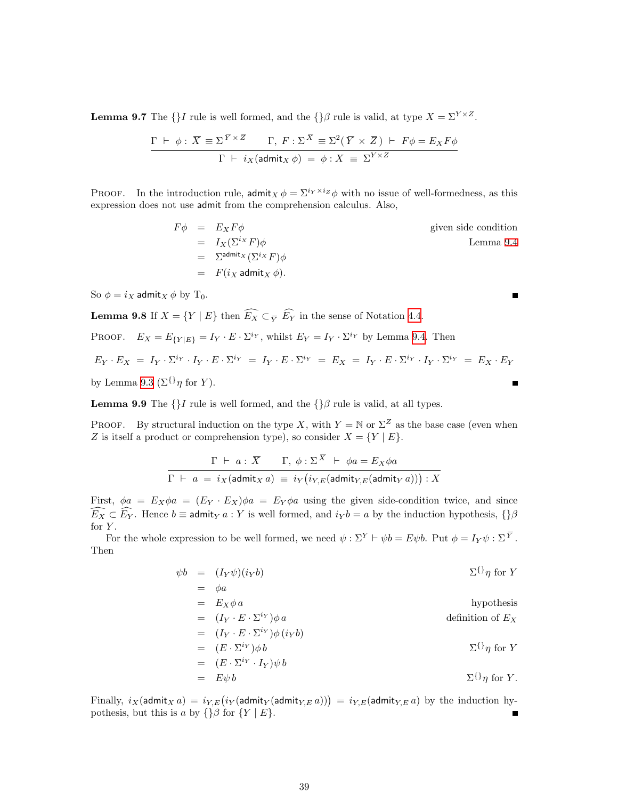**Lemma 9.7** The {}I rule is well formed, and the {} $\beta$  rule is valid, at type  $X = \Sigma^{Y \times Z}$ .

$$
\frac{\Gamma \vdash \phi : \overline{X} \equiv \Sigma^{\overline{Y} \times \overline{Z}} \Gamma, F : \Sigma^{\overline{X}} \equiv \Sigma^2 (\overline{Y} \times \overline{Z}) \vdash F\phi = E_X F\phi}{\Gamma \vdash i_X(\text{admit}_X \phi) = \phi : X \equiv \Sigma^{Y \times Z}}
$$

**PROOF.** In the introduction rule,  $\text{admit}_X \phi = \sum^{i_Y \times i_Z} \phi$  with no issue of well-formedness, as this expression does not use admit from the comprehension calculus. Also,

> $F\phi = E_X F\phi$  given side condition  $= I_X(\Sigma^{i_X} F) \phi$  Lemma [9.4](#page-37-1)  $= \sum^{\text{admit}_X} (\sum^i X F) \phi$  $= F(i_X \text{admit}_X \phi).$

> > Е

 $\blacksquare$ 

So  $\phi = i_X$  admit<sub>X</sub>  $\phi$  by T<sub>0</sub>.

<span id="page-38-2"></span>**Lemma 9.8** If  $X = \{Y | E\}$  then  $\widehat{E_X} \subset_{\overline{Y}} \widehat{E_Y}$  in the sense of Notation [4.4](#page-15-4).

PROOF.  $E_X = E_{\{Y|E\}} = I_Y \cdot E \cdot \Sigma^{i_Y}$ , whilst  $E_Y = I_Y \cdot \Sigma^{i_Y}$  by Lemma [9.4](#page-37-1). Then  $E_Y \cdot E_X = I_Y \cdot \Sigma^{i_Y} \cdot I_Y \cdot E \cdot \Sigma^{i_Y} = I_Y \cdot E \cdot \Sigma^{i_Y} = E_X = I_Y \cdot E \cdot \Sigma^{i_Y} \cdot I_Y \cdot \Sigma^{i_Y} = E_X \cdot E_Y$ 

<span id="page-38-0"></span>by Lemma [9.3](#page-37-0) ( $\Sigma^{\{\}}$ η for Y).

**Lemma 9.9** The  $\{$ I rule is well formed, and the  $\{\}$ β rule is valid, at all types.

PROOF. By structural induction on the type X, with  $Y = N$  or  $\Sigma^Z$  as the base case (even when Z is itself a product or comprehension type), so consider  $X = \{Y \mid E\}.$ 

$$
\frac{\Gamma \vdash a : \overline{X} \qquad \Gamma, \ \phi : \Sigma^{\overline{X}} \vdash \ \phi a = E_X \phi a}{\Gamma \vdash a = i_X(\text{admit}_X a) \equiv i_Y(i_{Y,E}(\text{admit}_{Y,E}(\text{admit}_Y a))) : X}
$$

First,  $\phi a = E_X \phi a = (E_Y \cdot E_X) \phi a = E_Y \phi a$  using the given side-condition twice, and since  $\widehat{E_X} \subset \widehat{E_Y}$ . Hence  $b \equiv \mathsf{admit}_Y a : Y$  is well formed, and  $i_Y b = a$  by the induction hypothesis,  $\{\} \beta$ for  $Y$ .

For the whole expression to be well formed, we need  $\psi : \Sigma^{Y} \vdash \psi b = E \psi b$ . Put  $\phi = I_Y \psi : \Sigma^{Y}$ . Then

$$
\psi b = (I_Y \psi)(i_Y b)
$$
  
\n
$$
= \phi a
$$
  
\n
$$
= E_X \phi a
$$
  
\n
$$
= (I_Y \cdot E \cdot \Sigma^{i_Y}) \phi a
$$
  
\n
$$
= (I_Y \cdot E \cdot \Sigma^{i_Y}) \phi (i_Y b)
$$
  
\n
$$
= (E \cdot \Sigma^{i_Y} \cdot I_Y) \psi b
$$
  
\n
$$
= E \psi b
$$
  
\n
$$
\Sigma^{\{ \}} \eta \text{ for } Y.
$$

<span id="page-38-1"></span>Finally,  $i_X(\mathsf{admit}_X a) = i_{Y,E}(i_Y(\mathsf{admit}_Y(\mathsf{admit}_{Y,E} a))) = i_{Y,E}(\mathsf{admit}_{Y,E} a)$  by the induction hypothesis, but this is a by  $\{\} \beta$  for  $\{Y \mid E\}$ .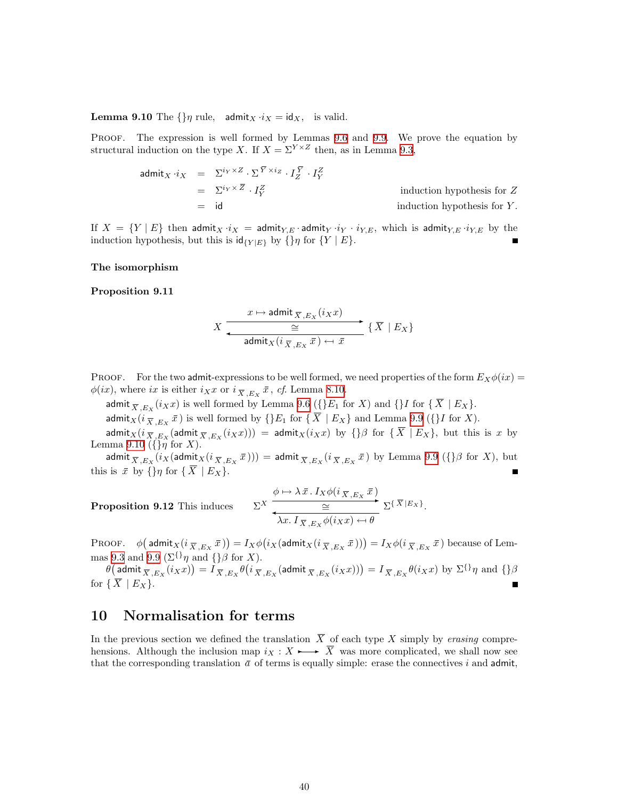<span id="page-39-0"></span>**Lemma 9.10** The  $\{\}\eta$  rule, admit<sub>X</sub>  $i_X = id_X$ , is valid.

PROOF. The expression is well formed by Lemmas [9.6](#page-37-2) and [9.9.](#page-38-0) We prove the equation by structural induction on the type X. If  $X = \Sigma^{Y \times Z}$  then, as in Lemma [9.3](#page-37-0),

$$
admit_X \cdot i_X = \Sigma^{i_Y \times Z} \cdot \Sigma^{\overline{Y} \times i_Z} \cdot I_Z^{\overline{Y}} \cdot I_Y^Z
$$
  
=  $\Sigma^{i_Y \times \overline{Z}} \cdot I_Y^Z$   
= id induction hypothesis for Z  
induction hypothesis for Y.

If  $X = \{Y | E\}$  then admit $_X \cdot i_X = \text{admit}_{Y, E} \cdot \text{admit}_{Y, Y} \cdot i_Y \cdot i_{Y, E}$ , which is admit $_{Y, E} \cdot i_{Y, E}$  by the induction hypothesis, but this is  $\operatorname{id}_{\{Y|E\}}$  by  $\{\}\eta$  for  $\{Y \mid E\}$ .

#### The isomorphism

#### <span id="page-39-3"></span>Proposition 9.11

<span id="page-39-2"></span>Proposit

$$
X \xrightarrow{\begin{subarray}{c} x \mapsto \mathsf{admit}_{\overline{X},E_X}(i_X x) \\ \underline{\cong} \end{subarray}} \{\overline{X} \mid E_X\}
$$
  
 
$$
\begin{subarray}{c} \overline{X} \mid E_X \end{subarray}
$$

PROOF. For the two admit-expressions to be well formed, we need properties of the form  $E_X\phi(ix) =$  $\phi(ix)$ , where *ix* is either  $i_Xx$  or  $i_{\overline{X},E_X}\overline{x}$ , *cf.* Lemma [8.10](#page-33-0).

admit  $_{\overline{X},E_X}(i_Xx)$  is well formed by Lemma [9.6](#page-37-2) ({} E<sub>1</sub> for X) and {} I for { $\overline{X}$  | E<sub>X</sub>}.

admit<sub>X</sub>( $i_{\overline{X},E_X}$   $\overline{x}$ ) is well formed by {}E<sub>1</sub> for { $\overline{X}$  | E<sub>X</sub>} and Lemma [9.9](#page-38-0) ({}I for X).

admit $_X(i_{\overline{X},E_X}(\textsf{admit}_{\overline{X},E_X}(i_Xx))) = \textsf{admit}_X(i_Xx)$  by  $\{\}\beta$  for  $\{\overline{X} \mid E_X\}$ , but this is x by Lemma [9.10](#page-38-1) ( $\{\}\eta$  for X).

admit  $\overline{X}_{,E_X}(i_X(\textsf{admit}_X(i_{\,\overline{X}\,,E_X}\,\bar x))) = \textsf{admit}_{\,\overline{X}\,,E_X}(i_{\,\overline{X}\,,E_X}\,\bar x)$  by Lemma [9.9](#page-38-0)  $(\{\}\beta\text{ for } X),$  but this is  $\bar{x}$  by  $\{\}\eta$  for  $\{\bar{X} \mid E_X\}$ .

**ion 9.12** This induces 
$$
\Sigma^{X} \xrightarrow{\phi \mapsto \lambda \bar{x} \cdot I_{X} \phi(i_{\overline{X},E_{X}} \bar{x})} \Sigma^{\{\overline{X}|E_{X}\}} \Sigma^{\{\overline{X}|E_{X}\}}.
$$

PROOF.  $\phi\big(\mathop{\sf admit}\nolimits_X(i_{\,\overline{X}\,,E_X}\,\overline{x}\,)\big)=I_X\phi\big(i_X(\mathop{\sf admit}\nolimits_X(i_{\,\overline{X}\,,E_X}\,\overline{x}\,)\big)\big)=I_X\phi(i_{\,\overline{X}\,,E_X}\,\overline{x}\,)\text{ because of Lem-}$ mas [9.3](#page-37-0) and [9.9](#page-38-0) ( $\Sigma^{\{\}\eta}$  and  $\{\}\beta$  for X).

 $\theta\big(\mathop{\sf admit}\nolimits_{\overline X,\overline E_X}(i_Xx)\big)=\overline{I}_{\overline X,\overline E_X}\theta\big(i_{\overline X,\overline E_X}(\mathop{\sf admit}\nolimits_{\overline X,\overline E_X}(i_Xx))\big)=I_{\overline X,\overline E_X}\theta(i_Xx)\,\,{\rm by}\,\,\Sigma^{\{\}}\eta\,\,{\rm and}\,\,\{\}\beta\eta$ for  $\{\overline{X} \mid E_X\}.$ 

### <span id="page-39-1"></span>10 Normalisation for terms

In the previous section we defined the translation  $\overline{X}$  of each type X simply by erasing comprehensions. Although the inclusion map  $i_X : X \rightarrow \overline{X}$  was more complicated, we shall now see that the corresponding translation  $\bar{a}$  of terms is equally simple: erase the connectives i and admit,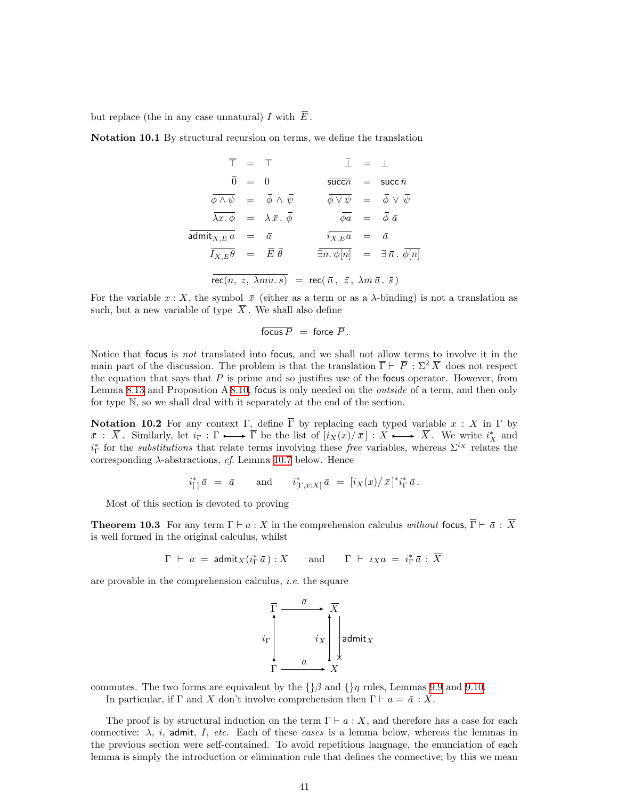<span id="page-40-2"></span>but replace (the in any case unnatural) I with  $\overline{E}$ .

Notation 10.1 By structural recursion on terms, we define the translation

$$
\overline{\top} = \top \qquad \overline{\bot} = \bot
$$
\n
$$
\overline{0} = 0 \qquad \overline{\text{succn}} = \text{succ}\,\overline{n}
$$
\n
$$
\overline{\phi \land \psi} = \overline{\phi} \land \overline{\psi} \qquad \overline{\phi \lor \psi} = \overline{\phi} \lor \overline{\psi}
$$
\n
$$
\overline{\lambda x. \phi} = \lambda \overline{x. \phi} \qquad \overline{\phi a} = \overline{\phi} \overline{a}
$$
\n
$$
\overline{\text{admit}_{X,E} a} = \overline{a} \qquad \overline{i_{X,E} a} = \overline{a}
$$
\n
$$
\overline{I_{X,E} \theta} = \overline{E} \overline{\theta} \qquad \overline{\exists n. \phi[n]} = \exists \overline{n}. \overline{\phi[n]}
$$
\n
$$
\overline{\text{rec}(n, z, \lambda m u. s)} = \text{rec}(\overline{n}, \overline{z}, \lambda m \overline{u}. \overline{s})
$$

For the variable  $x : X$ , the symbol  $\bar{x}$  (either as a term or as a  $\lambda$ -binding) is not a translation as such, but a new variable of type  $\overline{X}$ . We shall also define

$$
\overline{\text{focus }P} = \text{force } \overline{P}.
$$

Notice that focus is not translated into focus, and we shall not allow terms to involve it in the main part of the discussion. The problem is that the translation  $\overline{\Gamma} \vdash \overline{P} : \Sigma^2 \overline{X}$  does not respect the equation that says that  $P$  is prime and so justifies use of the focus operator. However, from Lemma [8.13](#page-34-0) and Proposition A [8.10](#page-33-0), focus is only needed on the *outside* of a term, and then only for type N, so we shall deal with it separately at the end of the section.

<span id="page-40-1"></span>**Notation 10.2** For any context  $\Gamma$ , define  $\overline{\Gamma}$  by replacing each typed variable  $x : X$  in  $\Gamma$  by  $\overline{x} : \overline{X}$ . Similarly, let  $i_{\Gamma} : \Gamma \longrightarrow \overline{\Gamma}$  be the list of  $[i_{X}(x)/\overline{x}] : X \longrightarrow \overline{X}$ . We write  $i_{X}^{*}$  and  $i_{\Gamma}^*$  for the *substitutions* that relate terms involving these *free* variables, whereas  $\Sigma^{i_X}$  relates the corresponding  $\lambda$ -abstractions, cf. Lemma [10.7](#page-41-0) below. Hence

$$
i_{\lceil}^* \bar{a} = \bar{a}
$$
 and  $i_{\lceil \Gamma, x : X \rceil}^* \bar{a} = [i_X(x)/\bar{x}]^* i_{\Gamma}^* \bar{a}$ .

Most of this section is devoted to proving

<span id="page-40-0"></span>**Theorem 10.3** For any term  $\Gamma \vdash a : X$  in the comprehension calculus without focus,  $\overline{\Gamma} \vdash \overline{a} : \overline{X}$ is well formed in the original calculus, whilst

$$
\Gamma \ \vdash \ a \ = \ \mathsf{admit}_X(i_\Gamma^* \bar{a}) : X \qquad \text{and} \qquad \Gamma \ \vdash \ i_X a \ = \ i_\Gamma^* \bar{a} : \ \overline{X}
$$

are provable in the comprehension calculus, i.e. the square

$$
i_{\Gamma} \left\lbrack \begin{array}{c}\n\overline{a} \\
\hline \\
\vdots \\
\vdots \\
\hline \\
a\n\end{array}\right\rbrack \downarrow \text{admit}_X
$$

commutes. The two forms are equivalent by the  $\{\}\beta$  and  $\{\}\eta$  rules, Lemmas [9.9](#page-38-0) and [9.10](#page-38-1).

In particular, if Γ and X don't involve comprehension then  $\Gamma \vdash a = \bar{a} : X$ .

The proof is by structural induction on the term  $\Gamma \vdash a : X$ , and therefore has a case for each connective:  $\lambda$ , *i*, admit, *I*, etc. Each of these cases is a lemma below, whereas the lemmas in the previous section were self-contained. To avoid repetitious language, the enunciation of each lemma is simply the introduction or elimination rule that defines the connective; by this we mean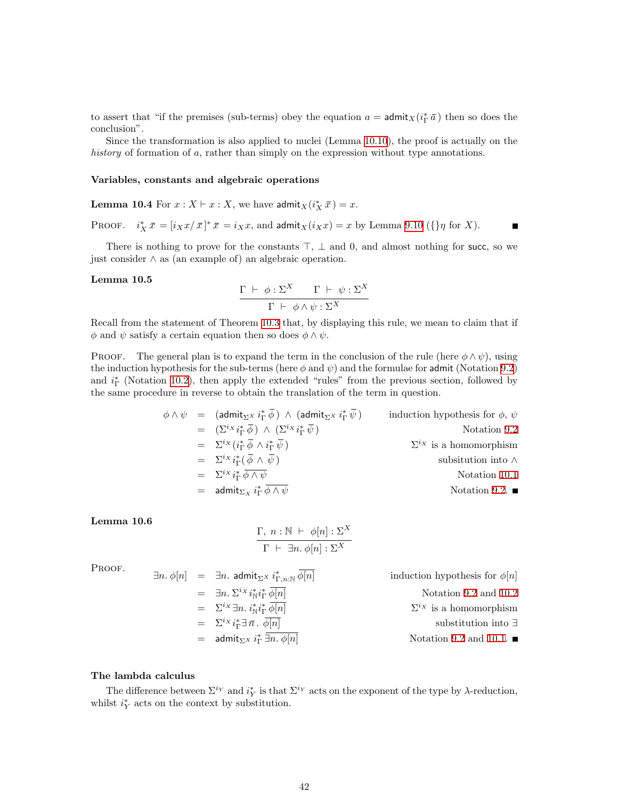to assert that "if the premises (sub-terms) obey the equation  $a = \text{admit}_X(i_\Gamma^*\bar{a})$  then so does the conclusion".

Since the transformation is also applied to nuclei (Lemma [10.10](#page-42-0)), the proof is actually on the history of formation of a, rather than simply on the expression without type annotations.

#### Variables, constants and algebraic operations

**Lemma 10.4** For  $x : X \vdash x : X$ , we have  $\text{admit}_X(i^*_X \bar{x}) = x$ .

PROOF.  $i_X^* \bar{x} = [i_X x/\bar{x}]^* \bar{x} = i_X x$ , and  $\text{admit}_X(i_X x) = x$  by Lemma [9.10](#page-38-1) ({} $\eta$  for X).

There is nothing to prove for the constants  $\top$ ,  $\bot$  and 0, and almost nothing for succ, so we just consider ∧ as (an example of) an algebraic operation.

#### Lemma 10.5

$$
\frac{\Gamma \ \vdash \ \phi : \Sigma^{X} \qquad \Gamma \ \vdash \ \psi : \Sigma^{X}}{\Gamma \ \vdash \ \phi \land \psi : \Sigma^{X}}
$$

Recall from the statement of Theorem [10.3](#page-40-0) that, by displaying this rule, we mean to claim that if  $\phi$  and  $\psi$  satisfy a certain equation then so does  $\phi \wedge \psi$ .

**PROOF.** The general plan is to expand the term in the conclusion of the rule (here  $\phi \wedge \psi$ ), using the induction hypothesis for the sub-terms (here  $\phi$  and  $\psi$ ) and the formulae for admit (Notation [9.2](#page-36-0)) and  $i_{\Gamma}^*$  (Notation [10.2\)](#page-40-1), then apply the extended "rules" from the previous section, followed by the same procedure in reverse to obtain the translation of the term in question.

$$
\phi \wedge \psi = (\text{admit}_{\Sigma^X} i_{\Gamma}^* \overline{\phi}) \wedge (\text{admit}_{\Sigma^X} i_{\Gamma}^* \overline{\psi}) \qquad \text{induction hypothesis for } \phi, \psi
$$
  
\n
$$
= (\Sigma^{i_X} i_{\Gamma}^* \overline{\phi}) \wedge (\Sigma^{i_X} i_{\Gamma}^* \overline{\psi}) \qquad \text{Notation 9.2}
$$
  
\n
$$
= \Sigma^{i_X} (i_{\Gamma}^* \overline{\phi} \wedge i_{\Gamma}^* \overline{\psi}) \qquad \qquad \Sigma^{i_X} \text{ is a homomorphism}
$$
  
\n
$$
= \Sigma^{i_X} i_{\Gamma}^* \overline{\phi} \wedge \overline{\psi} \qquad \qquad \text{Substitution into } \wedge
$$
  
\n
$$
= \Sigma^{i_X} i_{\Gamma}^* \overline{\phi} \wedge \overline{\psi} \qquad \qquad \text{Notation 10.1}
$$
  
\n
$$
= \text{admit}_{\Sigma_X} i_{\Gamma}^* \overline{\phi} \wedge \overline{\psi} \qquad \qquad \text{Notation 9.2.} \blacksquare
$$

Lemma 10.6

$$
\frac{\Gamma, n : \mathbb{N} \vdash \phi[n] : \Sigma^{X}}{\Gamma \vdash \exists n. \phi[n] : \Sigma^{X}}
$$

PROOF.

$$
\exists n. \phi[n] = \exists n. \text{ admit}_{\Sigma^X} i_{\Gamma,n:\mathbb{N}}^* \overline{\phi[n]}
$$
 induction hypothesis for  $\phi[n]$   
\n
$$
= \exists n. \Sigma^{ix} i_{\mathbb{N}}^* i_{\mathbb{N}}^* \overline{\phi[n]}
$$
Notation 9.2 and 10.2  
\n
$$
= \Sigma^{ix} \exists n. i_{\mathbb{N}}^* i_{\Gamma}^* \overline{\phi[n]}
$$
Notation 9.2 and 10.2  
\n
$$
= \Sigma^{ix} i_{\Gamma}^* \exists \overline{n}. \overline{\phi[n]}
$$
Substitution into  $\exists$   
\n
$$
= \text{admit}_{\Sigma^X} i_{\Gamma}^* \overline{\exists n. \phi[n]}
$$
Notation 9.2 and 10.1.

#### The lambda calculus

<span id="page-41-0"></span>The difference between  $\Sigma^{i_Y}$  and  $i_Y^*$  is that  $\Sigma^{i_Y}$  acts on the exponent of the type by  $\lambda$ -reduction, whilst  $i_Y^*$  acts on the context by substitution.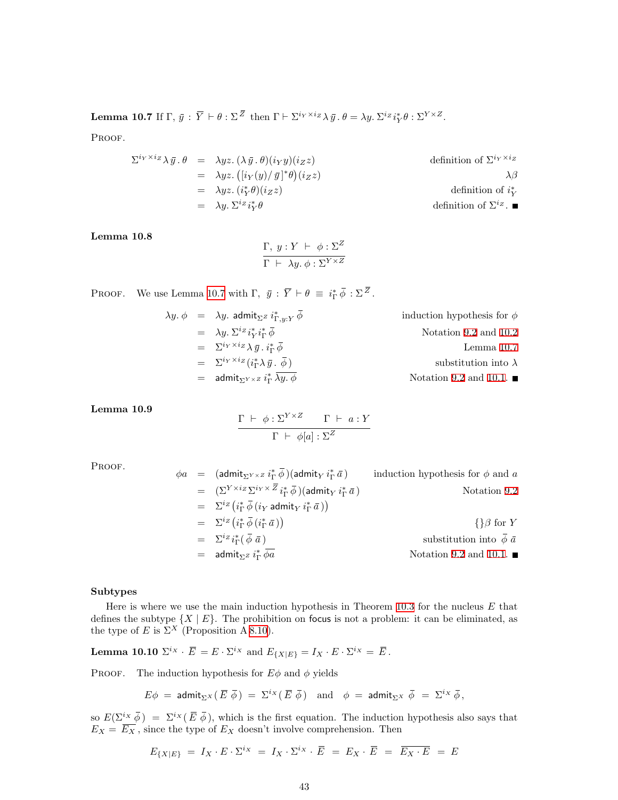**Lemma 10.7** If  $\Gamma$ ,  $\bar{y}$  :  $\overline{Y} \vdash \theta : \Sigma^{\overline{Z}}$  then  $\Gamma \vdash \Sigma^{i_Y \times i_Z} \lambda \bar{y}$ .  $\theta = \lambda y$ .  $\Sigma^{i_Z} i_Y^* \theta : \Sigma^{Y \times Z}$ .

PROOF.

$$
\Sigma^{i_Y \times i_Z} \lambda \bar{y} \cdot \theta = \lambda yz. \ (\lambda \bar{y} \cdot \theta)(i_Y y)(i_Z z)
$$
\n
$$
= \lambda yz. \ ([i_Y(y)/\bar{y}]^* \theta)(i_Z z)
$$
\n
$$
= \lambda yz. \ (i_Y^* \theta)(i_Z z)
$$
\n
$$
= \lambda y. \ \Sigma^{i_Z} i_Y^* \theta
$$
\n
$$
\text{definition of } \Sigma^{i_Z} \cdot \blacksquare
$$
\n
$$
\text{definition of } i_Y^*
$$
\n
$$
\text{definition of } \Sigma^{i_Z} \cdot \blacksquare
$$

#### Lemma 10.8

$$
\frac{\Gamma, y : Y \vdash \phi : \Sigma^{Z}}{\Gamma \vdash \lambda y. \phi : \Sigma^{Y \times Z}}
$$

PROOF. We use Lemma [10.7](#page-41-0) with  $\Gamma$ ,  $\bar{y}$  :  $\overline{Y} \vdash \theta \equiv i_{\Gamma}^* \overline{\phi} : \Sigma^{\overline{Z}}$ .

| induction hypothesis for $\phi$       | $\lambda y.\phi$ = $\lambda y.$ admit <sub><math>\Sigma^z i_{\Gamma,w,Y}^* \phi</math></sub> |  |
|---------------------------------------|----------------------------------------------------------------------------------------------|--|
| Notation 9.2 and 10.2                 | $= \lambda y \cdot \sum^{iz} i_V^* i_V^* \overline{\phi}$                                    |  |
| Lemma $10.7$                          | $= \sum^{i_Y \times i_Z} \lambda \bar{y} \cdot i_{\Gamma}^* \bar{\phi}$                      |  |
| substitution into $\lambda$           | $= \sum^{i_Y \times i_Z} (i_{\Gamma}^* \lambda \bar{y} \cdot \bar{\phi})$                    |  |
| Notation 9.2 and 10.1. $\blacksquare$ | = admit <sub><math>\Sigma^{Y \times Z}</math></sub> $i_{\Gamma}^* \lambda y$ . $\phi$        |  |

<span id="page-42-1"></span>Lemma 10.9

$$
\frac{\Gamma \ \vdash \ \phi : \Sigma^{Y \times Z} \qquad \Gamma \ \vdash \ a : Y}{\Gamma \ \vdash \ \phi[a] : \Sigma^{Z}}
$$

PROOF.

$$
\phi a = (\text{admit}_{\Sigma^{Y} \times \mathbb{Z}} i_{\Gamma}^{*} \overline{\phi}) (\text{admit}_{Y} i_{\Gamma}^{*} \overline{a}) \qquad \text{induction hypothesis for } \phi \text{ and } a
$$
\n
$$
= (\Sigma^{Y \times i_{Z}} \Sigma^{i_{Y} \times \overline{Z}} i_{\Gamma}^{*} \overline{\phi}) (\text{admit}_{Y} i_{\Gamma}^{*} \overline{a}) \qquad \text{Notation 9.2}
$$
\n
$$
= \Sigma^{i_{Z}} (i_{\Gamma}^{*} \overline{\phi} (i_{Y} \text{admit}_{Y} i_{\Gamma}^{*} \overline{a})) \qquad \{\}\beta \text{ for } Y
$$
\n
$$
= \Sigma^{i_{Z}} (i_{\Gamma}^{*} \overline{\phi} (i_{\Gamma}^{*} \overline{a})) \qquad \{\}\beta \text{ for } Y
$$
\n
$$
= \Sigma^{i_{Z}} i_{\Gamma}^{*} (\overline{\phi} \overline{a}) \qquad \text{substitution into } \overline{\phi} \overline{a}
$$
\n
$$
= \text{admit}_{\Sigma^{Z}} i_{\Gamma}^{*} \overline{\phi a} \qquad \text{Notation 9.2 and 10.1. } \blacksquare
$$

#### Subtypes

Here is where we use the main induction hypothesis in Theorem [10.3](#page-40-0) for the nucleus  $E$  that defines the subtype  $\{X \mid E\}$ . The prohibition on focus is not a problem: it can be eliminated, as the type of E is  $\Sigma^X$  (Proposition A [8.10\)](#page-33-0).

<span id="page-42-0"></span>**Lemma 10.10**  $\Sigma^{i_X} \cdot \overline{E} = E \cdot \Sigma^{i_X}$  and  $E_{\{X|E\}} = I_X \cdot E \cdot \Sigma^{i_X} = \overline{E}$ .

PROOF. The induction hypothesis for  $E\phi$  and  $\phi$  yields

$$
E\phi\ =\ \mathsf{admit}_{\Sigma^X}(\,\overline{E}\ \overline{\phi}\,)\ =\ \Sigma^{i_X}(\,\overline{E}\ \overline{\phi}\,)\quad\text{and}\quad \phi\ =\ \mathsf{admit}_{\Sigma^X}\ \overline{\phi}\ =\ \Sigma^{i_X}\ \overline{\phi}\,,
$$

so  $E(\Sigma^{i_X} \overline{\phi}) = \Sigma^{i_X} (\overline{E} \overline{\phi})$ , which is the first equation. The induction hypothesis also says that  $E_X = \overline{E_X}$ , since the type of  $E_X$  doesn't involve comprehension. Then

$$
E_{\{X|E\}} = I_X \cdot E \cdot \Sigma^{i_X} = I_X \cdot \Sigma^{i_X} \cdot \overline{E} = E_X \cdot \overline{E} = \overline{E_X \cdot E} = E
$$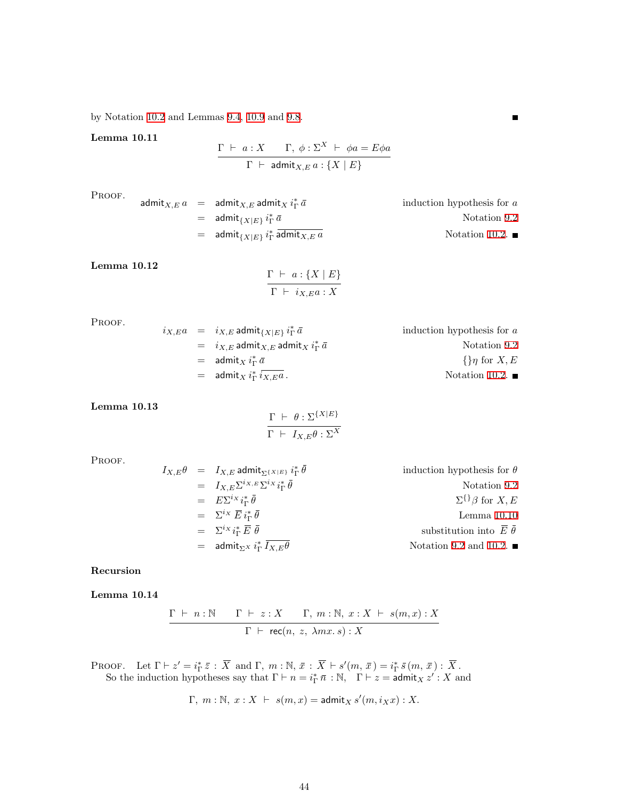by Notation [10.2](#page-40-1) and Lemmas [9.4](#page-37-1), [10.9](#page-42-1) and [9.8](#page-38-2).

Lemma 10.11

$$
\frac{\Gamma \vdash a: X \qquad \Gamma, \ \phi: \Sigma^{X} \vdash \ \phi a = E \phi a}{\Gamma \vdash \ \text{admit}_{X, E} a: \{X \mid E\}}
$$

PROOF.

$$
\text{admit}_{X,E} a = \text{admit}_{X,E} \text{admit}_{X,E} \text{atmit}_{X} i_{\Gamma}^* \bar{a} \qquad \text{induction hypothesis for } a
$$
\n
$$
= \text{admit}_{\{X|E\}} i_{\Gamma}^* \bar{a} \qquad \text{Notation 9.2}
$$
\n
$$
= \text{admit}_{\{X|E\}} i_{\Gamma}^* \text{admit}_{X,E} a \qquad \text{Notation 10.2.}
$$

 $\blacksquare$ 

Lemma 10.12

$$
\frac{\Gamma \vdash a: \{X \mid E\}}{\Gamma \vdash i_{X,E}a: X}
$$

PROOF.

| $i_{X,E}a = i_{X,E}$ admit $\iota_{X E}$ $i_{\Gamma}^*a$   | induction hypothesis for $a$  |
|------------------------------------------------------------|-------------------------------|
| $= i_{X,E}$ admit $_{X,E}$ admit $_X i_{\Gamma}^* \bar{a}$ | Notation 9.2                  |
| $=$ admit $\chi i_{\Gamma}^* a$                            | $\{\}\eta$ for X, E           |
| $=$ admit <sub>X</sub> $i_{\Gamma}^*$ $i_{X,E}$ a.         | Notation 10.2. $\blacksquare$ |

Lemma 10.13

$$
\frac{\Gamma \ \vdash \ \theta : \Sigma^{\{X|E\}}}{\Gamma \ \vdash \ I_{X,E}\theta : \Sigma^X}
$$

PROOF.

$$
I_{X,E}\theta = I_{X,E} \text{admit}_{\Sigma^{\{X|E\}}} i_{\Gamma}^{*} \bar{\theta}
$$
 induction hypothesis for  $\theta$   
\n
$$
= I_{X,E} \Sigma^{i_{X,E}} \Sigma^{i_{X,E}} i_{\Gamma}^{*} \bar{\theta}
$$
Notation 9.2  
\n
$$
= \Sigma^{i_{X}} \bar{E} i_{\Gamma}^{*} \bar{\theta}
$$
  
\n
$$
= \Sigma^{i_{X}} \bar{E} i_{\Gamma}^{*} \bar{E} \bar{\theta}
$$
  
\n
$$
= \Sigma^{i_{X}} i_{\Gamma}^{*} \bar{E} \bar{\theta}
$$
 substitution into  $\bar{E} \bar{\theta}$   
\n
$$
= \text{admit}_{\Sigma^{X}} i_{\Gamma}^{*} \bar{I}_{X,E}\theta
$$
  
\nNotation 9.2 and 10.2.

### Recursion

Lemma 10.14

$$
\dfrac{\Gamma\;\vdash\; n:\mathbb{N}\qquad \Gamma\;\vdash\; z:X\qquad \Gamma,\; m:\mathbb{N},\; x:X\;\vdash\; s(m,x):X}{\Gamma\;\vdash\; \mathsf{rec}(n,\; z,\;\lambda m x.\, s):X}
$$

PROOF. Let  $\Gamma \vdash z' = i_{\Gamma}^* \bar{z} : \bar{X} \text{ and } \Gamma, m : \mathbb{N}, \bar{x} : \bar{X} \vdash s'(m, \bar{x}) = i_{\Gamma}^* \bar{s}(m, \bar{x}) : \bar{X}$ . So the induction hypotheses say that  $\Gamma \vdash n = i_{\Gamma}^* \bar{n} : \mathbb{N}, \Gamma \vdash z = \mathsf{admit}_X z' : X$  and

$$
\Gamma, m: \mathbb{N}, x: X \ \vdash \ s(m, x) = \text{admit}_X \ s'(m, i_X x): X.
$$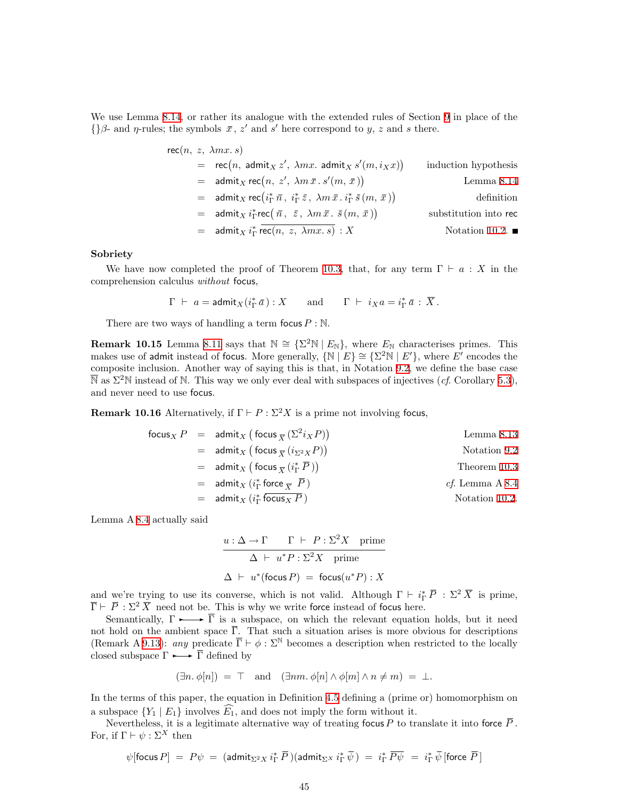We use Lemma [8.14](#page-35-2), or rather its analogue with the extended rules of Section [9](#page-35-1) in place of the {} $\beta$ - and  $\eta$ -rules; the symbols  $\bar{x}$ , z' and s' here correspond to y, z and s there.

$$
\begin{aligned}\n\text{rec}(n, z, \lambda mx. s) &= \text{rec}(n, \text{admit}_X z', \lambda mx. \text{admit}_X s'(m, i_X x)) & \text{induction hypothesis} \\
&= \text{admit}_X \text{ rec}(n, z', \lambda m \bar{x}. s'(m, \bar{x})) & \text{Lemma 8.14} \\
&= \text{admit}_X \text{ rec}\left(i_{\Gamma}^* \bar{n}, i_{\Gamma}^* \bar{z}, \lambda m \bar{x}. i_{\Gamma}^* \bar{s}(m, \bar{x})\right) & \text{definition into rec} \\
&= \text{admit}_X i_{\Gamma}^* \text{rec}(\bar{n}, z, \lambda m \bar{x}. s(m, \bar{x})) & \text{substitution into rec} \\
&= \text{admit}_X i_{\Gamma}^* \text{rec}(n, z, \lambda mx. s) : X & \text{Notation 10.2.} \blacksquare\n\end{aligned}
$$

#### Sobriety

We have now completed the proof of Theorem [10.3,](#page-40-0) that, for any term  $\Gamma \vdash a : X$  in the comprehension calculus without focus,

$$
\Gamma \;\vdash\; a = \mathsf{admit}_X(i_\Gamma^*\,\bar{a}): X \qquad \text{and} \qquad \Gamma \;\vdash\; i_Xa = i_\Gamma^*\,\bar{a}\,:\, \overline{X}\,.
$$

There are two ways of handling a term focus  $P : \mathbb{N}$ .

**Remark 10.15** Lemma [8.11](#page-34-1) says that  $N \cong {\Sigma^2 N | E_N}$ , where  $E_N$  characterises primes. This makes use of admit instead of focus. More generally,  $\{N | E\} \cong \{\Sigma^2 N | E'\}$ , where E' encodes the composite inclusion. Another way of saying this is that, in Notation [9.2](#page-36-0), we define the base case  $\overline{\mathbb{N}}$  as  $\Sigma^2\mathbb{N}$  instead of N. This way we only ever deal with subspaces of injectives (*cf.* Corollary [5.3](#page-19-2)), and never need to use focus.

**Remark 10.16** Alternatively, if  $\Gamma \vdash P : \Sigma^2 X$  is a prime not involving focus,

| \n $focus_{X} P = \text{admit}_{X} (\text{focus}_{\overline{X}} (\Sigma^{2} i_{X} P))$ \n | \n $Lemma 8.13$ \n              |
|-------------------------------------------------------------------------------------------|---------------------------------|
| \n $= \text{admit}_{X} (\text{focus}_{\overline{X}} (i_{\Sigma^{2} X} P))$ \n             | \n $Notation 9.2$ \n            |
| \n $= \text{admit}_{X} (\text{focus}_{\overline{X}} (i_{\Gamma}^{*} \overline{P}))$ \n    | \n $r \text{horem 10.3}$ \n     |
| \n $= \text{admit}_{X} (i_{\Gamma}^{*} \text{ force}_{\overline{X}} \overline{P})$ \n     | \n $cf. \text{ Lemma A 8.4}$ \n |
| \n $= \text{admit}_{X} (i_{\Gamma}^{*} \text{ focus}_{X} P)$ \n                           | \n $Notation 10.2$ \n           |

Lemma A [8.4](#page-32-1) actually said

$$
u: \Delta \to \Gamma \qquad \Gamma \vdash P: \Sigma^2 X \quad \text{prime}
$$

$$
\Delta \vdash u^* P: \Sigma^2 X \quad \text{prime}
$$

$$
\Delta \vdash u^* (\text{focus } P) = \text{focus}(u^* P): X
$$

and we're trying to use its converse, which is not valid. Although  $\Gamma \vdash i_{\Gamma}^* \overline{P} : \Sigma^2 \overline{X}$  is prime,  $\overline{\Gamma} \vdash \overline{P} : \Sigma^2 \overline{X}$  need not be. This is why we write force instead of focus here.

Semantically,  $\Gamma \rightarrow \overline{\Gamma}$  is a subspace, on which the relevant equation holds, but it need not hold on the ambient space  $\overline{\Gamma}$ . That such a situation arises is more obvious for descriptions (Remark A 9.13): any predicate  $\overline{\Gamma} \vdash \phi : \Sigma^{\mathbb{N}}$  becomes a description when restricted to the locally closed subspace  $\Gamma \rightarrow \overline{\Gamma}$  defined by

$$
(\exists n. \phi[n]) = \top
$$
 and  $(\exists nm. \phi[n] \land \phi[m] \land n \neq m) = \bot$ .

In the terms of this paper, the equation in Definition [4.5](#page-15-1) defining a (prime or) homomorphism on a subspace  $\{Y_1 \mid E_1\}$  involves  $\widehat{E_1}$ , and does not imply the form without it.

Nevertheless, it is a legitimate alternative way of treating focus P to translate it into force  $\overline{P}$ . For, if  $\Gamma \vdash \psi : \Sigma^X$  then

$$
\psi[\text{focus }P] \ = \ P\psi \ = \ (\text{admit}_{\Sigma^2 X} \ i_{\Gamma}^* \ \overline{P}\,) (\text{admit}_{\Sigma^X} \ i_{\Gamma}^* \ \overline{\psi} \,) \ = \ i_{\Gamma}^* \ \overline{P\psi} \ = \ i_{\Gamma}^* \ \overline{\psi} \ [\text{force } \overline{P}\,]
$$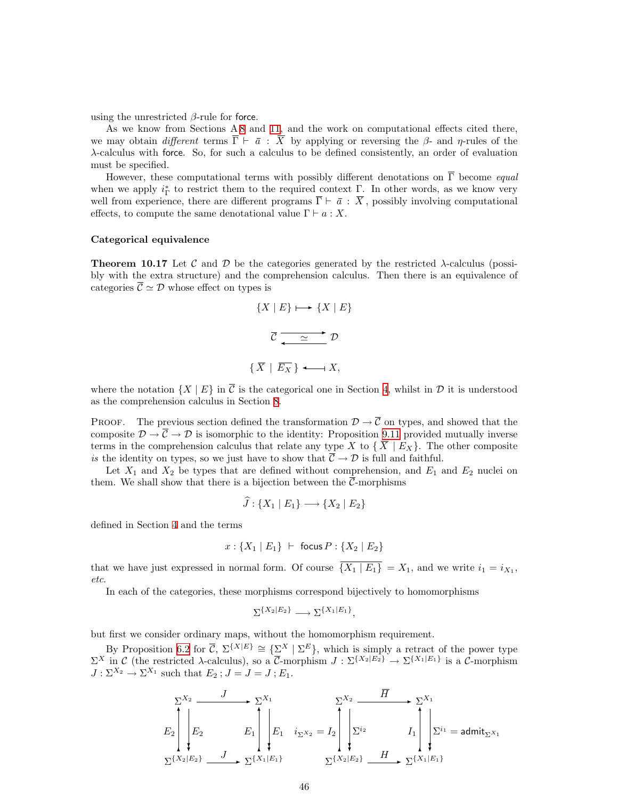using the unrestricted  $\beta$ -rule for force.

As we know from Sections A [8](#page-31-1) and [11,](#page-46-1) and the work on computational effects cited there, we may obtain different terms  $\overline{\Gamma} \vdash \overline{a}$ :  $\overline{X}$  by applying or reversing the  $\beta$ - and  $\eta$ -rules of the λ-calculus with force. So, for such a calculus to be defined consistently, an order of evaluation must be specified.

However, these computational terms with possibly different denotations on  $\overline{\Gamma}$  become *equal* when we apply  $i_{\Gamma}^*$  to restrict them to the required context  $\Gamma$ . In other words, as we know very well from experience, there are different programs  $\overline{\Gamma} \vdash \overline{a} : \overline{X}$ , possibly involving computational effects, to compute the same denotational value  $\Gamma \vdash a : X$ .

#### Categorical equivalence

**Theorem 10.17** Let C and D be the categories generated by the restricted  $\lambda$ -calculus (possibly with the extra structure) and the comprehension calculus. Then there is an equivalence of categories  $\overline{\mathcal{C}} \simeq \mathcal{D}$  whose effect on types is

$$
\{X \mid E\} \longmapsto \{X \mid E\}
$$

$$
\overline{\mathcal{C}} \xrightarrow{\simeq} \mathcal{D}
$$

$$
\{\overline{X} \mid \overline{E_X}\} \longleftarrow X,
$$

where the notation  $\{X \mid E\}$  in  $\overline{C}$  is the categorical one in Section [4](#page-14-2), whilst in  $\mathcal D$  it is understood as the comprehension calculus in Section [8](#page-31-1).

PROOF. The previous section defined the transformation  $\mathcal{D} \to \overline{\mathcal{C}}$  on types, and showed that the composite  $\mathcal{D} \to \overline{\mathcal{C}} \to \mathcal{D}$  is isomorphic to the identity: Proposition [9.11](#page-39-3) provided mutually inverse terms in the comprehension calculus that relate any type X to  $\{X \mid E_X\}$ . The other composite is the identity on types, so we just have to show that  $\overline{C} \to \mathcal{D}$  is full and faithful.

Let  $X_1$  and  $X_2$  be types that are defined without comprehension, and  $E_1$  and  $E_2$  nuclei on them. We shall show that there is a bijection between the  $\overline{\mathcal{C}}$ -morphisms

$$
\widehat{J}: \{X_1 \mid E_1\} \longrightarrow \{X_2 \mid E_2\}
$$

defined in Section [4](#page-14-2) and the terms

$$
x: \{X_1 \mid E_1\} \ \vdash \ \mathsf{focus}\ P: \{X_2 \mid E_2\}
$$

that we have just expressed in normal form. Of course  $\overline{\{X_1 \mid E_1\}} = X_1$ , and we write  $i_1 = i_{X_1}$ , etc.

In each of the categories, these morphisms correspond bijectively to homomorphisms

$$
\Sigma^{\{X_2|E_2\}} \longrightarrow \Sigma^{\{X_1|E_1\}},
$$

but first we consider ordinary maps, without the homomorphism requirement.

By Proposition [6.2](#page-23-4) for  $\overline{C}$ ,  $\Sigma^{\{X|E\}} \cong {\{\Sigma^X \mid \Sigma^E\}}$ , which is simply a retract of the power type  $\Sigma^X$  in C (the restricted  $\lambda$ -calculus), so a  $\overline{\mathcal{C}}$ -morphism  $J : \Sigma^{\{X_2 | E_2\}} \to \Sigma^{\{X_1 | E_1\}}$  is a  $\overline{\mathcal{C}}$ -morphism  $J: \Sigma^{X_2} \to \Sigma^{X_1}$  such that  $E_2$ ;  $J = J = J$ ;  $E_1$ .

$$
E_2\begin{bmatrix} \sum_{i=1}^{X_2} & J & \sum_{i=1}^{X_1} \\ \sum_{i=1}^{X_2} & E_1 \\ \sum_{i=1}^{X_2} & E_2 \end{bmatrix} E_1 \quad i_{\Sigma}x_2 = I_2 \begin{bmatrix} \sum_{i=1}^{X_2} & \overline{H} & \sum_{i=1}^{X_1} \\ \sum_{i=1}^{X_2} & I_1 \\ \sum_{i=1}^{X_2} & E_2 \end{bmatrix} \sum_{i=1}^{X_1} = \text{admit}_{\Sigma}x_1
$$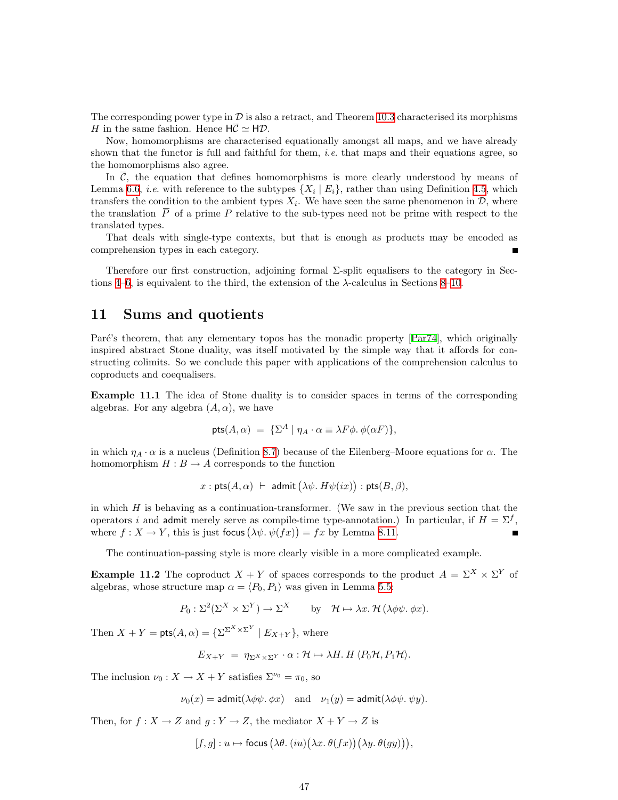<span id="page-46-0"></span>The corresponding power type in  $\mathcal D$  is also a retract, and Theorem [10.3](#page-40-0) characterised its morphisms H in the same fashion. Hence  $H\overline{C} \simeq H\mathcal{D}$ .

Now, homomorphisms are characterised equationally amongst all maps, and we have already shown that the functor is full and faithful for them, *i.e.* that maps and their equations agree, so the homomorphisms also agree.

In  $\overline{C}$ , the equation that defines homomorphisms is more clearly understood by means of Lemma [6.6](#page-24-3), *i.e.* with reference to the subtypes  $\{X_i \mid E_i\}$ , rather than using Definition [4.5,](#page-15-1) which transfers the condition to the ambient types  $X_i$ . We have seen the same phenomenon in  $\mathcal{D}$ , where the translation  $\bar{P}$  of a prime P relative to the sub-types need not be prime with respect to the translated types.

That deals with single-type contexts, but that is enough as products may be encoded as comprehension types in each category.

Therefore our first construction, adjoining formal Σ-split equalisers to the category in Sec-tions [4](#page-14-2)[–6](#page-23-1), is equivalent to the third, the extension of the  $\lambda$ -calculus in Sections [8–](#page-31-1)[10.](#page-39-1)

### <span id="page-46-1"></span>11 Sums and quotients

Paré's theorem, that any elementary topos has the monadic property [\[Par74\]](#page-52-10), which originally inspired abstract Stone duality, was itself motivated by the simple way that it affords for constructing colimits. So we conclude this paper with applications of the comprehension calculus to coproducts and coequalisers.

<span id="page-46-3"></span>Example 11.1 The idea of Stone duality is to consider spaces in terms of the corresponding algebras. For any algebra  $(A, \alpha)$ , we have

$$
\mathsf{pts}(A,\alpha) = \{\Sigma^A \mid \eta_A \cdot \alpha \equiv \lambda F \phi. \ \phi(\alpha F)\},
$$

in which  $\eta_A \cdot \alpha$  is a nucleus (Definition [8.7\)](#page-32-2) because of the Eilenberg–Moore equations for  $\alpha$ . The homomorphism  $H : B \to A$  corresponds to the function

$$
x : \text{pts}(A, \alpha) \vdash \text{ admit } (\lambda \psi. H\psi(ix)) : \text{pts}(B, \beta),
$$

in which  $H$  is behaving as a continuation-transformer. (We saw in the previous section that the operators i and admit merely serve as compile-time type-annotation.) In particular, if  $H = \Sigma^f$ , where  $f: X \to Y$ , this is just focus  $(\lambda \psi \cdot \psi(fx)) = fx$  by Lemma [8.11.](#page-34-1)

The continuation-passing style is more clearly visible in a more complicated example.

<span id="page-46-2"></span>**Example 11.2** The coproduct  $X + Y$  of spaces corresponds to the product  $A = \Sigma^X \times \Sigma^Y$  of algebras, whose structure map  $\alpha = \langle P_0, P_1 \rangle$  was given in Lemma [5.5:](#page-19-1)

$$
P_0: \Sigma^2(\Sigma^X \times \Sigma^Y) \to \Sigma^X
$$
 by  $\mathcal{H} \mapsto \lambda x. \mathcal{H}(\lambda \phi \psi, \phi x).$ 

Then  $X + Y = \mathsf{pts}(A, \alpha) = \{ \Sigma^{\Sigma^X \times \Sigma^Y} \mid E_{X+Y} \}$ , where

$$
E_{X+Y} = \eta_{\Sigma^X \times \Sigma^Y} \cdot \alpha : \mathcal{H} \mapsto \lambda H \cdot H \langle P_0 \mathcal{H}, P_1 \mathcal{H} \rangle.
$$

The inclusion  $\nu_0: X \to X + Y$  satisfies  $\Sigma^{\nu_0} = \pi_0$ , so

 $\nu_0(x) = \text{admit}(\lambda \phi \psi \ldotp \phi x)$  and  $\nu_1(y) = \text{admit}(\lambda \phi \psi \ldotp \psi y)$ .

Then, for  $f: X \to Z$  and  $g: Y \to Z$ , the mediator  $X + Y \to Z$  is

$$
[f, g] : u \mapsto \text{focus} \left( \lambda \theta. (iu) (\lambda x. \theta (fx)) (\lambda y. \theta (gy)) \right),
$$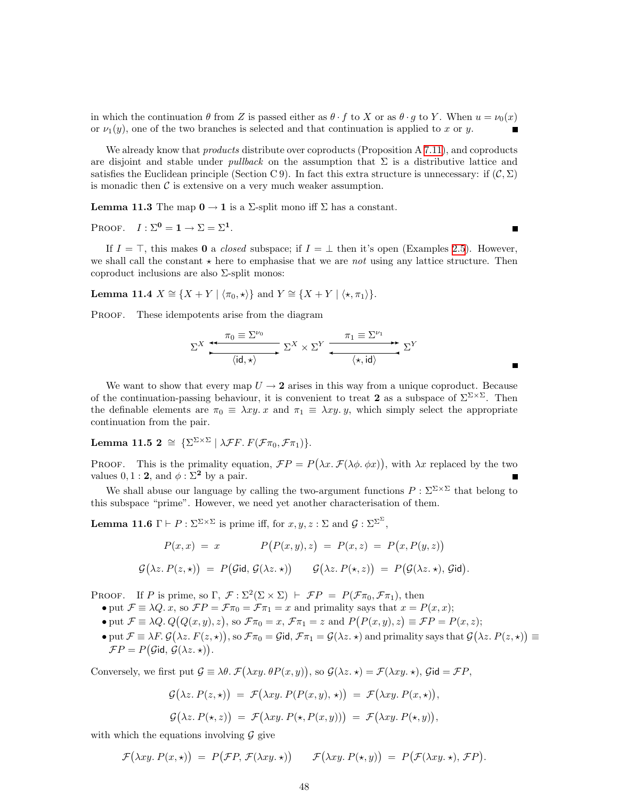in which the continuation  $\theta$  from Z is passed either as  $\theta \cdot f$  to X or as  $\theta \cdot g$  to Y. When  $u = \nu_0(x)$ or  $\nu_1(y)$ , one of the two branches is selected and that continuation is applied to x or y.

We already know that *products* distribute over coproducts (Proposition A [7.11](#page-30-0)), and coproducts are disjoint and stable under *pullback* on the assumption that  $\Sigma$  is a distributive lattice and satisfies the Euclidean principle (Section C 9). In fact this extra structure is unnecessary: if  $(C, \Sigma)$ is monadic then  $\mathcal C$  is extensive on a very much weaker assumption.

**Lemma 11.3** The map  $0 \to 1$  is a  $\Sigma$ -split mono iff  $\Sigma$  has a constant.

PROOF.  $I : \Sigma^0 = \mathbf{1} \to \Sigma = \Sigma^1$ .

If  $I = \top$ , this makes 0 a *closed* subspace; if  $I = \bot$  then it's open (Examples [2.5](#page-6-2)). However, we shall call the constant  $\star$  here to emphasise that we are not using any lattice structure. Then coproduct inclusions are also  $\Sigma$ -split monos:

<span id="page-47-0"></span>Lemma 11.4  $X \cong \{X + Y | \langle \pi_0, \star \rangle\}$  and  $Y \cong \{X + Y | \langle \star, \pi_1 \rangle\}.$ 

PROOF. These idempotents arise from the diagram

$$
\Sigma^{X} \xrightarrow{\pi_{0} \equiv \Sigma^{\nu_{0}}} \Sigma^{X} \times \Sigma^{Y} \xrightarrow{\pi_{1} \equiv \Sigma^{\nu_{1}}} \Sigma^{Y}
$$

П

We want to show that every map  $U \rightarrow 2$  arises in this way from a unique coproduct. Because of the continuation-passing behaviour, it is convenient to treat 2 as a subspace of  $\Sigma^{\Sigma \times \Sigma}$ . Then the definable elements are  $\pi_0 \equiv \lambda xy$ . x and  $\pi_1 \equiv \lambda xy$ . y, which simply select the appropriate continuation from the pair.

Lemma 11.5 2  $\cong \{ \Sigma^{\Sigma \times \Sigma} \mid \lambda \mathcal{F} F.\ F(\mathcal{F} \pi_0, \mathcal{F} \pi_1) \}.$ 

PROOF. This is the primality equation,  $\mathcal{F}P = P(\lambda x.\mathcal{F}(\lambda \phi, \phi x))$ , with  $\lambda x$  replaced by the two values  $0, 1 : 2$ , and  $\phi : \Sigma^2$  by a pair.

We shall abuse our language by calling the two-argument functions  $P : \Sigma^{\Sigma \times \Sigma}$  that belong to this subspace "prime". However, we need yet another characterisation of them.

**Lemma 11.6**  $\Gamma \vdash P : \Sigma^{\Sigma \times \Sigma}$  is prime iff, for  $x, y, z : \Sigma$  and  $\mathcal{G} : \Sigma^{\Sigma^{\Sigma}}$ ,

$$
P(x,x) = x \qquad P(P(x,y),z) = P(x,z) = P(x,P(y,z))
$$

$$
\mathcal{G}(\lambda z.P(z,\star)) = P(\mathcal{G}id, \mathcal{G}(\lambda z.\star)) \qquad \mathcal{G}(\lambda z.P(\star,z)) = P(\mathcal{G}(\lambda z.\star), \mathcal{G}id).
$$

PROOF. If P is prime, so  $\Gamma$ ,  $\mathcal{F} : \Sigma^2(\Sigma \times \Sigma) \vdash \mathcal{F}P = P(\mathcal{F}\pi_0, \mathcal{F}\pi_1)$ , then

- put  $\mathcal{F} \equiv \lambda Q$ . x, so  $\mathcal{F}P = \mathcal{F}\pi_0 = \mathcal{F}\pi_1 = x$  and primality says that  $x = P(x, x)$ ;
- put  $\mathcal{F} \equiv \lambda Q. Q(Q(x, y), z)$ , so  $\mathcal{F}\pi_0 = x$ ,  $\mathcal{F}\pi_1 = z$  and  $P(P(x, y), z) \equiv \mathcal{F}P = P(x, z)$ ;
- put  $\mathcal{F} \equiv \lambda F$ .  $\mathcal{G}(\lambda z. F(z, \star))$ , so  $\mathcal{F}\pi_0 = \mathcal{G}$ id,  $\mathcal{F}\pi_1 = \mathcal{G}(\lambda z. \star)$  and primality says that  $\mathcal{G}(\lambda z. P(z, \star)) \equiv$  $\mathcal{F}P = P(\mathcal{G}id, \mathcal{G}(\lambda z. \star)).$

Conversely, we first put  $\mathcal{G} \equiv \lambda \theta$ .  $\mathcal{F}(\lambda xy. \theta P(x, y))$ , so  $\mathcal{G}(\lambda z. \star) = \mathcal{F}(\lambda xy. \star)$ ,  $\mathcal{G}(\mathbf{d} = \mathcal{F}P)$ ,

$$
G(\lambda z. P(z, \star)) = \mathcal{F}(\lambda xy. P(P(x, y), \star)) = \mathcal{F}(\lambda xy. P(x, \star)),
$$
  

$$
G(\lambda z. P(\star, z)) = \mathcal{F}(\lambda xy. P(\star, P(x, y))) = \mathcal{F}(\lambda xy. P(\star, y)),
$$

with which the equations involving  $\mathcal G$  give

$$
\mathcal{F}(\lambda xy. P(x, \star)) = P(\mathcal{F}P, \mathcal{F}(\lambda xy. \star)) \qquad \mathcal{F}(\lambda xy. P(\star, y)) = P(\mathcal{F}(\lambda xy. \star), \mathcal{F}P).
$$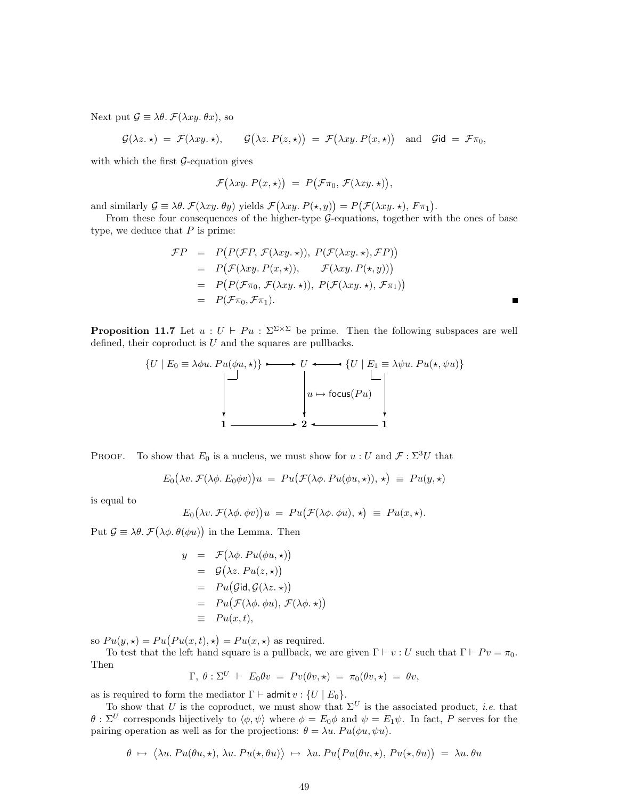Next put  $\mathcal{G} \equiv \lambda \theta$ .  $\mathcal{F}(\lambda xy, \theta x)$ , so

$$
\mathcal{G}(\lambda z.\star) = \mathcal{F}(\lambda xy.\star), \qquad \mathcal{G}(\lambda z.P(z,\star)) = \mathcal{F}(\lambda xy.P(x,\star)) \quad \text{and} \quad \mathcal{G}\text{id} = \mathcal{F}\pi_0,
$$

with which the first  $G$ -equation gives

$$
\mathcal{F}(\lambda xy. P(x, \star)) = P(\mathcal{F}\pi_0, \mathcal{F}(\lambda xy. \star)),
$$

and similarly  $\mathcal{G} \equiv \lambda \theta$ .  $\mathcal{F}(\lambda xy. \theta y)$  yields  $\mathcal{F}(\lambda xy. P(\star, y)) = P(\mathcal{F}(\lambda xy. \star), F \pi_1)$ .

From these four consequences of the higher-type G-equations, together with the ones of base type, we deduce that  $P$  is prime:

$$
\mathcal{F}P = P(P(\mathcal{F}P, \mathcal{F}(\lambda xy. \star)), P(\mathcal{F}(\lambda xy. \star), \mathcal{F}P))
$$
  
\n
$$
= P(\mathcal{F}(\lambda xy. P(x, \star)), \mathcal{F}(\lambda xy. P(\star, y)))
$$
  
\n
$$
= P(P(\mathcal{F}\pi_0, \mathcal{F}(\lambda xy. \star)), P(\mathcal{F}(\lambda xy. \star), \mathcal{F}\pi_1))
$$
  
\n
$$
= P(\mathcal{F}\pi_0, \mathcal{F}\pi_1).
$$

 $\blacksquare$ 

<span id="page-48-0"></span>**Proposition 11.7** Let  $u : U \vdash Pu : \Sigma^{\Sigma \times \Sigma}$  be prime. Then the following subspaces are well defined, their coproduct is  $U$  and the squares are pullbacks.



PROOF. To show that  $E_0$  is a nucleus, we must show for  $u:U$  and  $\mathcal{F}: \Sigma^3 U$  that

$$
E_0(\lambda v.\ \mathcal{F}(\lambda \phi.\ E_0 \phi v))u = Pu(\mathcal{F}(\lambda \phi.\ Pu(\phi u,\star)),\star) \equiv Pu(y,\star)
$$

is equal to

$$
E_0(\lambda v.\ \mathcal{F}(\lambda \phi.\ \phi v))u = Pu(\mathcal{F}(\lambda \phi.\ \phi u), \star) \equiv Pu(x, \star).
$$

Put  $\mathcal{G} \equiv \lambda \theta$ .  $\mathcal{F}(\lambda \phi, \theta(\phi u))$  in the Lemma. Then

$$
y = \mathcal{F}(\lambda \phi. Pu(\phi u, \star))
$$
  
=  $\mathcal{G}(\lambda z. Pu(z, \star))$   
=  $Pu(\mathcal{G}id, \mathcal{G}(\lambda z. \star))$   
=  $Pu(\mathcal{F}(\lambda \phi. \phi u), \mathcal{F}(\lambda \phi. \star))$   
=  $Pu(x, t),$ 

so  $Pu(y, \star) = Pu(Pu(x, t), \star) = Pu(x, \star)$  as required.

To test that the left hand square is a pullback, we are given  $\Gamma \vdash v : U$  such that  $\Gamma \vdash Pv = \pi_0$ . Then

$$
\Gamma, \theta : \Sigma^U \vdash E_0 \theta v = Pv(\theta v, \star) = \pi_0(\theta v, \star) = \theta v,
$$

as is required to form the mediator  $\Gamma \vdash \mathsf{admit}\, v : \{U \mid E_0\}.$ 

To show that U is the coproduct, we must show that  $\Sigma^U$  is the associated product, *i.e.* that  $\theta$ :  $\Sigma^U$  corresponds bijectively to  $\langle \phi, \psi \rangle$  where  $\phi = E_0 \phi$  and  $\psi = E_1 \psi$ . In fact, P serves for the pairing operation as well as for the projections:  $\theta = \lambda u$ .  $Pu(\phi u, \psi u)$ .

$$
\theta \mapsto \langle \lambda u. Pu(\theta u, \star), \lambda u. Pu(\star, \theta u) \rangle \mapsto \lambda u. Pu(Pu(\theta u, \star), Pu(\star, \theta u)) = \lambda u. \theta u
$$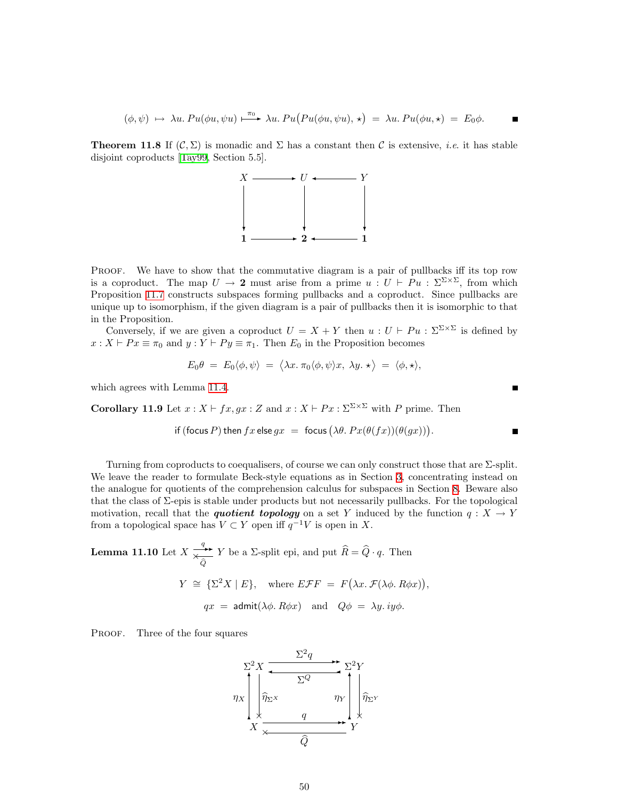$$
(\phi, \psi) \mapsto \lambda u. \, Pu(\phi u, \psi u) \xrightarrow{\pi_0} \lambda u. \, Pu(Pu(\phi u, \psi u), \star) = \lambda u. \, Pu(\phi u, \star) = E_0 \phi.
$$

<span id="page-49-0"></span>**Theorem 11.8** If  $(C, \Sigma)$  is monadic and  $\Sigma$  has a constant then C is extensive, *i.e.* it has stable disjoint coproducts[[Tay99](#page-53-0), Section 5.5].



PROOF. We have to show that the commutative diagram is a pair of pullbacks iff its top row is a coproduct. The map  $U \to 2$  must arise from a prime  $u : U \vdash Pu : \Sigma^{\Sigma \times \Sigma}$ , from which Proposition [11.7](#page-48-0) constructs subspaces forming pullbacks and a coproduct. Since pullbacks are unique up to isomorphism, if the given diagram is a pair of pullbacks then it is isomorphic to that in the Proposition.

Conversely, if we are given a coproduct  $U = X + Y$  then  $u : U \vdash Pu : \Sigma^{\Sigma \times \Sigma}$  is defined by  $x : X \vdash Px \equiv \pi_0$  and  $y : Y \vdash Py \equiv \pi_1$ . Then  $E_0$  in the Proposition becomes

$$
E_0 \theta = E_0 \langle \phi, \psi \rangle = \langle \lambda x. \pi_0 \langle \phi, \psi \rangle x, \lambda y. \star \rangle = \langle \phi, \star \rangle,
$$

which agrees with Lemma [11.4](#page-47-0).

Corollary 11.9 Let  $x : X \vdash fx, gx : Z$  and  $x : X \vdash Px : \Sigma^{\Sigma \times \Sigma}$  with P prime. Then

if (focus P) then 
$$
fx
$$
 else  $gx =$  focus  $(\lambda \theta. Px(\theta(fx))(\theta(gx)))$ .

 $\blacksquare$ 

Turning from coproducts to coequalisers, of course we can only construct those that are  $\Sigma$ -split. We leave the reader to formulate Beck-style equations as in Section [3](#page-9-1), concentrating instead on the analogue for quotients of the comprehension calculus for subspaces in Section [8.](#page-31-1) Beware also that the class of  $\Sigma$ -epis is stable under products but not necessarily pullbacks. For the topological motivation, recall that the *quotient topology* on a set Y induced by the function  $q: X \to Y$ from a topological space has  $V \subset Y$  open iff  $q^{-1}V$  is open in X.

<span id="page-49-1"></span>**Lemma 11.10** Let 
$$
X \xrightarrow{\overline{q}} Y
$$
 be a  $\Sigma$ -split epi, and put  $\widehat{R} = \widehat{Q} \cdot q$ . Then  
\n
$$
Y \cong {\Sigma^2 X \mid E}, \text{ where } E \mathcal{F} F = F(\lambda x. \mathcal{F}(\lambda \phi. R \phi x)),
$$
\n
$$
qx = \text{admit}(\lambda \phi. R \phi x) \text{ and } Q\phi = \lambda y. iy\phi.
$$

PROOF. Three of the four squares

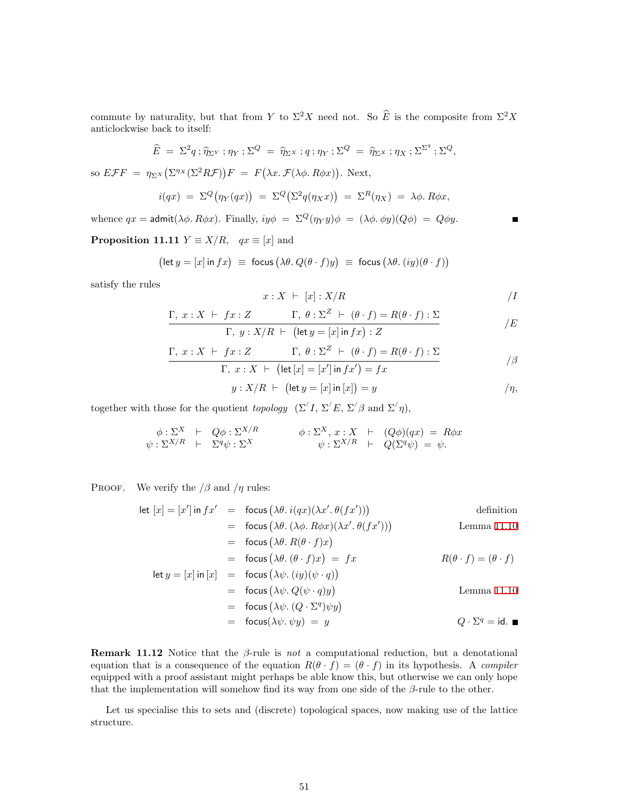commute by naturality, but that from Y to  $\Sigma^2 X$  need not. So  $\widehat{E}$  is the composite from  $\Sigma^2 X$ anticlockwise back to itself:

$$
\widehat{E} = \Sigma^2 q \, ; \widehat{\eta}_{\Sigma^Y} \, ; \eta_Y \, ; \Sigma^Q = \widehat{\eta}_{\Sigma^X} \, ; q \, ; \eta_Y \, ; \Sigma^Q = \widehat{\eta}_{\Sigma^X} \, ; \eta_X \, ; \Sigma^{\Sigma^q} \, ; \Sigma^Q,
$$

so  $E\mathcal{F}F = \eta_{\Sigma^X}(\Sigma^{\eta_X}(\Sigma^2 R\mathcal{F}))F = F(\lambda x.\mathcal{F}(\lambda \phi. R\phi x)).$  Next,

$$
i(qx) = \Sigma^Q(\eta_Y(qx)) = \Sigma^Q(\Sigma^2 q(\eta_X x)) = \Sigma^R(\eta_X) = \lambda \phi. R\phi x,
$$

whence  $qx = \text{admit}(\lambda \phi, R\phi x)$ . Finally,  $iy\phi = \Sigma^Q(\eta_Y y)\phi = (\lambda \phi, \phi y)(Q\phi) = Q\phi y$ .

<span id="page-50-0"></span>**Proposition 11.11**  $Y \equiv X/R$ ,  $qx \equiv [x]$  and

$$
\bigl(\text{let } y = [x] \text{ in } fx\bigr) \equiv \text{ focus } \bigl(\lambda \theta.\ Q(\theta \cdot f)y\bigr) \equiv \text{ focus } \bigl(\lambda \theta.\ (iy)(\theta \cdot f)\bigr)
$$

satisfy the rules

$$
x: X \ \vdash \ [x] : X/R \tag{1}
$$

 $\blacksquare$ 

$$
\frac{\Gamma, x : X \vdash fx : Z \qquad \Gamma, \theta : \Sigma^{Z} \vdash (\theta \cdot f) = R(\theta \cdot f) : \Sigma}{\Gamma, y : X/R \vdash (\text{let } y = [x] \text{ in } fx) : Z}
$$
 /E

$$
\Gamma, x : X \vdash fx : Z \qquad \Gamma, \theta : \Sigma^{Z} \vdash (\theta \cdot f) = R(\theta \cdot f) : \Sigma
$$

$$
\Gamma, x : X \vdash (\text{let } [x] = [x'] \text{ in } fx') = fx \qquad \qquad / \beta
$$

$$
y: X/R \ \vdash \ \bigl(\text{let } y = [x] \text{ in } [x]\bigr) = y \qquad \qquad / \eta,
$$

together with those for the quotient topology  $(\Sigma' I, \Sigma' E, \Sigma' \beta \text{ and } \Sigma' \eta),$ 

$$
\begin{array}{rcl}\n\phi : \Sigma^{X} & \vdash & Q\phi : \Sigma^{X/R} \\
\psi : \Sigma^{X/R} & \vdash & \Sigma^{q}\psi : \Sigma^{X}\n\end{array}\n\qquad\n\begin{array}{rcl}\n\phi : \Sigma^{X}, x : X & \vdash & (Q\phi)(qx) = R\phi x \\
\psi : \Sigma^{X/R} & \vdash & Q(\Sigma^{q}\psi) = \psi.\n\end{array}
$$

PROOF. We verify the  $/\beta$  and  $/\eta$  rules:

let 
$$
[x] = [x'] \text{ in } fx' = \text{focus } (\lambda \theta. i(qx)(\lambda x'. \theta(fx')))
$$
 definition  
\n
$$
= \text{focus } (\lambda \theta. (\lambda \phi. R\phi x)(\lambda x'. \theta(fx')))
$$
 Lemma 11.10  
\n
$$
= \text{focus } (\lambda \theta. R(\theta \cdot f)x)
$$
  
\n
$$
= \text{focus } (\lambda \theta. (\theta \cdot f)x) = fx
$$
  
\nlet  $y = [x] \text{ in } [x] = \text{focus } (\lambda \psi. (iy)(\psi \cdot q))$   
\n
$$
= \text{focus } (\lambda \psi. Q(\psi \cdot q)y)
$$
  
\n
$$
= \text{focus } (\lambda \psi. (Q \cdot \Sigma^q)\psi y)
$$
  
\n
$$
= \text{focus } (\lambda \psi. (\psi \cdot \psi y)) = y
$$
  
\n
$$
Q \cdot \Sigma^q = \text{id. } \blacksquare
$$

**Remark 11.12** Notice that the  $\beta$ -rule is not a computational reduction, but a denotational equation that is a consequence of the equation  $R(\theta \cdot f) = (\theta \cdot f)$  in its hypothesis. A compiler equipped with a proof assistant might perhaps be able know this, but otherwise we can only hope that the implementation will somehow find its way from one side of the  $\beta$ -rule to the other.

<span id="page-50-1"></span>Let us specialise this to sets and (discrete) topological spaces, now making use of the lattice structure.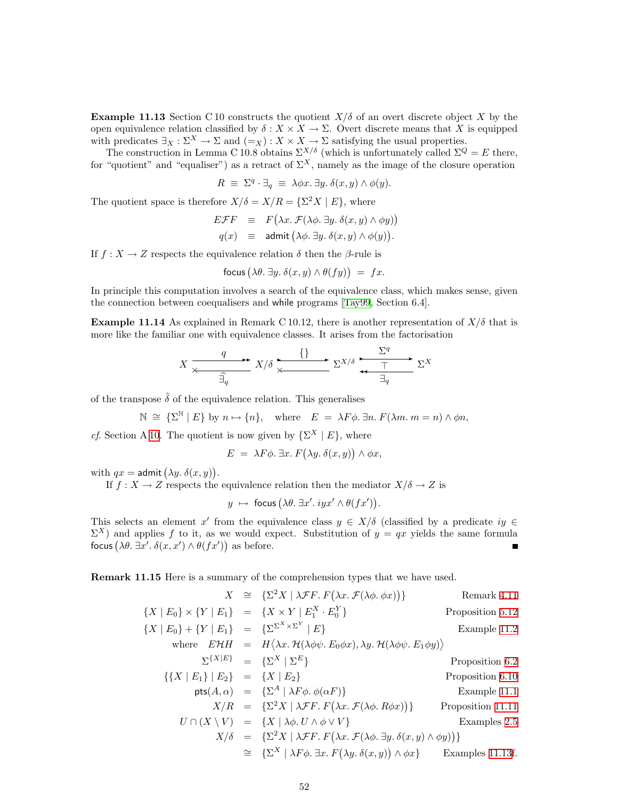**Example 11.13** Section C 10 constructs the quotient  $X/\delta$  of an overt discrete object X by the open equivalence relation classified by  $\delta: X \times X \to \Sigma$ . Overt discrete means that X is equipped with predicates  $\exists_X : \Sigma^X \to \Sigma$  and  $(=_X) : X \times X \to \Sigma$  satisfying the usual properties.

The construction in Lemma C 10.8 obtains  $\Sigma^{X/\delta}$  (which is unfortunately called  $\Sigma^Q = E$  there, for "quotient" and "equaliser") as a retract of  $\Sigma^X$ , namely as the image of the closure operation

$$
R \equiv \Sigma^{q} \cdot \exists_{q} \equiv \lambda \phi x. \exists y. \delta(x, y) \wedge \phi(y).
$$

The quotient space is therefore  $X/\delta = X/R = {\Sigma^2 X \mid E}$ , where

$$
E\mathcal{F}F \equiv F(\lambda x.\ \mathcal{F}(\lambda \phi.\ \exists y.\ \delta(x,y) \land \phi y))
$$
  
 
$$
q(x) \equiv \text{admit }(\lambda \phi.\ \exists y.\ \delta(x,y) \land \phi(y)).
$$

If  $f: X \to Z$  respects the equivalence relation  $\delta$  then the  $\beta$ -rule is

$$
\text{focus} \left( \lambda \theta. \exists y. \delta(x, y) \land \theta(fy) \right) = fx.
$$

In principle this computation involves a search of the equivalence class, which makes sense, given the connection between coequalisers and while programs[[Tay99](#page-53-0), Section 6.4].

**Example 11.14** As explained in Remark C 10.12, there is another representation of  $X/\delta$  that is more like the familiar one with equivalence classes. It arises from the factorisation

$$
X \xrightarrow{\quad q \quad} X/\delta \xrightarrow{\quad \{\} \quad} \Sigma^{X/\delta} \xrightarrow{\quad \Sigma^q \quad} \Sigma^X
$$

of the transpose  $\tilde{\delta}$  of the equivalence relation. This generalises

$$
\mathbb{N} \cong {\{\Sigma^{\mathbb{N}} \mid E\}} \text{ by } n \mapsto {n}, \text{ where } E = \lambda F \phi. \exists n. F(\lambda m. m = n) \wedge \phi n,
$$

cf. Section A [10](#page-39-1). The quotient is now given by  $\{\Sigma^X \mid E\}$ , where

$$
E = \lambda F \phi. \exists x. F(\lambda y. \delta(x, y)) \wedge \phi x,
$$

with  $qx = \mathsf{admit}\left(\lambda y. \delta(x, y)\right)$ .

If  $f: X \to Z$  respects the equivalence relation then the mediator  $X/\delta \to Z$  is

$$
y \mapsto \text{focus}(\lambda \theta. \exists x'.\,iyx' \land \theta(fx')).
$$

This selects an element x' from the equivalence class  $y \in X/\delta$  (classified by a predicate  $iy \in X/\delta$ )  $\Sigma^X$ ) and applies f to it, as we would expect. Substitution of  $y = qx$  yields the same formula focus  $(\lambda \theta, \exists x'. \delta(x, x') \wedge \theta(fx'))$  as before.

Remark 11.15 Here is a summary of the comprehension types that we have used.

$$
X \cong \{\Sigma^2 X \mid \lambda \mathcal{F}F. F(\lambda x. \mathcal{F}(\lambda \phi. \phi x))\}
$$
 Remark 4.11

$$
\{X \mid E_0\} \times \{Y \mid E_1\} = \{X \times Y \mid E_1^X \cdot E_0^Y\}
$$
Proposition 5.12  

$$
\{X \mid E_0\} + \{Y \mid E_1\} = \{\Sigma^{\Sigma^X \times \Sigma^Y} \mid E\}
$$
Example 11.2

where 
$$
EHH = H\langle \lambda x. \mathcal{H}(\lambda \phi \psi, E_0 \phi x), \lambda y. \mathcal{H}(\lambda \phi \psi, E_1 \phi y) \rangle
$$
  
\n $\Sigma^{\{X|E\}} = \{\Sigma^X \mid \Sigma^E\}$  Proposition 6.2  
\n $\{ \{X \mid E_1\} \mid E_2 \} = \{X \mid E_2 \}$  Proposition 6.10  
\npts(A, \alpha) =  $\{\Sigma^A \mid \lambda F \phi. \phi(\alpha F) \}$  Example 11.1  
\n $X/R = \{\Sigma^2 X \mid \lambda \mathcal{F} F. F(\lambda x. \mathcal{F}(\lambda \phi, R \phi x)) \}$  Proposition 11.11  
\n $U \cap (X \setminus V) = \{X \mid \lambda \phi. U \land \phi \lor V \}$  Examples 2.5  
\n $X/\delta = \{\Sigma^2 X \mid \lambda \mathcal{F} F. F(\lambda x. \mathcal{F}(\lambda \phi, \exists y. \delta(x, y) \land \phi y)) \}$   
\n $\cong \{\Sigma^X \mid \lambda F \phi. \exists x. F(\lambda y. \delta(x, y)) \land \phi x \}$  Examples 11.13f.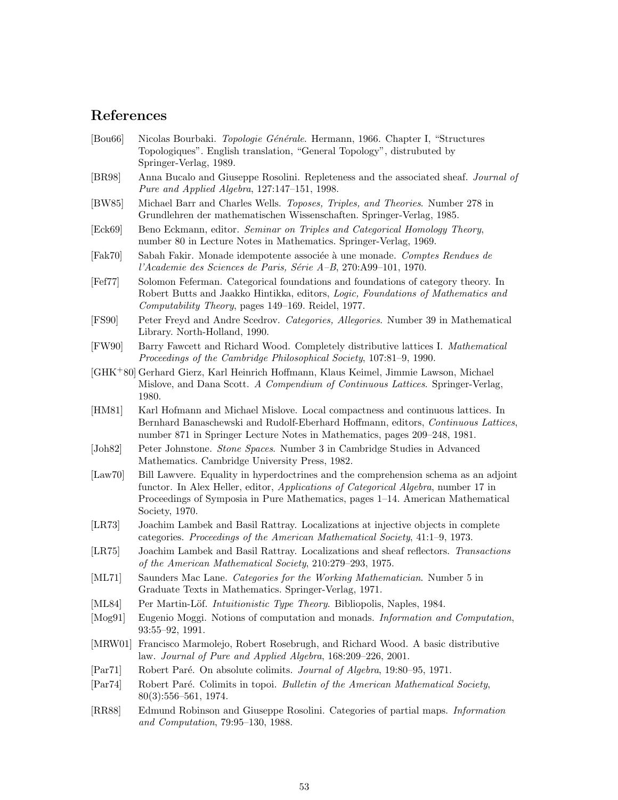## References

- <span id="page-52-9"></span>[Bou66] Nicolas Bourbaki. Topologie Générale. Hermann, 1966. Chapter I, "Structures" Topologiques". English translation, "General Topology", distrubuted by Springer-Verlag, 1989.
- <span id="page-52-15"></span>[BR98] Anna Bucalo and Giuseppe Rosolini. Repleteness and the associated sheaf. Journal of Pure and Applied Algebra, 127:147–151, 1998.
- <span id="page-52-6"></span>[BW85] Michael Barr and Charles Wells. Toposes, Triples, and Theories. Number 278 in Grundlehren der mathematischen Wissenschaften. Springer-Verlag, 1985.
- <span id="page-52-5"></span>[Eck69] Beno Eckmann, editor. Seminar on Triples and Categorical Homology Theory, number 80 in Lecture Notes in Mathematics. Springer-Verlag, 1969.
- <span id="page-52-13"></span>[Fak70] Sabah Fakir. Monade idempotente associée à une monade. Comptes Rendues de l'Academie des Sciences de Paris, Série A–B, 270:A99–101, 1970.
- <span id="page-52-8"></span>[Fef77] Solomon Feferman. Categorical foundations and foundations of category theory. In Robert Butts and Jaakko Hintikka, editors, Logic, Foundations of Mathematics and Computability Theory, pages 149–169. Reidel, 1977.
- <span id="page-52-3"></span>[FS90] Peter Freyd and Andre Scedrov. Categories, Allegories. Number 39 in Mathematical Library. North-Holland, 1990.
- <span id="page-52-18"></span>[FW90] Barry Fawcett and Richard Wood. Completely distributive lattices I. Mathematical Proceedings of the Cambridge Philosophical Society, 107:81–9, 1990.
- <span id="page-52-17"></span>[GHK<sup>+</sup>80] Gerhard Gierz, Karl Heinrich Hoffmann, Klaus Keimel, Jimmie Lawson, Michael Mislove, and Dana Scott. A Compendium of Continuous Lattices. Springer-Verlag, 1980.
- <span id="page-52-11"></span>[HM81] Karl Hofmann and Michael Mislove. Local compactness and continuous lattices. In Bernhard Banaschewski and Rudolf-Eberhard Hoffmann, editors, Continuous Lattices, number 871 in Springer Lecture Notes in Mathematics, pages 209–248, 1981.
- <span id="page-52-0"></span>[Joh82] Peter Johnstone. Stone Spaces. Number 3 in Cambridge Studies in Advanced Mathematics. Cambridge University Press, 1982.
- <span id="page-52-4"></span>[Law70] Bill Lawvere. Equality in hyperdoctrines and the comprehension schema as an adjoint functor. In Alex Heller, editor, Applications of Categorical Algebra, number 17 in Proceedings of Symposia in Pure Mathematics, pages 1–14. American Mathematical Society, 1970.
- [LR73] Joachim Lambek and Basil Rattray. Localizations at injective objects in complete categories. Proceedings of the American Mathematical Society, 41:1–9, 1973.
- <span id="page-52-14"></span>[LR75] Joachim Lambek and Basil Rattray. Localizations and sheaf reflectors. Transactions of the American Mathematical Society, 210:279–293, 1975.
- <span id="page-52-12"></span>[ML71] Saunders Mac Lane. Categories for the Working Mathematician. Number 5 in Graduate Texts in Mathematics. Springer-Verlag, 1971.
- [ML84] Per Martin-Löf. *Intuitionistic Type Theory*. Bibliopolis, Naples, 1984.
- <span id="page-52-7"></span><span id="page-52-1"></span>[Mog91] Eugenio Moggi. Notions of computation and monads. Information and Computation, 93:55–92, 1991.
- <span id="page-52-19"></span>[MRW01] Francisco Marmolejo, Robert Rosebrugh, and Richard Wood. A basic distributive law. Journal of Pure and Applied Algebra, 168:209–226, 2001.
- [Par71] Robert Paré. On absolute colimits. Journal of Algebra, 19:80–95, 1971.
- <span id="page-52-16"></span><span id="page-52-10"></span>[Par74] Robert Paré. Colimits in topoi. Bulletin of the American Mathematical Society, 80(3):556–561, 1974.
- <span id="page-52-2"></span>[RR88] Edmund Robinson and Giuseppe Rosolini. Categories of partial maps. Information and Computation, 79:95–130, 1988.